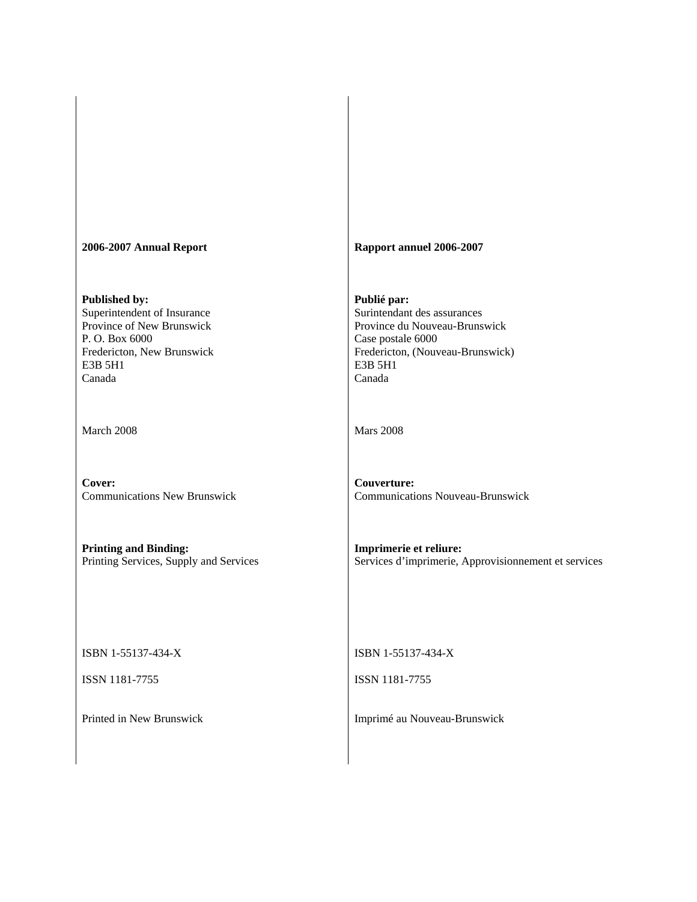| 2006-2007 Annual Report                                                                                                                       | Rapport annuel 2006-2007                                                                                                                                  |
|-----------------------------------------------------------------------------------------------------------------------------------------------|-----------------------------------------------------------------------------------------------------------------------------------------------------------|
| Published by:<br>Superintendent of Insurance<br>Province of New Brunswick<br>P.O. Box 6000<br>Fredericton, New Brunswick<br>E3B 5H1<br>Canada | Publié par:<br>Surintendant des assurances<br>Province du Nouveau-Brunswick<br>Case postale 6000<br>Fredericton, (Nouveau-Brunswick)<br>E3B 5H1<br>Canada |
| March 2008                                                                                                                                    | <b>Mars 2008</b>                                                                                                                                          |
| Cover:<br><b>Communications New Brunswick</b>                                                                                                 | Couverture:<br><b>Communications Nouveau-Brunswick</b>                                                                                                    |
| <b>Printing and Binding:</b><br>Printing Services, Supply and Services                                                                        | Imprimerie et reliure:<br>Services d'imprimerie, Approvisionnement et services                                                                            |
| ISBN 1-55137-434-X                                                                                                                            | ISBN 1-55137-434-X                                                                                                                                        |
| ISSN 1181-7755                                                                                                                                | ISSN 1181-7755                                                                                                                                            |
| Printed in New Brunswick                                                                                                                      | Imprimé au Nouveau-Brunswick                                                                                                                              |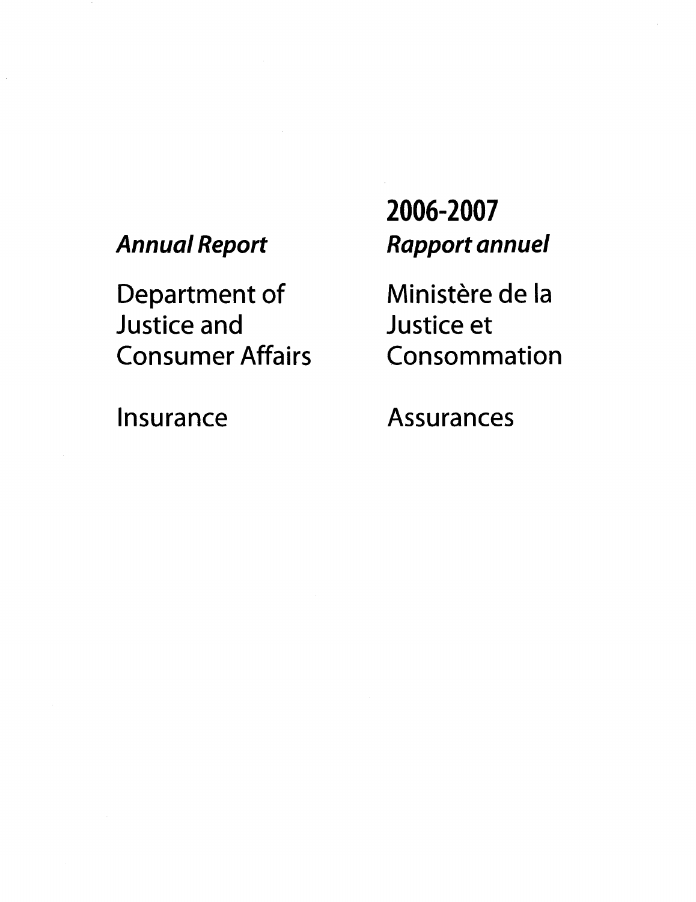## **Annual Report**

Department of **Justice and Consumer Affairs**  2006-2007 **Rapport annuel** 

Ministère de la **Justice et** Consommation

Insurance

**Assurances**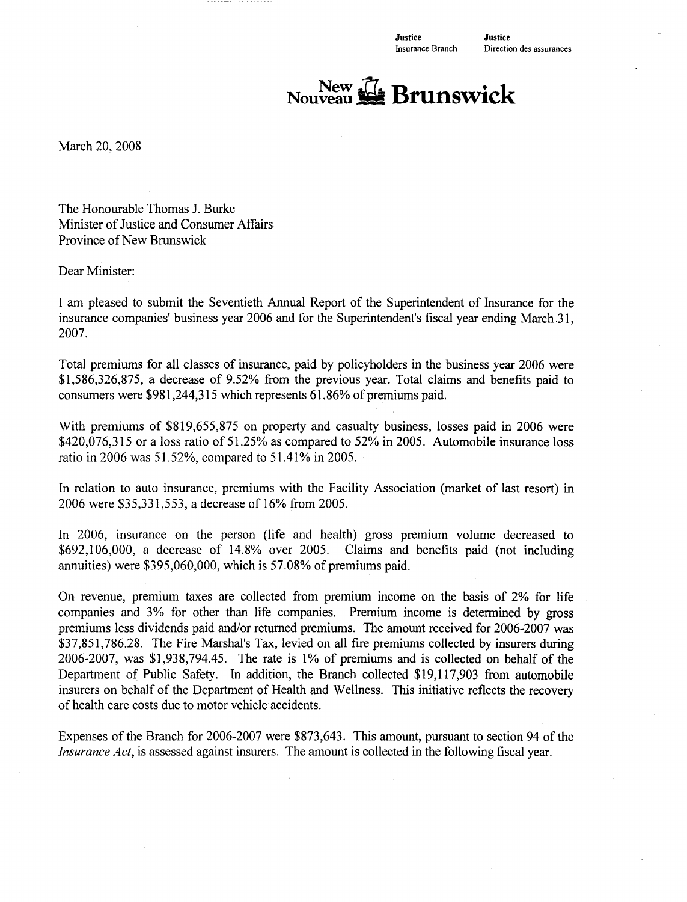# New The Brunswick

March 20, 2008

The Honourable Thomas J. Burke Minister of Justice and Consumer Affairs Province of New Brunswick

Dear Minister:

I am pleased to submit the Seventieth Annual Report of the Superintendent of Insurance for the insurance companies' business year 2006 and for the Superintendent's fiscal year ending March 31, 2007.

Total premiums for all classes of insurance, paid by policyholders in the business year 2006 were \$1,586,326,875, a decrease of 9.52% from the previous year. Total claims and benefits paid to consumers were \$981,244,315 which represents 61.86% of premiums paid.

With premiums of \$819,655,875 on property and casualty business, losses paid in 2006 were \$420,076,315 or a loss ratio of 51.25% as compared to 52% in 2005. Automobile insurance loss ratio in 2006 was 51.52%, compared to 51.41% in 2005.

In relation to auto insurance, premiums with the Facility Association (market of last resort) in 2006 were \$35,331,553, a decrease of 16% from 2005.

In 2006, insurance on the person (life and health) gross premium volume decreased to \$692,106,000, a decrease of 14.8% over 2005. Claims and benefits paid (not including annuities) were \$395,060,000, which is 57.08% of premiums paid.

On revenue, premium taxes are collected from premium income on the basis of 2% for life companies and 3% for other than life companies. Premium income is determined by gross premiums less dividends paid and/or returned premiums. The amount received for 2006-2007 was \$37,851,786.28. The Fire Marshal's Tax, levied on all fire premiums collected by insurers during 2006-2007, was \$1,938,794.45. The rate is 1% of premiums and is collected on behalf of the Department of Public Safety. In addition, the Branch collected \$19,117,903 from automobile insurers on behalf of the Department of Health and Wellness. This initiative reflects the recovery of health care costs due to motor vehicle accidents.

Expenses of the Branch for 2006-2007 were \$873,643. This amount, pursuant to section 94 of the *Insurance Act*, is assessed against insurers. The amount is collected in the following fiscal year.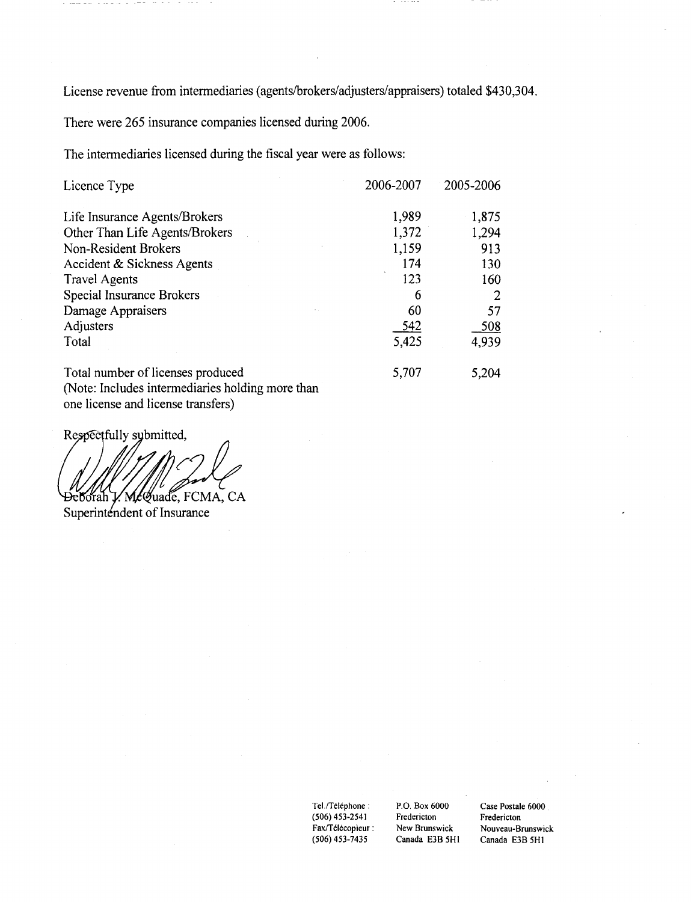License revenue from intermediaries (agents/brokers/adjusters/appraisers) totaled \$430,304.

There were 265 insurance companies licensed during 2006.

The intermediaries licensed during the fiscal year were as follows:

| Licence Type                                     | 2006-2007 | 2005-2006 |
|--------------------------------------------------|-----------|-----------|
| Life Insurance Agents/Brokers                    | 1,989     | 1,875     |
| Other Than Life Agents/Brokers                   | 1,372     | 1,294     |
| Non-Resident Brokers                             | 1,159     | 913       |
| Accident & Sickness Agents                       | 174       | 130       |
| <b>Travel Agents</b>                             | 123       | 160       |
| Special Insurance Brokers                        | 6         |           |
| Damage Appraisers                                | 60        | 57        |
| Adjusters                                        | 542       | 508       |
| Total                                            | 5,425     | 4,939     |
| Total number of licenses produced                | 5,707     | 5,204     |
| (Note: Includes intermediaries holding more than |           |           |
| one license and license transfers)               |           |           |

Respectfully sybmitted,

McQuade, FCMA, CA Đeborah

Superintendent of Insurance

Tel./Téléphone :  $(506)$  453-2541 Fax/Télécopieur :  $(506)$  453-7435

P.O. Box 6000 Fredericton New Brunswick Canada E3B 5H1

Case Postale 6000 Fredericton Nouveau-Brunswick Canada E3B 5H1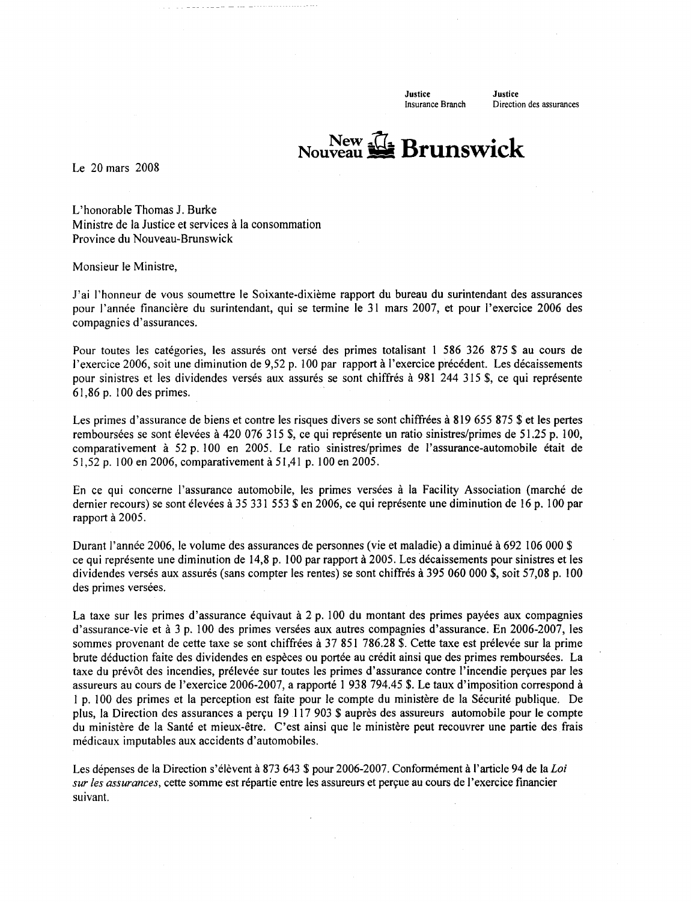**Justice** Insurance Branch Justice Direction des assurances

# New  $\mathbb{Z}$  Brunswick

Le 20 mars 2008

L'honorable Thomas J. Burke Ministre de la Justice et services à la consommation Province du Nouveau-Brunswick

Monsieur le Ministre,

J'ai l'honneur de vous soumettre le Soixante-dixième rapport du bureau du surintendant des assurances pour l'année financière du surintendant, qui se termine le 31 mars 2007, et pour l'exercice 2006 des compagnies d'assurances.

Pour toutes les catégories, les assurés ont versé des primes totalisant 1 586 326 875 \$ au cours de l'exercice 2006, soit une diminution de 9,52 p. 100 par rapport à l'exercice précédent. Les décaissements pour sinistres et les dividendes versés aux assurés se sont chiffrés à 981 244 315 \$, ce qui représente 61,86 p. 100 des primes.

Les primes d'assurance de biens et contre les risques divers se sont chiffrées à 819 655 875 \$ et les pertes remboursées se sont élevées à 420 076 315 \$, ce qui représente un ratio sinistres/primes de 51.25 p. 100, comparativement à 52 p. 100 en 2005. Le ratio sinistres/primes de l'assurance-automobile était de 51,52 p. 100 en 2006, comparativement à 51,41 p. 100 en 2005.

En ce qui concerne l'assurance automobile, les primes versées à la Facility Association (marché de dernier recours) se sont élevées à 35 331 553 \$ en 2006, ce qui représente une diminution de 16 p. 100 par rapport à 2005.

Durant l'année 2006, le volume des assurances de personnes (vie et maladie) a diminué à 692 106 000 \$ ce qui représente une diminution de 14,8 p. 100 par rapport à 2005. Les décaissements pour sinistres et les dividendes versés aux assurés (sans compter les rentes) se sont chiffrés à 395 060 000 \$, soit 57,08 p. 100 des primes versées.

La taxe sur les primes d'assurance équivaut à 2 p. 100 du montant des primes payées aux compagnies d'assurance-vie et à 3 p. 100 des primes versées aux autres compagnies d'assurance. En 2006-2007, les sommes provenant de cette taxe se sont chiffrées à 37 851 786.28 \$. Cette taxe est prélevée sur la prime brute déduction faite des dividendes en espèces ou portée au crédit ainsi que des primes remboursées. La taxe du prévôt des incendies, prélevée sur toutes les primes d'assurance contre l'incendie perçues par les assureurs au cours de l'exercice 2006-2007, a rapporté 1 938 794.45 \$. Le taux d'imposition correspond à 1 p. 100 des primes et la perception est faite pour le compte du ministère de la Sécurité publique. De plus, la Direction des assurances a perçu 19 117 903 \$ auprès des assureurs automobile pour le compte du ministère de la Santé et mieux-être. C'est ainsi que le ministère peut recouvrer une partie des frais médicaux imputables aux accidents d'automobiles.

Les dépenses de la Direction s'élèvent à 873 643 \$ pour 2006-2007. Conformément à l'article 94 de la Loi sur les assurances, cette somme est répartie entre les assureurs et perçue au cours de l'exercice financier suivant.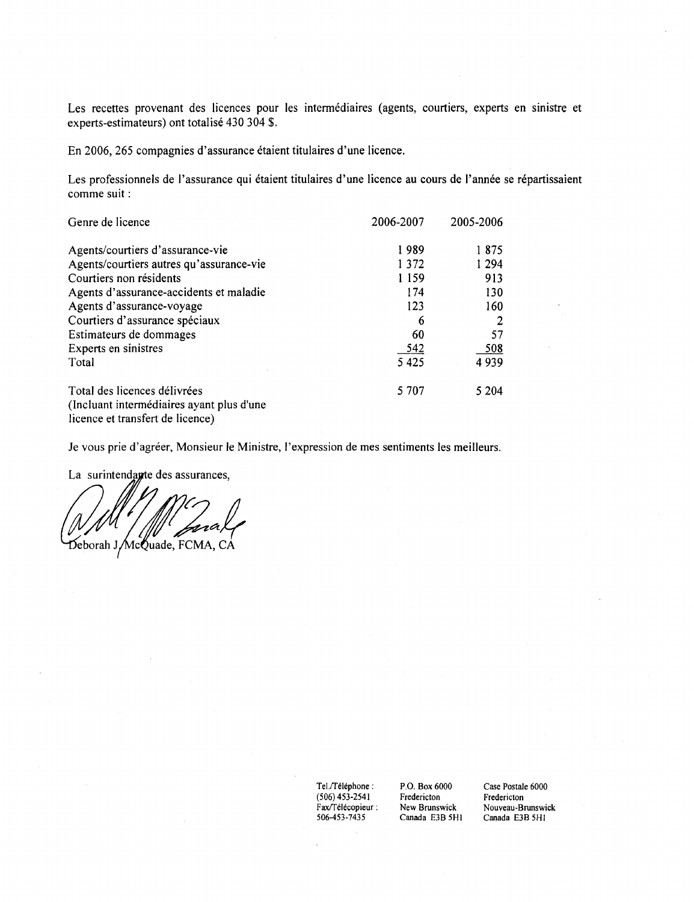Les recettes provenant des licences pour les intermédiaires (agents, courtiers, experts en sinistre et experts-estimateurs) ont totalisé 430 304 \$.

En 2006, 265 compagnies d'assurance étaient titulaires d'une licence.

Les professionnels de l'assurance qui étaient titulaires d'une licence au cours de l'année se répartissaient comme suit :

| Genre de licence                          | 2006-2007 | 2005-2006 |
|-------------------------------------------|-----------|-----------|
| Agents/courtiers d'assurance-vie          | 1989      | 1875      |
| Agents/courtiers autres qu'assurance-vie  | 1 3 7 2   | 1 2 9 4   |
| Courtiers non résidents                   | 1 1 5 9   | 913       |
| Agents d'assurance-accidents et maladie   | 174       | 130       |
| Agents d'assurance-voyage                 | 123       | 160       |
| Courtiers d'assurance spéciaux            | 6         |           |
| Estimateurs de dommages                   | 60        | 57        |
| Experts en sinistres                      | 542       | 508       |
| Total                                     | 5 4 2 5   | 4939      |
| Total des licences délivrées              | 5 707     | 5 204     |
| (Incluant intermédiaires ayant plus d'une |           |           |
| licence et transfert de licence)          |           |           |

Je vous prie d'agréer, Monsieur le Ministre, l'expression de mes sentiments les meilleurs.

La surintendagte des assurances,

za Deborah J/McQuade, FCMA, CA

 $\operatorname{\mathsf{Tel}.T\acute{e}l\acute{e}phone}$  :  $(506)$  453-2541 Fax/Télécopieur : 506-453-7435

P.O. Box 6000 Fredericton New Brunswick Canada E3B 5H1 Case Postale 6000 Fredericton Nouveau-Brunswick Canada E3B 5H1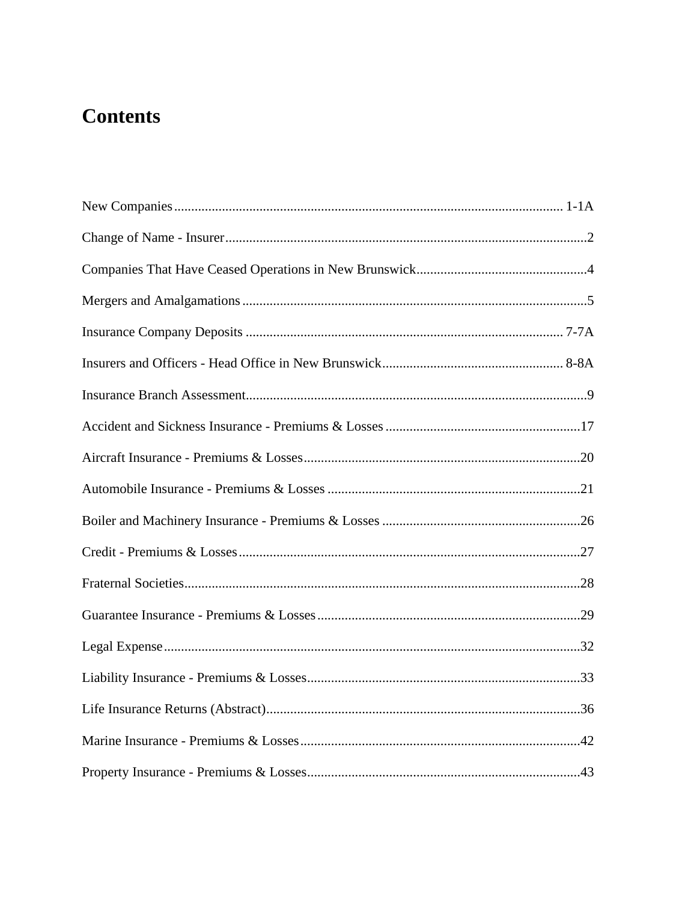## **Contents**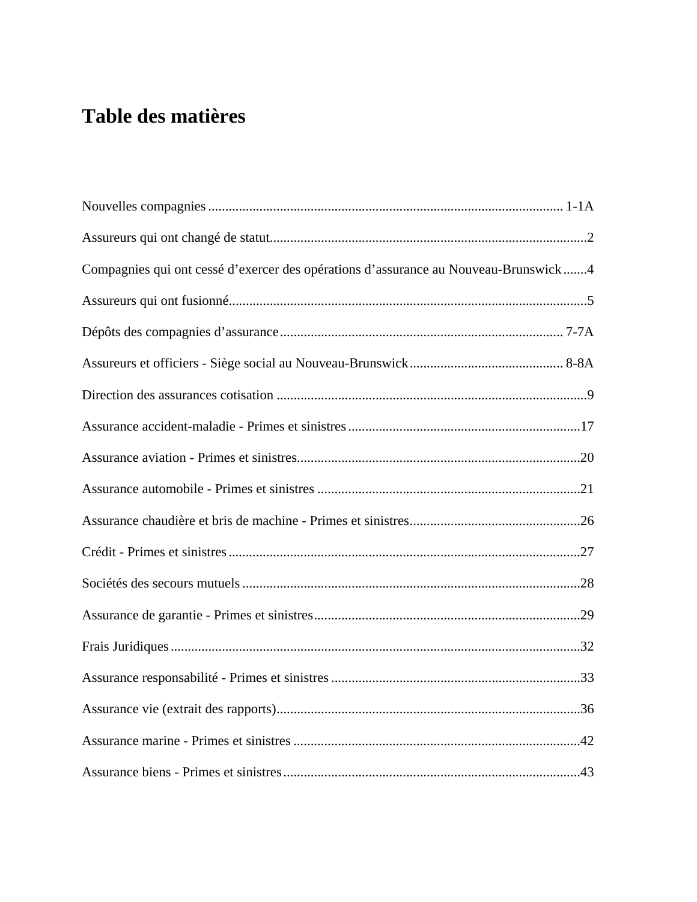## **Table des matières**

| Compagnies qui ont cessé d'exercer des opérations d'assurance au Nouveau-Brunswick4 |
|-------------------------------------------------------------------------------------|
|                                                                                     |
|                                                                                     |
|                                                                                     |
|                                                                                     |
|                                                                                     |
|                                                                                     |
|                                                                                     |
|                                                                                     |
|                                                                                     |
|                                                                                     |
|                                                                                     |
|                                                                                     |
|                                                                                     |
|                                                                                     |
|                                                                                     |
|                                                                                     |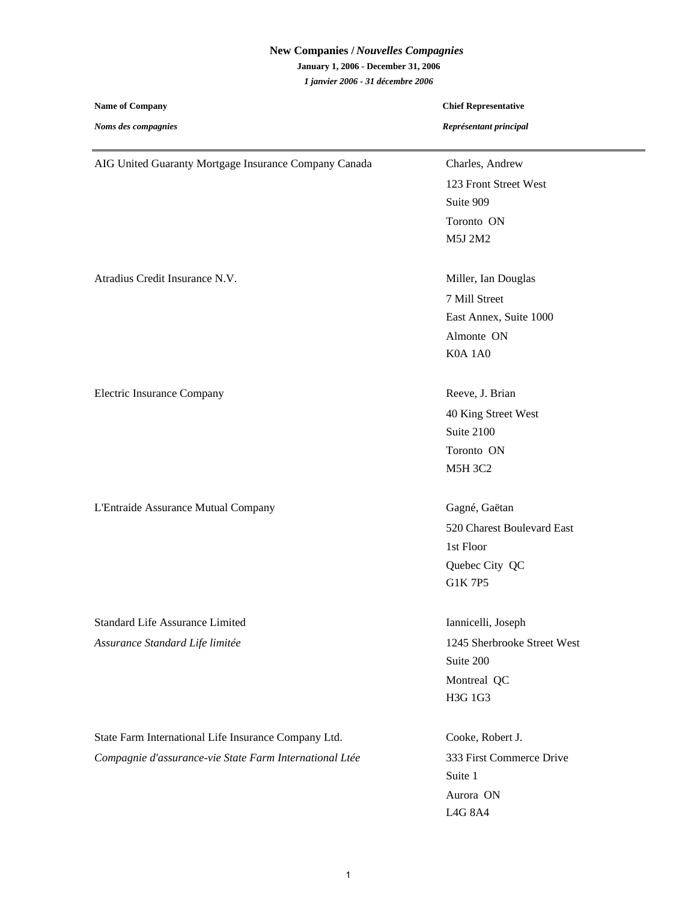## **New Companies /** *Nouvelles Compagnies* **January 1, 2006 - December 31, 2006** *1 janvier 2006 - 31 décembre 2006*

| <b>Name of Company</b>                                  | <b>Chief Representative</b> |  |
|---------------------------------------------------------|-----------------------------|--|
| Noms des compagnies                                     | Représentant principal      |  |
| AIG United Guaranty Mortgage Insurance Company Canada   | Charles, Andrew             |  |
|                                                         | 123 Front Street West       |  |
|                                                         | Suite 909                   |  |
|                                                         | Toronto ON                  |  |
|                                                         | M5J 2M2                     |  |
| Atradius Credit Insurance N.V.                          | Miller, Ian Douglas         |  |
|                                                         | 7 Mill Street               |  |
|                                                         | East Annex, Suite 1000      |  |
|                                                         | Almonte ON                  |  |
|                                                         | K0A 1A0                     |  |
| <b>Electric Insurance Company</b>                       | Reeve, J. Brian             |  |
|                                                         | 40 King Street West         |  |
|                                                         | Suite 2100                  |  |
|                                                         | Toronto ON                  |  |
|                                                         | <b>M5H 3C2</b>              |  |
| L'Entraide Assurance Mutual Company                     | Gagné, Gaëtan               |  |
|                                                         | 520 Charest Boulevard East  |  |
|                                                         | 1st Floor                   |  |
|                                                         | Quebec City QC              |  |
|                                                         | G1K 7P5                     |  |
| <b>Standard Life Assurance Limited</b>                  | Iannicelli, Joseph          |  |
| Assurance Standard Life limitée                         | 1245 Sherbrooke Street West |  |
|                                                         | Suite 200                   |  |
|                                                         | Montreal QC                 |  |
|                                                         | H3G 1G3                     |  |
| State Farm International Life Insurance Company Ltd.    | Cooke, Robert J.            |  |
| Compagnie d'assurance-vie State Farm International Ltée | 333 First Commerce Drive    |  |
|                                                         | Suite 1                     |  |
|                                                         | Aurora ON                   |  |
|                                                         | L4G 8A4                     |  |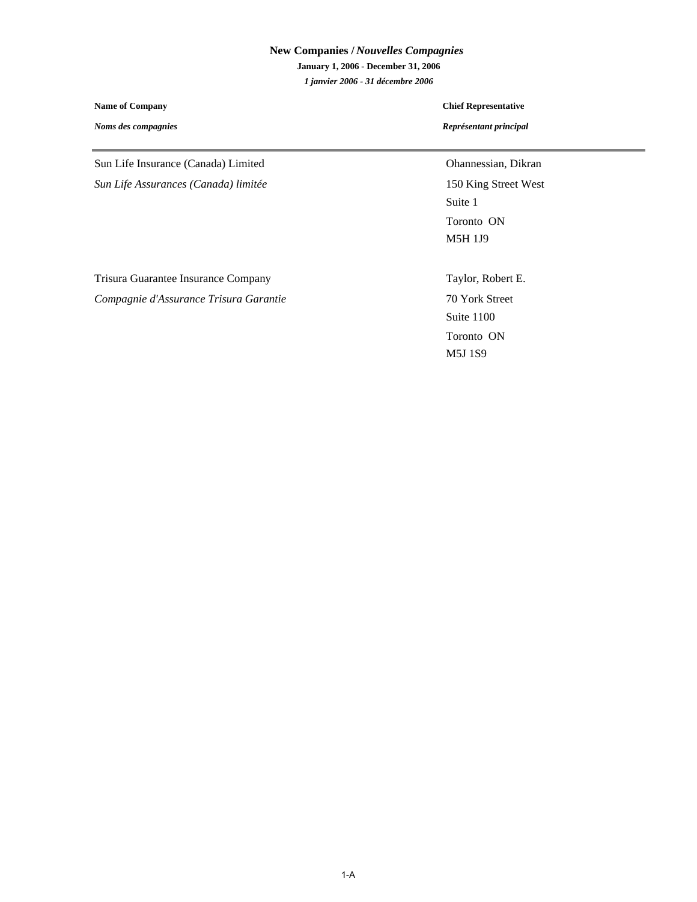## **New Companies /** *Nouvelles Compagnies* **January 1, 2006 - December 31, 2006** *1 janvier 2006 - 31 décembre 2006*

**Name of Company**

*Noms des compagnies*

#### **Chief Representative**

*Représentant principal*

Sun Life Insurance (Canada) Limited **Ohannessian**, Dikran

*Sun Life Assurances (Canada) limitée* 150 King Street West

Toronto ON M5H 1J9 Suite 1

Trisura Guarantee Insurance Company Taylor, Robert E. *Compagnie d'Assurance Trisura Garantie* 70 York Street

Toronto ON M5J 1S9 Suite 1100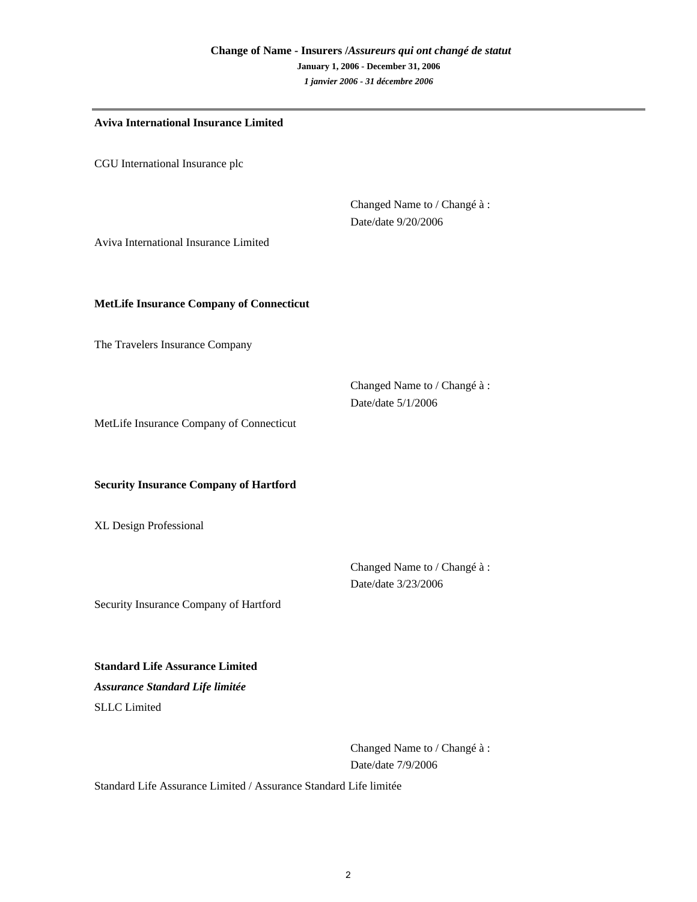| <b>Aviva International Insurance Limited</b>    |                                                     |  |
|-------------------------------------------------|-----------------------------------------------------|--|
| CGU International Insurance plc                 |                                                     |  |
| Aviva International Insurance Limited           | Changed Name to / Changé à :<br>Date/date 9/20/2006 |  |
| <b>MetLife Insurance Company of Connecticut</b> |                                                     |  |
| The Travelers Insurance Company                 |                                                     |  |
|                                                 | Changed Name to / Changé à :<br>Date/date 5/1/2006  |  |

MetLife Insurance Company of Connecticut

#### **Security Insurance Company of Hartford**

XL Design Professional

Date/date 3/23/2006 Changed Name to / Changé à :

Security Insurance Company of Hartford

**Standard Life Assurance Limited**

SLLC Limited *Assurance Standard Life limitée*

> Changed Name to / Changé à : Date/date 7/9/2006

Standard Life Assurance Limited / Assurance Standard Life limitée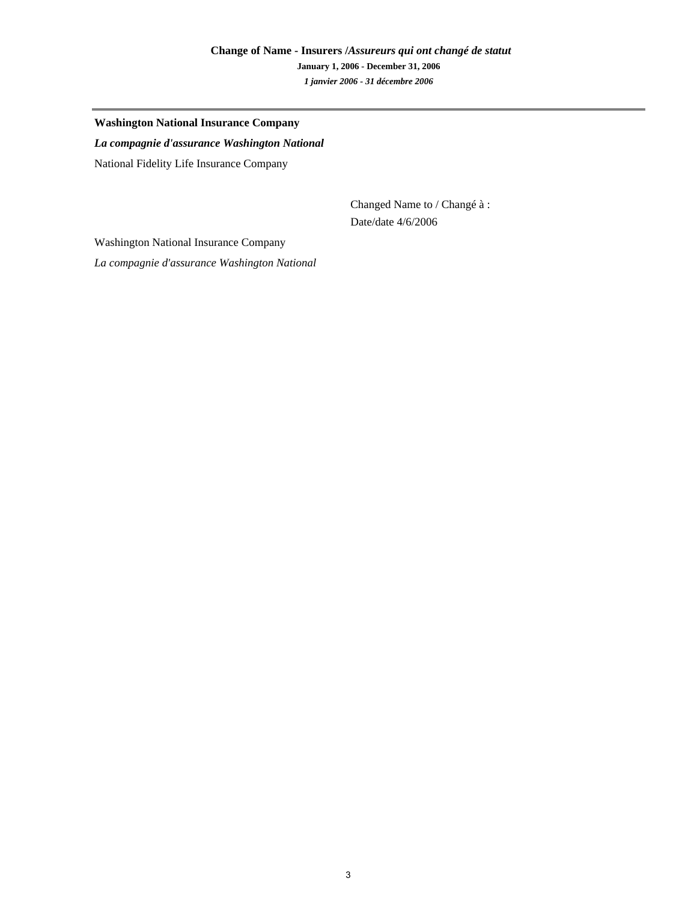## **Change of Name - Insurers /***Assureurs qui ont changé de statut* **January 1, 2006 - December 31, 2006** *1 janvier 2006 - 31 décembre 2006*

#### **Washington National Insurance Company**

National Fidelity Life Insurance Company *La compagnie d'assurance Washington National*

> Changed Name to / Changé à : Date/date 4/6/2006

Washington National Insurance Company

*La compagnie d'assurance Washington National*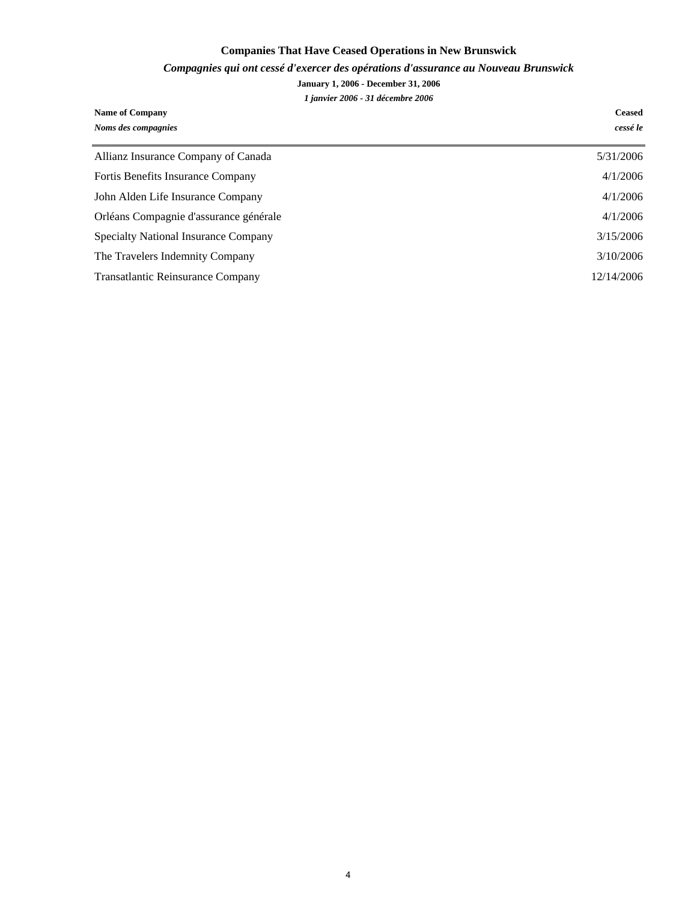## **Companies That Have Ceased Operations in New Brunswick**

#### *Compagnies qui ont cessé d'exercer des opérations d'assurance au Nouveau Brunswick*

#### **January 1, 2006 - December 31, 2006**

*1 janvier 2006 - 31 décembre 2006*

| <b>Name of Company</b>                   | <b>Ceased</b> |
|------------------------------------------|---------------|
| Noms des compagnies                      | cessé le      |
| Allianz Insurance Company of Canada      | 5/31/2006     |
| <b>Fortis Benefits Insurance Company</b> | 4/1/2006      |
| John Alden Life Insurance Company        | 4/1/2006      |
| Orléans Compagnie d'assurance générale   | 4/1/2006      |
| Specialty National Insurance Company     | 3/15/2006     |
| The Travelers Indemnity Company          | 3/10/2006     |
| Transatlantic Reinsurance Company        | 12/14/2006    |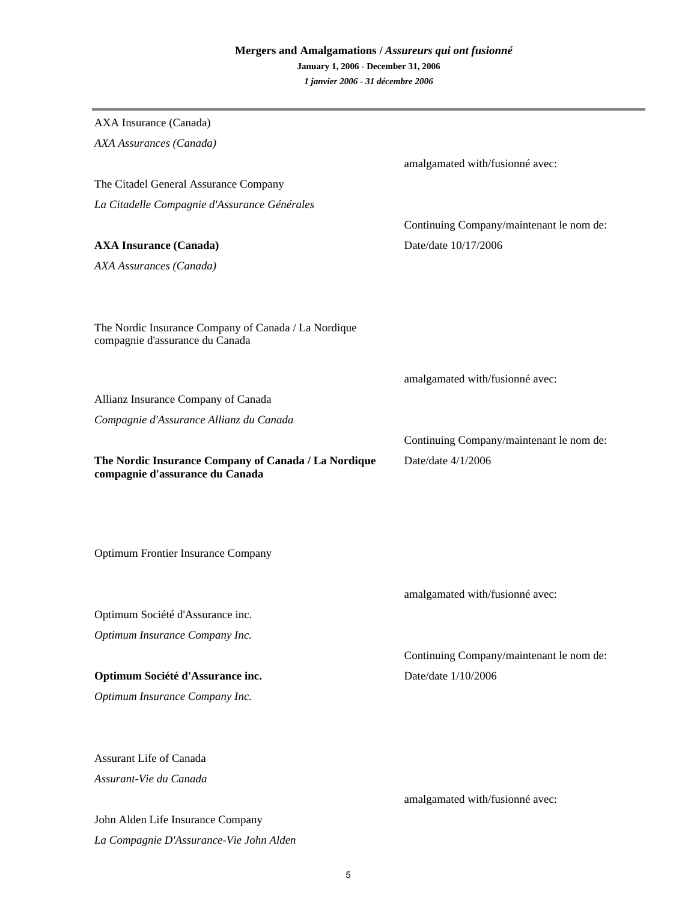## **Mergers and Amalgamations /** *Assureurs qui ont fusionné* **January 1, 2006 - December 31, 2006** *1 janvier 2006 - 31 décembre 2006*

| AXA Insurance (Canada)                                                                  |                                          |
|-----------------------------------------------------------------------------------------|------------------------------------------|
| AXA Assurances (Canada)                                                                 |                                          |
|                                                                                         | amalgamated with/fusionné avec:          |
| The Citadel General Assurance Company                                                   |                                          |
| La Citadelle Compagnie d'Assurance Générales                                            |                                          |
|                                                                                         | Continuing Company/maintenant le nom de: |
| <b>AXA Insurance (Canada)</b>                                                           | Date/date 10/17/2006                     |
| AXA Assurances (Canada)                                                                 |                                          |
|                                                                                         |                                          |
| The Nordic Insurance Company of Canada / La Nordique<br>compagnie d'assurance du Canada |                                          |
|                                                                                         | amalgamated with/fusionné avec:          |
| Allianz Insurance Company of Canada                                                     |                                          |
| Compagnie d'Assurance Allianz du Canada                                                 |                                          |
|                                                                                         | Continuing Company/maintenant le nom de: |
| The Nordic Insurance Company of Canada / La Nordique<br>compagnie d'assurance du Canada | Date/date 4/1/2006                       |
| <b>Optimum Frontier Insurance Company</b>                                               |                                          |
|                                                                                         |                                          |
|                                                                                         | amalgamated with/fusionné avec:          |
| Optimum Société d'Assurance inc.                                                        |                                          |
| Optimum Insurance Company Inc.                                                          |                                          |
|                                                                                         | Continuing Company/maintenant le nom de: |
| Optimum Société d'Assurance inc.                                                        | Date/date 1/10/2006                      |
| Optimum Insurance Company Inc.                                                          |                                          |
| <b>Assurant Life of Canada</b>                                                          |                                          |
| Assurant-Vie du Canada                                                                  |                                          |
|                                                                                         | amalgamated with/fusionné avec:          |
| John Alden Life Insurance Company                                                       |                                          |
|                                                                                         |                                          |

*La Compagnie D'Assurance-Vie John Alden*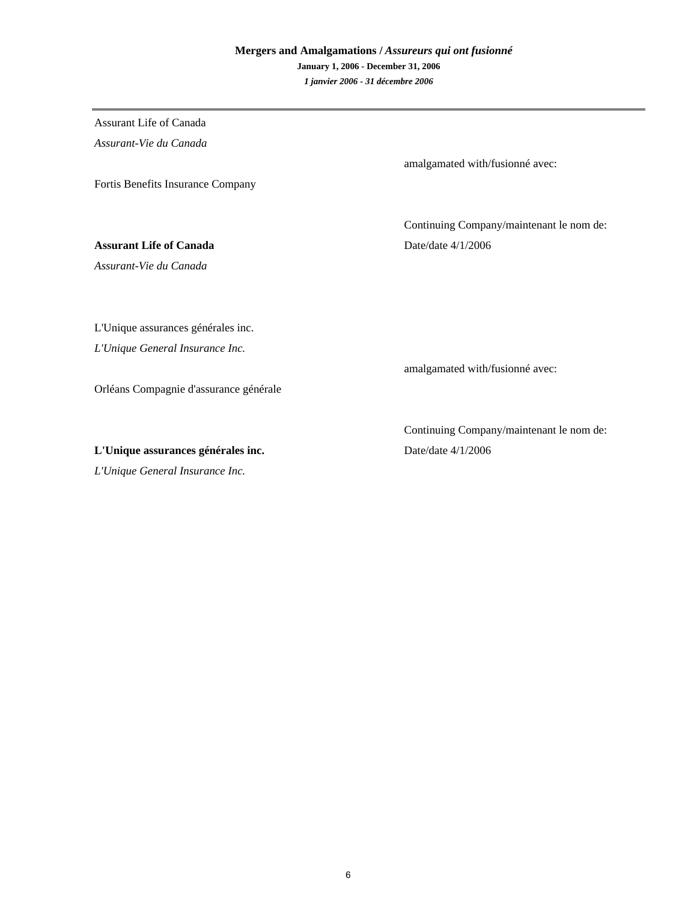## **Mergers and Amalgamations /** *Assureurs qui ont fusionné* **January 1, 2006 - December 31, 2006** *1 janvier 2006 - 31 décembre 2006*

Fortis Benefits Insurance Company Assurant Life of Canada *Assurant-Vie du Canada Assurant-Vie du Canada* **Assurant Life of Canada** Date/date 4/1/2006

L'Unique assurances générales inc.

*L'Unique General Insurance Inc.*

Orléans Compagnie d'assurance générale

**L'Unique assurances générales inc.** Date/date 4/1/2006

*L'Unique General Insurance Inc.*

amalgamated with/fusionné avec:

Continuing Company/maintenant le nom de:

amalgamated with/fusionné avec:

Continuing Company/maintenant le nom de: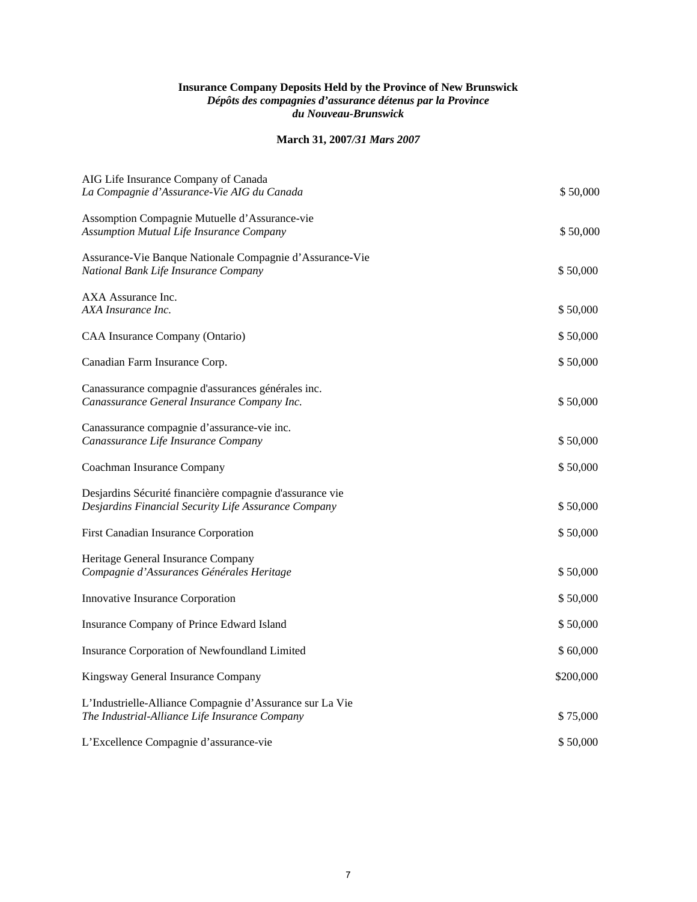#### **Insurance Company Deposits Held by the Province of New Brunswick**  *Dépôts des compagnies d'assurance détenus par la Province du Nouveau-Brunswick*

#### **March 31, 2007***/31 Mars 2007*

| AIG Life Insurance Company of Canada<br>La Compagnie d'Assurance-Vie AIG du Canada                               | \$50,000  |
|------------------------------------------------------------------------------------------------------------------|-----------|
| Assomption Compagnie Mutuelle d'Assurance-vie<br><b>Assumption Mutual Life Insurance Company</b>                 | \$50,000  |
| Assurance-Vie Banque Nationale Compagnie d'Assurance-Vie<br>National Bank Life Insurance Company                 | \$50,000  |
| AXA Assurance Inc.<br>AXA Insurance Inc.                                                                         | \$50,000  |
| CAA Insurance Company (Ontario)                                                                                  | \$50,000  |
| Canadian Farm Insurance Corp.                                                                                    | \$50,000  |
| Canassurance compagnie d'assurances générales inc.<br>Canassurance General Insurance Company Inc.                | \$50,000  |
| Canassurance compagnie d'assurance-vie inc.<br>Canassurance Life Insurance Company                               | \$50,000  |
| Coachman Insurance Company                                                                                       | \$50,000  |
| Desjardins Sécurité financière compagnie d'assurance vie<br>Desjardins Financial Security Life Assurance Company | \$50,000  |
| First Canadian Insurance Corporation                                                                             | \$50,000  |
| Heritage General Insurance Company<br>Compagnie d'Assurances Générales Heritage                                  | \$50,000  |
| Innovative Insurance Corporation                                                                                 | \$50,000  |
| Insurance Company of Prince Edward Island                                                                        | \$50,000  |
| Insurance Corporation of Newfoundland Limited                                                                    | \$60,000  |
| Kingsway General Insurance Company                                                                               | \$200,000 |
| L'Industrielle-Alliance Compagnie d'Assurance sur La Vie<br>The Industrial-Alliance Life Insurance Company       | \$75,000  |
| L'Excellence Compagnie d'assurance-vie                                                                           | \$50,000  |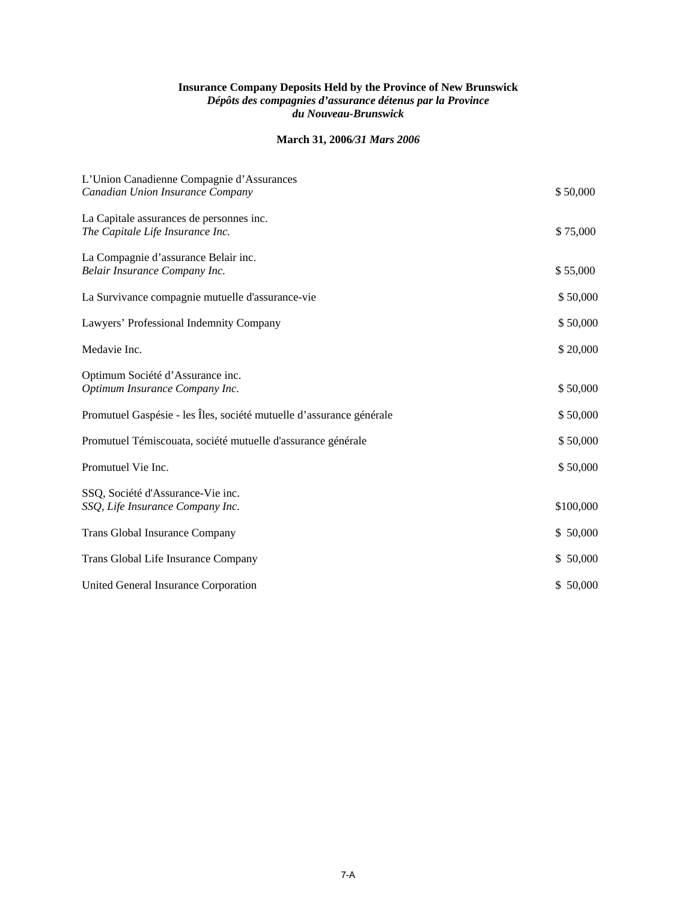#### **Insurance Company Deposits Held by the Province of New Brunswick**  *Dépôts des compagnies d'assurance détenus par la Province du Nouveau-Brunswick*

#### **March 31, 2006***/31 Mars 2006*

| L'Union Canadienne Compagnie d'Assurances<br>Canadian Union Insurance Company | \$50,000  |
|-------------------------------------------------------------------------------|-----------|
| La Capitale assurances de personnes inc.<br>The Capitale Life Insurance Inc.  | \$75,000  |
| La Compagnie d'assurance Belair inc.<br>Belair Insurance Company Inc.         | \$55,000  |
| La Survivance compagnie mutuelle d'assurance-vie                              | \$50,000  |
| Lawyers' Professional Indemnity Company                                       | \$50,000  |
| Medavie Inc.                                                                  | \$20,000  |
| Optimum Société d'Assurance inc.<br>Optimum Insurance Company Inc.            | \$50,000  |
| Promutuel Gaspésie - les Îles, société mutuelle d'assurance générale          | \$50,000  |
| Promutuel Témiscouata, société mutuelle d'assurance générale                  | \$50,000  |
| Promutuel Vie Inc.                                                            | \$50,000  |
| SSQ, Société d'Assurance-Vie inc.<br>SSQ, Life Insurance Company Inc.         | \$100,000 |
| Trans Global Insurance Company                                                | \$50,000  |
| Trans Global Life Insurance Company                                           | \$50,000  |
| United General Insurance Corporation                                          | \$50,000  |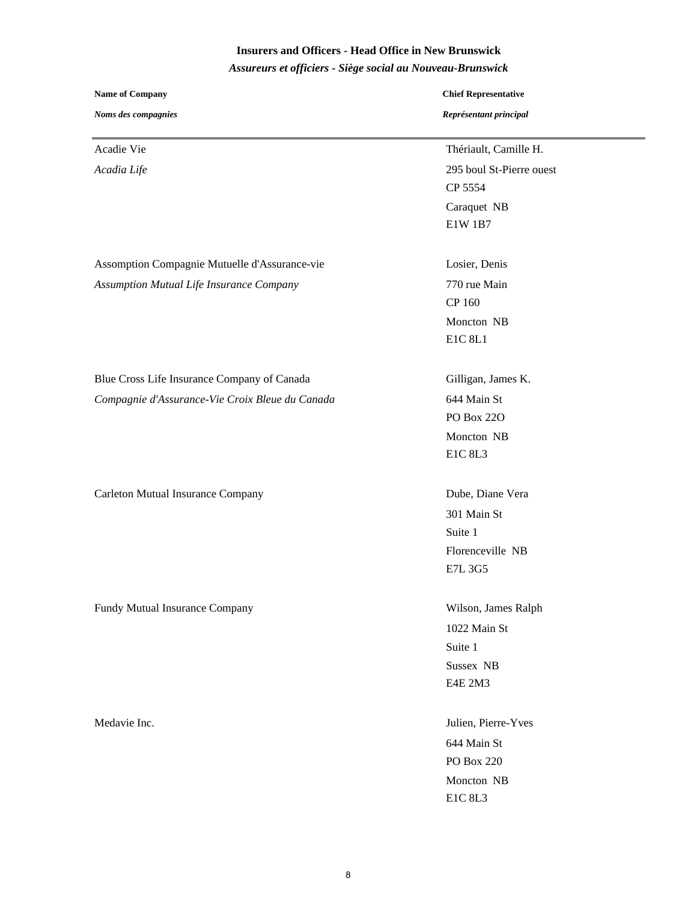## **Insurers and Officers - Head Office in New Brunswick**

*Assureurs et officiers - Siège social au Nouveau-Brunswick*

| <b>Name of Company</b>                          | <b>Chief Representative</b><br>Représentant principal |  |
|-------------------------------------------------|-------------------------------------------------------|--|
| Noms des compagnies                             |                                                       |  |
| Acadie Vie                                      | Thériault, Camille H.                                 |  |
| Acadia Life                                     | 295 boul St-Pierre ouest                              |  |
|                                                 | CP 5554                                               |  |
|                                                 | Caraquet NB                                           |  |
|                                                 | E1W 1B7                                               |  |
| Assomption Compagnie Mutuelle d'Assurance-vie   | Losier, Denis                                         |  |
| <b>Assumption Mutual Life Insurance Company</b> | 770 rue Main                                          |  |
|                                                 | CP 160                                                |  |
|                                                 | Moncton NB                                            |  |
|                                                 | E1C 8L1                                               |  |
| Blue Cross Life Insurance Company of Canada     | Gilligan, James K.                                    |  |
| Compagnie d'Assurance-Vie Croix Bleue du Canada | 644 Main St                                           |  |
|                                                 | <b>PO Box 220</b>                                     |  |
|                                                 | Moncton NB                                            |  |
|                                                 | E1C 8L3                                               |  |
| Carleton Mutual Insurance Company               | Dube, Diane Vera                                      |  |
|                                                 | 301 Main St                                           |  |
|                                                 | Suite 1                                               |  |
|                                                 | Florenceville NB                                      |  |
|                                                 | E7L 3G5                                               |  |
| Fundy Mutual Insurance Company                  | Wilson, James Ralph                                   |  |
|                                                 | 1022 Main St                                          |  |
|                                                 | Suite 1                                               |  |
|                                                 | Sussex NB                                             |  |
|                                                 | E4E 2M3                                               |  |
| Medavie Inc.                                    | Julien, Pierre-Yves                                   |  |
|                                                 | 644 Main St                                           |  |
|                                                 | PO Box 220                                            |  |
|                                                 | Moncton NB                                            |  |
|                                                 | E1C 8L3                                               |  |
|                                                 |                                                       |  |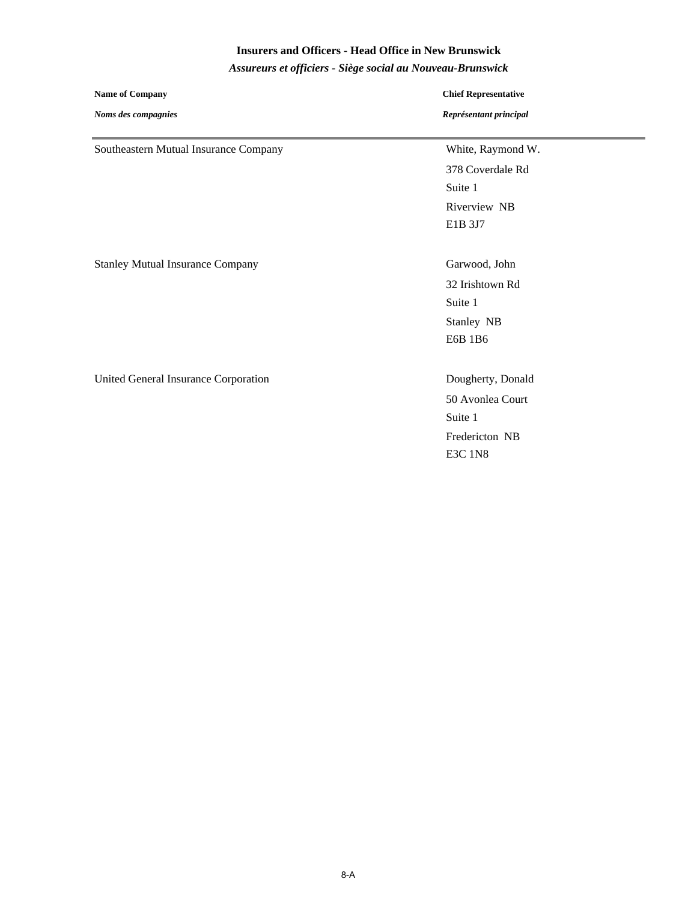#### **Insurers and Officers - Head Office in New Brunswick**

*Assureurs et officiers - Siège social au Nouveau-Brunswick*

| <b>Name of Company</b>                  | <b>Chief Representative</b> |
|-----------------------------------------|-----------------------------|
| Noms des compagnies                     | Représentant principal      |
| Southeastern Mutual Insurance Company   | White, Raymond W.           |
|                                         | 378 Coverdale Rd            |
|                                         | Suite 1                     |
|                                         | Riverview NB                |
|                                         | E1B 3J7                     |
|                                         |                             |
| <b>Stanley Mutual Insurance Company</b> | Garwood, John               |
|                                         | 32 Irishtown Rd             |
|                                         | Suite 1                     |
|                                         | Stanley NB                  |
|                                         | E6B 1B6                     |
|                                         |                             |
| United General Insurance Corporation    | Dougherty, Donald           |
|                                         | 50 Avonlea Court            |
|                                         | Suite 1                     |
|                                         | Fredericton NB              |
|                                         | <b>E3C 1N8</b>              |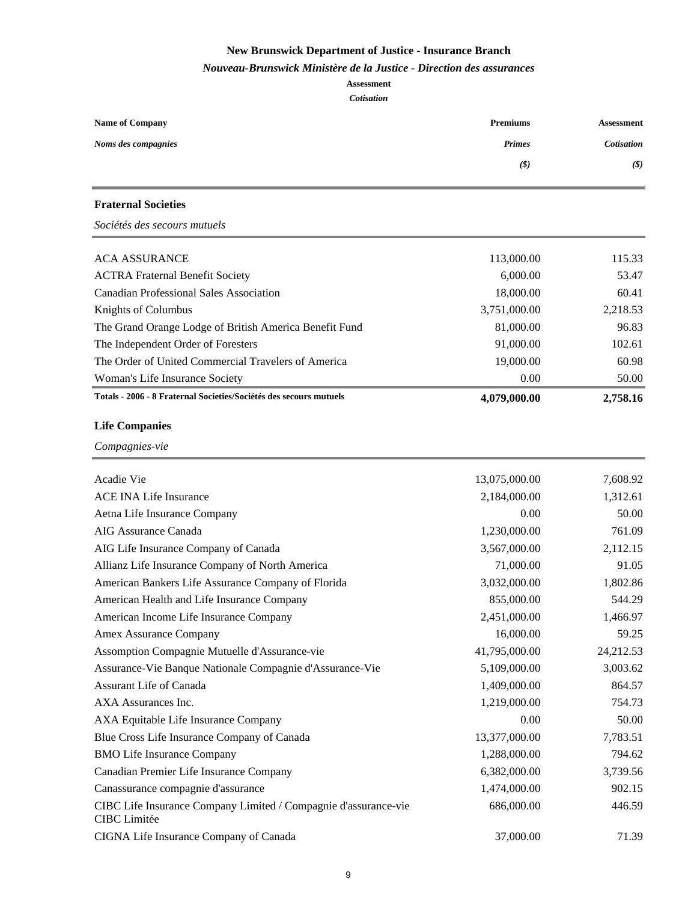#### *Nouveau-Brunswick Ministère de la Justice - Direction des assurances*

| <b>Name of Company</b>                                                                 | <b>Premiums</b>              | <b>Assessment</b> |  |
|----------------------------------------------------------------------------------------|------------------------------|-------------------|--|
| Noms des compagnies                                                                    | <b>Primes</b>                | <b>Cotisation</b> |  |
|                                                                                        | $(\boldsymbol{\mathcal{S}})$ | (S)               |  |
| <b>Fraternal Societies</b>                                                             |                              |                   |  |
| Sociétés des secours mutuels                                                           |                              |                   |  |
| <b>ACA ASSURANCE</b>                                                                   | 113,000.00                   | 115.33            |  |
| <b>ACTRA Fraternal Benefit Society</b>                                                 | 6,000.00                     | 53.47             |  |
| <b>Canadian Professional Sales Association</b>                                         | 18,000.00                    | 60.41             |  |
| Knights of Columbus                                                                    | 3,751,000.00                 | 2,218.53          |  |
| The Grand Orange Lodge of British America Benefit Fund                                 | 81,000.00                    | 96.83             |  |
| The Independent Order of Foresters                                                     | 91,000.00                    | 102.61            |  |
| The Order of United Commercial Travelers of America                                    | 19,000.00                    | 60.98             |  |
| Woman's Life Insurance Society                                                         | 0.00                         | 50.00             |  |
| Totals - 2006 - 8 Fraternal Societies/Sociétés des secours mutuels                     | 4,079,000.00                 | 2,758.16          |  |
| <b>Life Companies</b>                                                                  |                              |                   |  |
| Compagnies-vie                                                                         |                              |                   |  |
| Acadie Vie                                                                             | 13,075,000.00                | 7,608.92          |  |
| <b>ACE INA Life Insurance</b>                                                          | 2,184,000.00                 | 1,312.61          |  |
| Aetna Life Insurance Company                                                           | 0.00                         | 50.00             |  |
| AIG Assurance Canada                                                                   | 1,230,000.00                 | 761.09            |  |
| AIG Life Insurance Company of Canada                                                   | 3,567,000.00                 | 2,112.15          |  |
| Allianz Life Insurance Company of North America                                        | 71,000.00                    | 91.05             |  |
| American Bankers Life Assurance Company of Florida                                     | 3,032,000.00                 | 1,802.86          |  |
| American Health and Life Insurance Company                                             | 855,000.00                   | 544.29            |  |
| American Income Life Insurance Company                                                 | 2,451,000.00                 | 1,466.97          |  |
| Amex Assurance Company                                                                 | 16,000.00                    | 59.25             |  |
| Assomption Compagnie Mutuelle d'Assurance-vie                                          | 41,795,000.00                | 24,212.53         |  |
| Assurance-Vie Banque Nationale Compagnie d'Assurance-Vie                               | 5,109,000.00                 | 3,003.62          |  |
| Assurant Life of Canada                                                                | 1,409,000.00                 | 864.57            |  |
| AXA Assurances Inc.                                                                    | 1,219,000.00                 | 754.73            |  |
| AXA Equitable Life Insurance Company                                                   | 0.00                         | 50.00             |  |
| Blue Cross Life Insurance Company of Canada                                            | 13,377,000.00                | 7,783.51          |  |
| <b>BMO Life Insurance Company</b>                                                      | 1,288,000.00                 | 794.62            |  |
| Canadian Premier Life Insurance Company                                                | 6,382,000.00                 | 3,739.56          |  |
| Canassurance compagnie d'assurance                                                     | 1,474,000.00                 | 902.15            |  |
| CIBC Life Insurance Company Limited / Compagnie d'assurance-vie<br><b>CIBC</b> Limitée | 686,000.00                   | 446.59            |  |
| CIGNA Life Insurance Company of Canada                                                 | 37,000.00                    | 71.39             |  |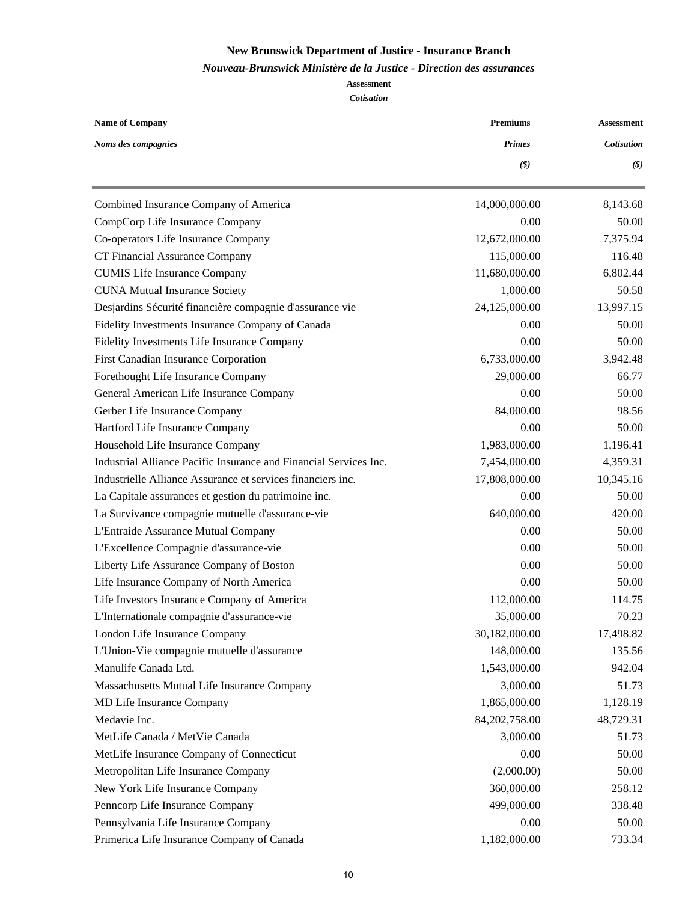#### *Nouveau-Brunswick Ministère de la Justice - Direction des assurances*

| <b>Name of Company</b>                                            | <b>Premiums</b> | <b>Assessment</b>            |  |
|-------------------------------------------------------------------|-----------------|------------------------------|--|
| Noms des compagnies                                               | <b>Primes</b>   | <b>Cotisation</b>            |  |
|                                                                   | (3)             | $(\boldsymbol{\mathcal{S}})$ |  |
| Combined Insurance Company of America                             | 14,000,000.00   | 8,143.68                     |  |
| CompCorp Life Insurance Company                                   | 0.00            | 50.00                        |  |
| Co-operators Life Insurance Company                               | 12,672,000.00   | 7,375.94                     |  |
| CT Financial Assurance Company                                    | 115,000.00      | 116.48                       |  |
| <b>CUMIS Life Insurance Company</b>                               | 11,680,000.00   | 6,802.44                     |  |
| <b>CUNA Mutual Insurance Society</b>                              | 1,000.00        | 50.58                        |  |
| Desjardins Sécurité financière compagnie d'assurance vie          | 24,125,000.00   | 13,997.15                    |  |
| Fidelity Investments Insurance Company of Canada                  | 0.00            | 50.00                        |  |
| Fidelity Investments Life Insurance Company                       | 0.00            | 50.00                        |  |
| First Canadian Insurance Corporation                              | 6,733,000.00    | 3,942.48                     |  |
| Forethought Life Insurance Company                                | 29,000.00       | 66.77                        |  |
| General American Life Insurance Company                           | 0.00            | 50.00                        |  |
| Gerber Life Insurance Company                                     | 84,000.00       | 98.56                        |  |
| Hartford Life Insurance Company                                   | 0.00            | 50.00                        |  |
| Household Life Insurance Company                                  | 1,983,000.00    | 1,196.41                     |  |
| Industrial Alliance Pacific Insurance and Financial Services Inc. | 7,454,000.00    | 4,359.31                     |  |
| Industrielle Alliance Assurance et services financiers inc.       | 17,808,000.00   | 10,345.16                    |  |
| La Capitale assurances et gestion du patrimoine inc.              | 0.00            | 50.00                        |  |
| La Survivance compagnie mutuelle d'assurance-vie                  | 640,000.00      | 420.00                       |  |
| L'Entraide Assurance Mutual Company                               | 0.00            | 50.00                        |  |
| L'Excellence Compagnie d'assurance-vie                            | 0.00            | 50.00                        |  |
| Liberty Life Assurance Company of Boston                          | 0.00            | 50.00                        |  |
| Life Insurance Company of North America                           | 0.00            | 50.00                        |  |
| Life Investors Insurance Company of America                       | 112,000.00      | 114.75                       |  |
| L'Internationale compagnie d'assurance-vie                        | 35,000.00       | 70.23                        |  |
| London Life Insurance Company                                     | 30,182,000.00   | 17,498.82                    |  |
| L'Union-Vie compagnie mutuelle d'assurance                        | 148,000.00      | 135.56                       |  |
| Manulife Canada Ltd.                                              | 1,543,000.00    | 942.04                       |  |
| Massachusetts Mutual Life Insurance Company                       | 3,000.00        | 51.73                        |  |
| MD Life Insurance Company                                         | 1,865,000.00    | 1,128.19                     |  |
| Medavie Inc.                                                      | 84,202,758.00   | 48,729.31                    |  |
| MetLife Canada / MetVie Canada                                    | 3,000.00        | 51.73                        |  |
| MetLife Insurance Company of Connecticut                          | 0.00            | 50.00                        |  |
| Metropolitan Life Insurance Company                               | (2,000.00)      | 50.00                        |  |
| New York Life Insurance Company                                   | 360,000.00      | 258.12                       |  |
| Penncorp Life Insurance Company                                   | 499,000.00      | 338.48                       |  |
| Pennsylvania Life Insurance Company                               | 0.00            | 50.00                        |  |
| Primerica Life Insurance Company of Canada                        | 1,182,000.00    | 733.34                       |  |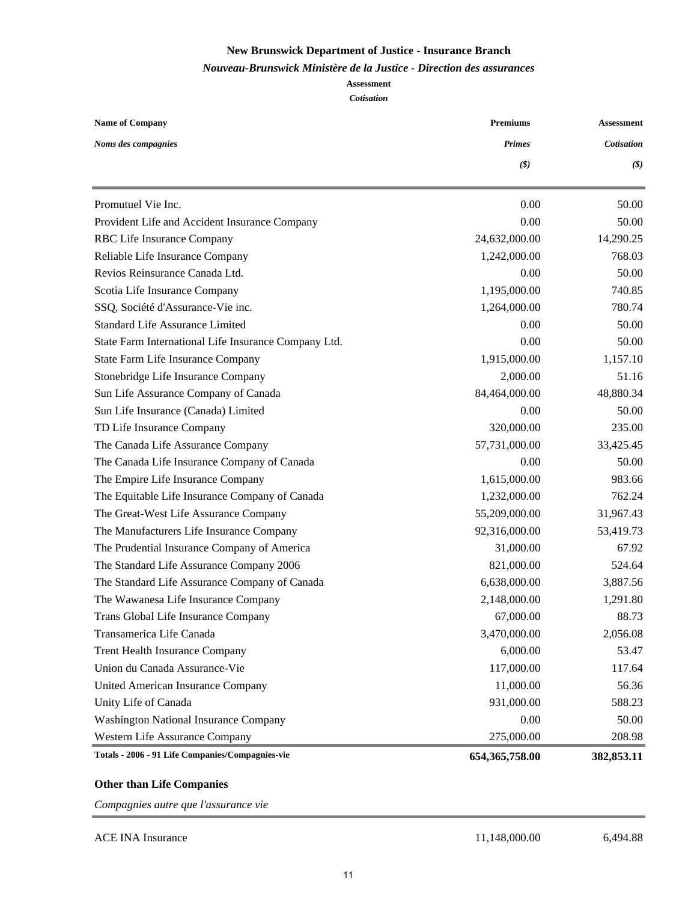#### *Nouveau-Brunswick Ministère de la Justice - Direction des assurances*

## **Assessment**

#### *Cotisation*

| <b>Name of Company</b>                               | <b>Premiums</b>  | <b>Assessment</b>            |  |
|------------------------------------------------------|------------------|------------------------------|--|
| Noms des compagnies                                  | <b>Primes</b>    | <b>Cotisation</b>            |  |
|                                                      | (3)              | $(\boldsymbol{\mathcal{S}})$ |  |
| Promutuel Vie Inc.                                   | 0.00             | 50.00                        |  |
| Provident Life and Accident Insurance Company        | 0.00             | 50.00                        |  |
| RBC Life Insurance Company                           | 24,632,000.00    | 14,290.25                    |  |
| Reliable Life Insurance Company                      | 1,242,000.00     | 768.03                       |  |
| Revios Reinsurance Canada Ltd.                       | 0.00             | 50.00                        |  |
| Scotia Life Insurance Company                        | 1,195,000.00     | 740.85                       |  |
| SSQ, Société d'Assurance-Vie inc.                    | 1,264,000.00     | 780.74                       |  |
| <b>Standard Life Assurance Limited</b>               | 0.00             | 50.00                        |  |
| State Farm International Life Insurance Company Ltd. | 0.00             | 50.00                        |  |
| State Farm Life Insurance Company                    | 1,915,000.00     | 1,157.10                     |  |
| Stonebridge Life Insurance Company                   | 2,000.00         | 51.16                        |  |
| Sun Life Assurance Company of Canada                 | 84,464,000.00    | 48,880.34                    |  |
| Sun Life Insurance (Canada) Limited                  | 0.00             | 50.00                        |  |
| TD Life Insurance Company                            | 320,000.00       | 235.00                       |  |
| The Canada Life Assurance Company                    | 57,731,000.00    | 33,425.45                    |  |
| The Canada Life Insurance Company of Canada          | 0.00             | 50.00                        |  |
| The Empire Life Insurance Company                    | 1,615,000.00     | 983.66                       |  |
| The Equitable Life Insurance Company of Canada       | 1,232,000.00     | 762.24                       |  |
| The Great-West Life Assurance Company                | 55,209,000.00    | 31,967.43                    |  |
| The Manufacturers Life Insurance Company             | 92,316,000.00    | 53,419.73                    |  |
| The Prudential Insurance Company of America          | 31,000.00        | 67.92                        |  |
| The Standard Life Assurance Company 2006             | 821,000.00       | 524.64                       |  |
| The Standard Life Assurance Company of Canada        | 6,638,000.00     | 3,887.56                     |  |
| The Wawanesa Life Insurance Company                  | 2,148,000.00     | 1,291.80                     |  |
| Trans Global Life Insurance Company                  | 67,000.00        | 88.73                        |  |
| Transamerica Life Canada                             | 3,470,000.00     | 2,056.08                     |  |
| <b>Trent Health Insurance Company</b>                | 6,000.00         | 53.47                        |  |
| Union du Canada Assurance-Vie                        | 117,000.00       | 117.64                       |  |
| United American Insurance Company                    | 11,000.00        | 56.36                        |  |
| Unity Life of Canada                                 | 931,000.00       | 588.23                       |  |
| <b>Washington National Insurance Company</b>         | 0.00             | 50.00                        |  |
| Western Life Assurance Company                       | 275,000.00       | 208.98                       |  |
| Totals - 2006 - 91 Life Companies/Compagnies-vie     | 654, 365, 758.00 | 382, 853.11                  |  |

## **Other than Life Companies**

*Compagnies autre que l'assurance vie*

ACE INA Insurance 11,148,000.00 6,494.88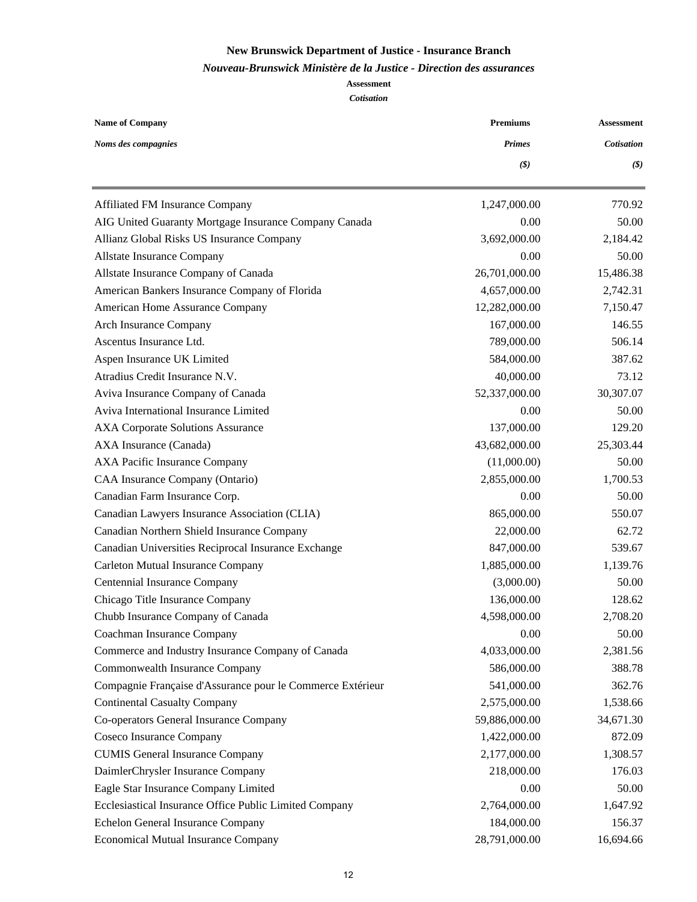#### *Nouveau-Brunswick Ministère de la Justice - Direction des assurances*

| <b>Name of Company</b>                                     | <b>Premiums</b>              | <b>Assessment</b>          |  |
|------------------------------------------------------------|------------------------------|----------------------------|--|
| Noms des compagnies                                        | <b>Primes</b>                | Cotisation                 |  |
|                                                            | $(\boldsymbol{\mathcal{S}})$ | $\left(\mathcal{S}\right)$ |  |
| Affiliated FM Insurance Company                            | 1,247,000.00                 | 770.92                     |  |
| AIG United Guaranty Mortgage Insurance Company Canada      | 0.00                         | 50.00                      |  |
| Allianz Global Risks US Insurance Company                  | 3,692,000.00                 | 2,184.42                   |  |
| Allstate Insurance Company                                 | 0.00                         | 50.00                      |  |
| Allstate Insurance Company of Canada                       | 26,701,000.00                | 15,486.38                  |  |
| American Bankers Insurance Company of Florida              | 4,657,000.00                 | 2,742.31                   |  |
| American Home Assurance Company                            | 12,282,000.00                | 7,150.47                   |  |
| Arch Insurance Company                                     | 167,000.00                   | 146.55                     |  |
| Ascentus Insurance Ltd.                                    | 789,000.00                   | 506.14                     |  |
| Aspen Insurance UK Limited                                 | 584,000.00                   | 387.62                     |  |
| Atradius Credit Insurance N.V.                             | 40,000.00                    | 73.12                      |  |
| Aviva Insurance Company of Canada                          | 52,337,000.00                | 30,307.07                  |  |
| Aviva International Insurance Limited                      | 0.00                         | 50.00                      |  |
| <b>AXA Corporate Solutions Assurance</b>                   | 137,000.00                   | 129.20                     |  |
| AXA Insurance (Canada)                                     | 43,682,000.00                | 25,303.44                  |  |
| AXA Pacific Insurance Company                              | (11,000.00)                  | 50.00                      |  |
| CAA Insurance Company (Ontario)                            | 2,855,000.00                 | 1,700.53                   |  |
| Canadian Farm Insurance Corp.                              | 0.00                         | 50.00                      |  |
| Canadian Lawyers Insurance Association (CLIA)              | 865,000.00                   | 550.07                     |  |
| Canadian Northern Shield Insurance Company                 | 22,000.00                    | 62.72                      |  |
| Canadian Universities Reciprocal Insurance Exchange        | 847,000.00                   | 539.67                     |  |
| Carleton Mutual Insurance Company                          | 1,885,000.00                 | 1,139.76                   |  |
| Centennial Insurance Company                               | (3,000.00)                   | 50.00                      |  |
| Chicago Title Insurance Company                            | 136,000.00                   | 128.62                     |  |
| Chubb Insurance Company of Canada                          | 4,598,000.00                 | 2,708.20                   |  |
| Coachman Insurance Company                                 | 0.00                         | 50.00                      |  |
| Commerce and Industry Insurance Company of Canada          | 4,033,000.00                 | 2,381.56                   |  |
| Commonwealth Insurance Company                             | 586,000.00                   | 388.78                     |  |
| Compagnie Française d'Assurance pour le Commerce Extérieur | 541,000.00                   | 362.76                     |  |
| <b>Continental Casualty Company</b>                        | 2,575,000.00                 | 1,538.66                   |  |
| Co-operators General Insurance Company                     | 59,886,000.00                | 34,671.30                  |  |
| Coseco Insurance Company                                   | 1,422,000.00                 | 872.09                     |  |
| <b>CUMIS General Insurance Company</b>                     | 2,177,000.00                 | 1,308.57                   |  |
| DaimlerChrysler Insurance Company                          | 218,000.00                   | 176.03                     |  |
| Eagle Star Insurance Company Limited                       | 0.00                         | 50.00                      |  |
| Ecclesiastical Insurance Office Public Limited Company     | 2,764,000.00                 | 1,647.92                   |  |
| Echelon General Insurance Company                          | 184,000.00                   | 156.37                     |  |
| <b>Economical Mutual Insurance Company</b>                 | 28,791,000.00                | 16,694.66                  |  |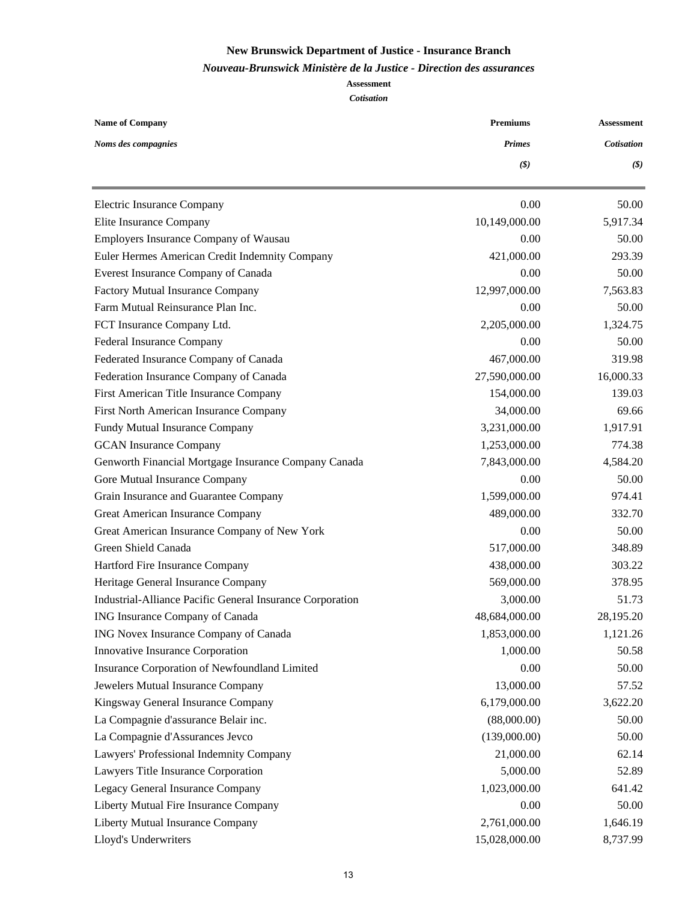#### *Nouveau-Brunswick Ministère de la Justice - Direction des assurances*

| <b>Name of Company</b>                                    | <b>Premiums</b> | <b>Assessment</b>            |  |
|-----------------------------------------------------------|-----------------|------------------------------|--|
| Noms des compagnies                                       | <b>Primes</b>   | <b>Cotisation</b>            |  |
|                                                           | (3)             | $(\boldsymbol{\mathcal{S}})$ |  |
| Electric Insurance Company                                | 0.00            | 50.00                        |  |
| Elite Insurance Company                                   | 10,149,000.00   | 5,917.34                     |  |
| Employers Insurance Company of Wausau                     | 0.00            | 50.00                        |  |
| Euler Hermes American Credit Indemnity Company            | 421,000.00      | 293.39                       |  |
| Everest Insurance Company of Canada                       | 0.00            | 50.00                        |  |
| Factory Mutual Insurance Company                          | 12,997,000.00   | 7,563.83                     |  |
| Farm Mutual Reinsurance Plan Inc.                         | 0.00            | 50.00                        |  |
| FCT Insurance Company Ltd.                                | 2,205,000.00    | 1,324.75                     |  |
| Federal Insurance Company                                 | 0.00            | 50.00                        |  |
| Federated Insurance Company of Canada                     | 467,000.00      | 319.98                       |  |
| Federation Insurance Company of Canada                    | 27,590,000.00   | 16,000.33                    |  |
| First American Title Insurance Company                    | 154,000.00      | 139.03                       |  |
| First North American Insurance Company                    | 34,000.00       | 69.66                        |  |
| Fundy Mutual Insurance Company                            | 3,231,000.00    | 1,917.91                     |  |
| <b>GCAN</b> Insurance Company                             | 1,253,000.00    | 774.38                       |  |
| Genworth Financial Mortgage Insurance Company Canada      | 7,843,000.00    | 4,584.20                     |  |
| Gore Mutual Insurance Company                             | 0.00            | 50.00                        |  |
| Grain Insurance and Guarantee Company                     | 1,599,000.00    | 974.41                       |  |
| Great American Insurance Company                          | 489,000.00      | 332.70                       |  |
| Great American Insurance Company of New York              | 0.00            | 50.00                        |  |
| Green Shield Canada                                       | 517,000.00      | 348.89                       |  |
| Hartford Fire Insurance Company                           | 438,000.00      | 303.22                       |  |
| Heritage General Insurance Company                        | 569,000.00      | 378.95                       |  |
| Industrial-Alliance Pacific General Insurance Corporation | 3,000.00        | 51.73                        |  |
| ING Insurance Company of Canada                           | 48,684,000.00   | 28,195.20                    |  |
| ING Novex Insurance Company of Canada                     | 1,853,000.00    | 1,121.26                     |  |
| Innovative Insurance Corporation                          | 1,000.00        | 50.58                        |  |
| Insurance Corporation of Newfoundland Limited             | 0.00            | 50.00                        |  |
| Jewelers Mutual Insurance Company                         | 13,000.00       | 57.52                        |  |
| Kingsway General Insurance Company                        | 6,179,000.00    | 3,622.20                     |  |
| La Compagnie d'assurance Belair inc.                      | (88,000.00)     | 50.00                        |  |
| La Compagnie d'Assurances Jevco                           | (139,000.00)    | 50.00                        |  |
| Lawyers' Professional Indemnity Company                   | 21,000.00       | 62.14                        |  |
| Lawyers Title Insurance Corporation                       | 5,000.00        | 52.89                        |  |
| Legacy General Insurance Company                          | 1,023,000.00    | 641.42                       |  |
| Liberty Mutual Fire Insurance Company                     | 0.00            | 50.00                        |  |
| Liberty Mutual Insurance Company                          | 2,761,000.00    | 1,646.19                     |  |
| Lloyd's Underwriters                                      | 15,028,000.00   | 8,737.99                     |  |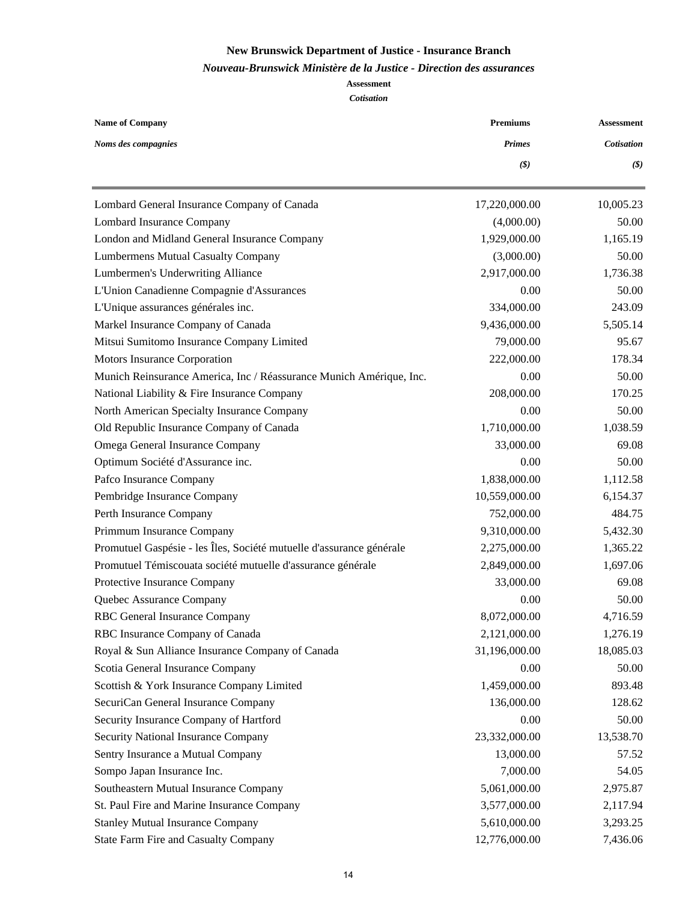#### *Nouveau-Brunswick Ministère de la Justice - Direction des assurances*

| <b>Name of Company</b>                                               | <b>Premiums</b> | <b>Assessment</b>            |
|----------------------------------------------------------------------|-----------------|------------------------------|
| Noms des compagnies                                                  | <b>Primes</b>   | <b>Cotisation</b>            |
|                                                                      | (3)             | $(\boldsymbol{\mathcal{S}})$ |
| Lombard General Insurance Company of Canada                          | 17,220,000.00   | 10,005.23                    |
| Lombard Insurance Company                                            | (4,000.00)      | 50.00                        |
| London and Midland General Insurance Company                         | 1,929,000.00    | 1,165.19                     |
| <b>Lumbermens Mutual Casualty Company</b>                            | (3,000.00)      | 50.00                        |
| Lumbermen's Underwriting Alliance                                    | 2,917,000.00    | 1,736.38                     |
| L'Union Canadienne Compagnie d'Assurances                            | 0.00            | 50.00                        |
| L'Unique assurances générales inc.                                   | 334,000.00      | 243.09                       |
| Markel Insurance Company of Canada                                   | 9,436,000.00    | 5,505.14                     |
| Mitsui Sumitomo Insurance Company Limited                            | 79,000.00       | 95.67                        |
| Motors Insurance Corporation                                         | 222,000.00      | 178.34                       |
| Munich Reinsurance America, Inc / Réassurance Munich Amérique, Inc.  | 0.00            | 50.00                        |
| National Liability & Fire Insurance Company                          | 208,000.00      | 170.25                       |
| North American Specialty Insurance Company                           | 0.00            | 50.00                        |
| Old Republic Insurance Company of Canada                             | 1,710,000.00    | 1,038.59                     |
| Omega General Insurance Company                                      | 33,000.00       | 69.08                        |
| Optimum Société d'Assurance inc.                                     | 0.00            | 50.00                        |
| Pafco Insurance Company                                              | 1,838,000.00    | 1,112.58                     |
| Pembridge Insurance Company                                          | 10,559,000.00   | 6,154.37                     |
| Perth Insurance Company                                              | 752,000.00      | 484.75                       |
| Primmum Insurance Company                                            | 9,310,000.00    | 5,432.30                     |
| Promutuel Gaspésie - les Îles, Société mutuelle d'assurance générale | 2,275,000.00    | 1,365.22                     |
| Promutuel Témiscouata société mutuelle d'assurance générale          | 2,849,000.00    | 1,697.06                     |
| Protective Insurance Company                                         | 33,000.00       | 69.08                        |
| Quebec Assurance Company                                             | 0.00            | 50.00                        |
| RBC General Insurance Company                                        | 8,072,000.00    | 4,716.59                     |
| RBC Insurance Company of Canada                                      | 2,121,000.00    | 1,276.19                     |
| Royal & Sun Alliance Insurance Company of Canada                     | 31,196,000.00   | 18,085.03                    |
| Scotia General Insurance Company                                     | 0.00            | 50.00                        |
| Scottish & York Insurance Company Limited                            | 1,459,000.00    | 893.48                       |
| SecuriCan General Insurance Company                                  | 136,000.00      | 128.62                       |
| Security Insurance Company of Hartford                               | 0.00            | 50.00                        |
| Security National Insurance Company                                  | 23,332,000.00   | 13,538.70                    |
| Sentry Insurance a Mutual Company                                    | 13,000.00       | 57.52                        |
| Sompo Japan Insurance Inc.                                           | 7,000.00        | 54.05                        |
| Southeastern Mutual Insurance Company                                | 5,061,000.00    | 2,975.87                     |
| St. Paul Fire and Marine Insurance Company                           | 3,577,000.00    | 2,117.94                     |
| <b>Stanley Mutual Insurance Company</b>                              | 5,610,000.00    | 3,293.25                     |
| <b>State Farm Fire and Casualty Company</b>                          | 12,776,000.00   | 7,436.06                     |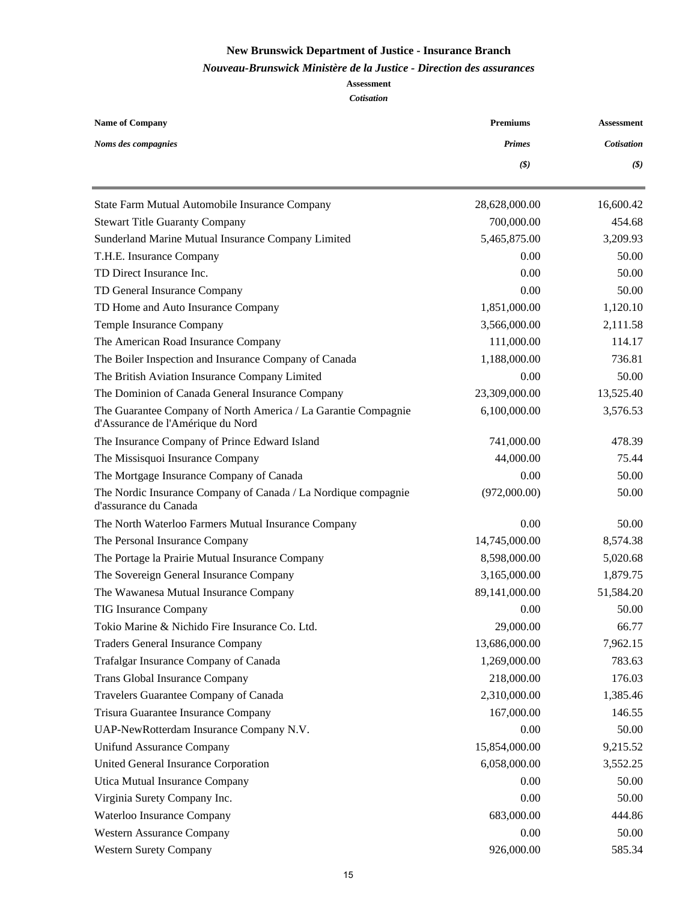#### *Nouveau-Brunswick Ministère de la Justice - Direction des assurances*

| <b>Name of Company</b>                                                                              | <b>Premiums</b> | <b>Assessment</b>            |  |
|-----------------------------------------------------------------------------------------------------|-----------------|------------------------------|--|
| Noms des compagnies                                                                                 | <b>Primes</b>   | <b>Cotisation</b>            |  |
|                                                                                                     | (3)             | $(\boldsymbol{\mathcal{S}})$ |  |
| State Farm Mutual Automobile Insurance Company                                                      | 28,628,000.00   | 16,600.42                    |  |
| <b>Stewart Title Guaranty Company</b>                                                               | 700,000.00      | 454.68                       |  |
| Sunderland Marine Mutual Insurance Company Limited                                                  | 5,465,875.00    | 3,209.93                     |  |
| T.H.E. Insurance Company                                                                            | 0.00            | 50.00                        |  |
| TD Direct Insurance Inc.                                                                            | 0.00            | 50.00                        |  |
| TD General Insurance Company                                                                        | 0.00            | 50.00                        |  |
| TD Home and Auto Insurance Company                                                                  | 1,851,000.00    | 1,120.10                     |  |
| Temple Insurance Company                                                                            | 3,566,000.00    | 2,111.58                     |  |
| The American Road Insurance Company                                                                 | 111,000.00      | 114.17                       |  |
| The Boiler Inspection and Insurance Company of Canada                                               | 1,188,000.00    | 736.81                       |  |
| The British Aviation Insurance Company Limited                                                      | 0.00            | 50.00                        |  |
| The Dominion of Canada General Insurance Company                                                    | 23,309,000.00   | 13,525.40                    |  |
| The Guarantee Company of North America / La Garantie Compagnie<br>d'Assurance de l'Amérique du Nord | 6,100,000.00    | 3,576.53                     |  |
| The Insurance Company of Prince Edward Island                                                       | 741,000.00      | 478.39                       |  |
| The Missisquoi Insurance Company                                                                    | 44,000.00       | 75.44                        |  |
| The Mortgage Insurance Company of Canada                                                            | 0.00            | 50.00                        |  |
| The Nordic Insurance Company of Canada / La Nordique compagnie<br>d'assurance du Canada             | (972,000.00)    | 50.00                        |  |
| The North Waterloo Farmers Mutual Insurance Company                                                 | 0.00            | 50.00                        |  |
| The Personal Insurance Company                                                                      | 14,745,000.00   | 8,574.38                     |  |
| The Portage la Prairie Mutual Insurance Company                                                     | 8,598,000.00    | 5,020.68                     |  |
| The Sovereign General Insurance Company                                                             | 3,165,000.00    | 1,879.75                     |  |
| The Wawanesa Mutual Insurance Company                                                               | 89,141,000.00   | 51,584.20                    |  |
| <b>TIG Insurance Company</b>                                                                        | 0.00            | 50.00                        |  |
| Tokio Marine & Nichido Fire Insurance Co. Ltd.                                                      | 29,000.00       | 66.77                        |  |
| <b>Traders General Insurance Company</b>                                                            | 13,686,000.00   | 7,962.15                     |  |
| Trafalgar Insurance Company of Canada                                                               | 1,269,000.00    | 783.63                       |  |
| <b>Trans Global Insurance Company</b>                                                               | 218,000.00      | 176.03                       |  |
| Travelers Guarantee Company of Canada                                                               | 2,310,000.00    | 1,385.46                     |  |
| Trisura Guarantee Insurance Company                                                                 | 167,000.00      | 146.55                       |  |
| UAP-NewRotterdam Insurance Company N.V.                                                             | 0.00            | 50.00                        |  |
| <b>Unifund Assurance Company</b>                                                                    | 15,854,000.00   | 9,215.52                     |  |
| United General Insurance Corporation                                                                | 6,058,000.00    | 3,552.25                     |  |
| Utica Mutual Insurance Company                                                                      | 0.00            | 50.00                        |  |
| Virginia Surety Company Inc.                                                                        | 0.00            | 50.00                        |  |
| Waterloo Insurance Company                                                                          | 683,000.00      | 444.86                       |  |
| <b>Western Assurance Company</b>                                                                    | 0.00            | 50.00                        |  |
| <b>Western Surety Company</b>                                                                       | 926,000.00      | 585.34                       |  |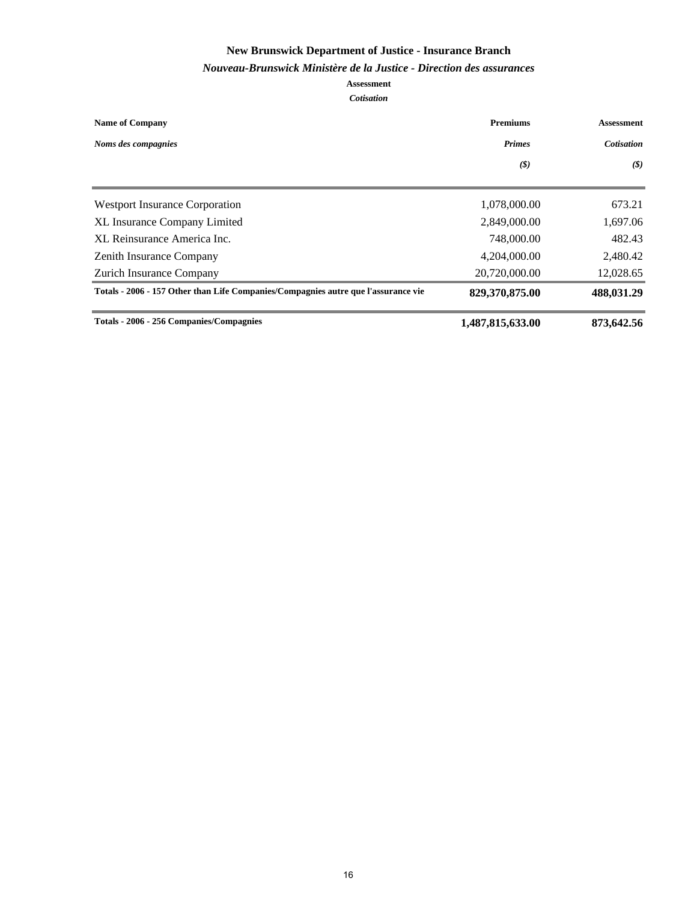#### *Nouveau-Brunswick Ministère de la Justice - Direction des assurances*

| <b>Name of Company</b>                                                             | <b>Premiums</b><br>Assessment |                             |
|------------------------------------------------------------------------------------|-------------------------------|-----------------------------|
| Noms des compagnies                                                                | <b>Primes</b>                 | <b>Cotisation</b>           |
|                                                                                    | $\left( \mathcal{S}\right)$   | $\left( \mathcal{S}\right)$ |
| <b>Westport Insurance Corporation</b>                                              | 1,078,000.00                  | 673.21                      |
| <b>XL Insurance Company Limited</b>                                                | 2,849,000.00                  | 1,697.06                    |
| XL Reinsurance America Inc.                                                        | 748,000.00                    | 482.43                      |
| <b>Zenith Insurance Company</b>                                                    | 4,204,000.00                  | 2,480.42                    |
| Zurich Insurance Company                                                           | 20,720,000.00                 | 12,028.65                   |
| Totals - 2006 - 157 Other than Life Companies/Compagnies autre que l'assurance vie | 829,370,875.00                | 488,031.29                  |
| Totals - 2006 - 256 Companies/Compagnies                                           | 1,487,815,633.00              | 873,642.56                  |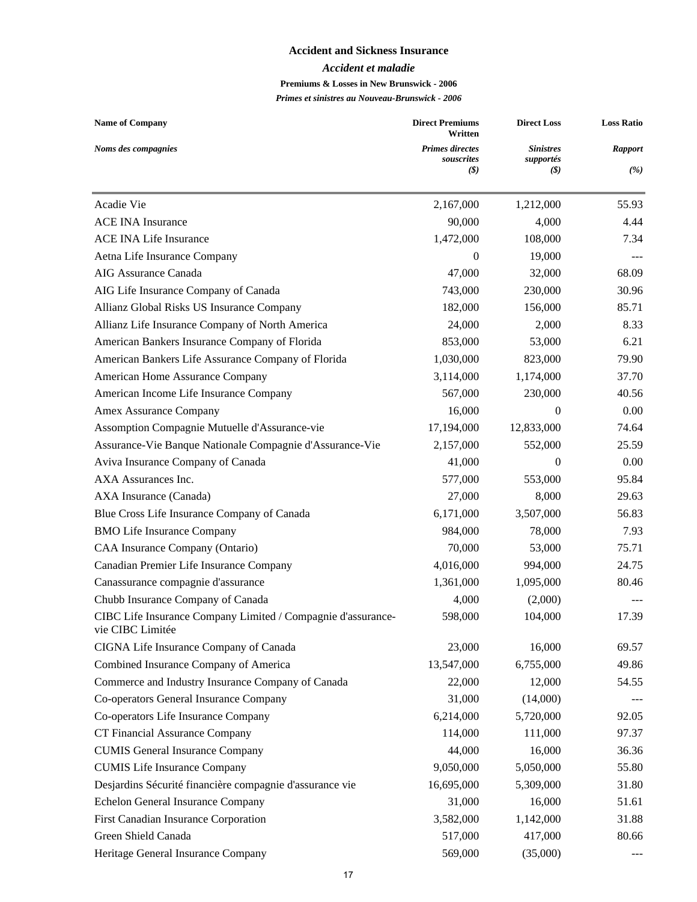#### **Accident and Sickness Insurance**

#### *Accident et maladie*

#### **Premiums & Losses in New Brunswick - 2006**

| <b>Name of Company</b>                                                           | <b>Direct Premiums</b><br>Written | <b>Direct Loss</b> | <b>Loss Ratio</b> |  |
|----------------------------------------------------------------------------------|-----------------------------------|--------------------|-------------------|--|
| Noms des compagnies                                                              | <b>Primes directes</b>            | <b>Sinistres</b>   | <b>Rapport</b>    |  |
|                                                                                  | souscrites<br>(S)                 | supportés<br>(S)   | (%)               |  |
| Acadie Vie                                                                       | 2,167,000                         | 1,212,000          | 55.93             |  |
| <b>ACE INA Insurance</b>                                                         | 90,000                            | 4,000              | 4.44              |  |
| <b>ACE INA Life Insurance</b>                                                    | 1,472,000                         | 108,000            | 7.34              |  |
| Aetna Life Insurance Company                                                     | $\boldsymbol{0}$                  | 19,000             |                   |  |
| AIG Assurance Canada                                                             | 47,000                            | 32,000             | 68.09             |  |
| AIG Life Insurance Company of Canada                                             | 743,000                           | 230,000            | 30.96             |  |
| Allianz Global Risks US Insurance Company                                        | 182,000                           | 156,000            | 85.71             |  |
| Allianz Life Insurance Company of North America                                  | 24,000                            | 2,000              | 8.33              |  |
| American Bankers Insurance Company of Florida                                    | 853,000                           | 53,000             | 6.21              |  |
| American Bankers Life Assurance Company of Florida                               | 1,030,000                         | 823,000            | 79.90             |  |
| American Home Assurance Company                                                  | 3,114,000                         | 1,174,000          | 37.70             |  |
| American Income Life Insurance Company                                           | 567,000                           | 230,000            | 40.56             |  |
| Amex Assurance Company                                                           | 16,000                            | 0                  | 0.00              |  |
| Assomption Compagnie Mutuelle d'Assurance-vie                                    | 17,194,000                        | 12,833,000         | 74.64             |  |
| Assurance-Vie Banque Nationale Compagnie d'Assurance-Vie                         | 2,157,000                         | 552,000            | 25.59             |  |
| Aviva Insurance Company of Canada                                                | 41,000                            | 0                  | 0.00              |  |
| AXA Assurances Inc.                                                              | 577,000                           | 553,000            | 95.84             |  |
| AXA Insurance (Canada)                                                           | 27,000                            | 8,000              | 29.63             |  |
| Blue Cross Life Insurance Company of Canada                                      | 6,171,000                         | 3,507,000          | 56.83             |  |
| <b>BMO Life Insurance Company</b>                                                | 984,000                           | 78,000             | 7.93              |  |
| CAA Insurance Company (Ontario)                                                  | 70,000                            | 53,000             | 75.71             |  |
| Canadian Premier Life Insurance Company                                          | 4,016,000                         | 994,000            | 24.75             |  |
| Canassurance compagnie d'assurance                                               | 1,361,000                         | 1,095,000          | 80.46             |  |
| Chubb Insurance Company of Canada                                                | 4,000                             | (2,000)            |                   |  |
| CIBC Life Insurance Company Limited / Compagnie d'assurance-<br>vie CIBC Limitée | 598,000                           | 104,000            | 17.39             |  |
| CIGNA Life Insurance Company of Canada                                           | 23,000                            | 16,000             | 69.57             |  |
| Combined Insurance Company of America                                            | 13,547,000                        | 6,755,000          | 49.86             |  |
| Commerce and Industry Insurance Company of Canada                                | 22,000                            | 12,000             | 54.55             |  |
| Co-operators General Insurance Company                                           | 31,000                            | (14,000)           |                   |  |
| Co-operators Life Insurance Company                                              | 6,214,000                         | 5,720,000          | 92.05             |  |
| CT Financial Assurance Company                                                   | 114,000                           | 111,000            | 97.37             |  |
| <b>CUMIS General Insurance Company</b>                                           | 44,000                            | 16,000             | 36.36             |  |
| <b>CUMIS</b> Life Insurance Company                                              | 9,050,000                         | 5,050,000          | 55.80             |  |
| Desjardins Sécurité financière compagnie d'assurance vie                         | 16,695,000                        | 5,309,000          | 31.80             |  |
| Echelon General Insurance Company                                                | 31,000                            | 16,000             | 51.61             |  |
| First Canadian Insurance Corporation                                             | 3,582,000                         | 1,142,000          | 31.88             |  |
| Green Shield Canada                                                              | 517,000                           | 417,000            | 80.66             |  |
| Heritage General Insurance Company                                               | 569,000                           | (35,000)           |                   |  |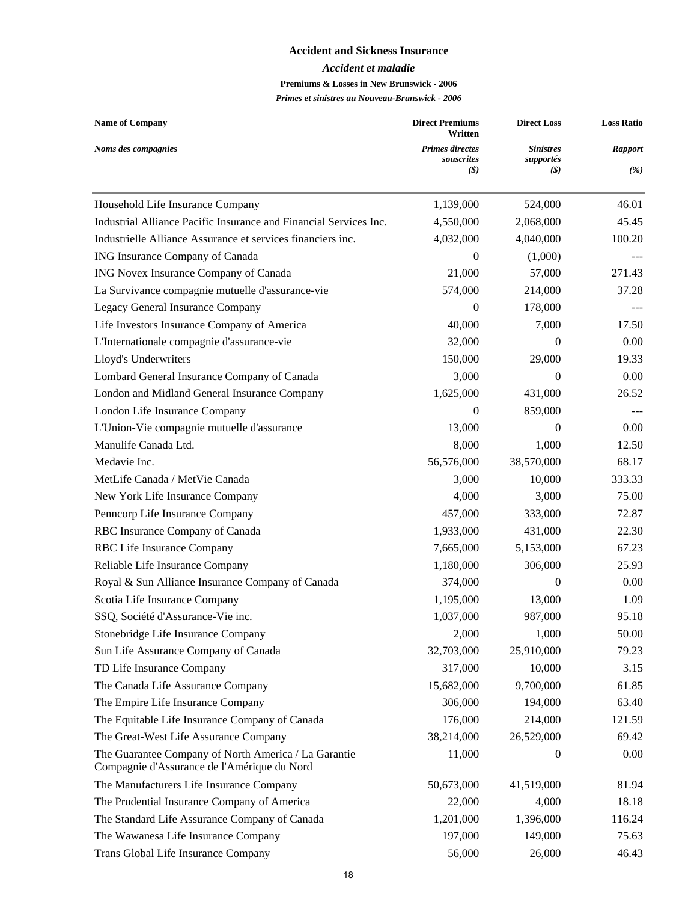#### **Accident and Sickness Insurance**

#### *Accident et maladie*

#### **Premiums & Losses in New Brunswick - 2006**

| <b>Name of Company</b>                                                                              | <b>Direct Premiums</b><br>Written    | <b>Direct Loss</b>            | <b>Loss Ratio</b> |
|-----------------------------------------------------------------------------------------------------|--------------------------------------|-------------------------------|-------------------|
| Noms des compagnies                                                                                 | <b>Primes directes</b><br>souscrites | <b>Sinistres</b><br>supportés | <b>Rapport</b>    |
|                                                                                                     | $\left(\frac{1}{2}\right)$           | (S)                           | (%)               |
| Household Life Insurance Company                                                                    | 1,139,000                            | 524,000                       | 46.01             |
| Industrial Alliance Pacific Insurance and Financial Services Inc.                                   | 4,550,000                            | 2,068,000                     | 45.45             |
| Industrielle Alliance Assurance et services financiers inc.                                         | 4,032,000                            | 4,040,000                     | 100.20            |
| ING Insurance Company of Canada                                                                     | $\mathbf{0}$                         | (1,000)                       |                   |
| ING Novex Insurance Company of Canada                                                               | 21,000                               | 57,000                        | 271.43            |
| La Survivance compagnie mutuelle d'assurance-vie                                                    | 574,000                              | 214,000                       | 37.28             |
| Legacy General Insurance Company                                                                    | $\theta$                             | 178,000                       |                   |
| Life Investors Insurance Company of America                                                         | 40,000                               | 7,000                         | 17.50             |
| L'Internationale compagnie d'assurance-vie                                                          | 32,000                               | $\theta$                      | 0.00              |
| Lloyd's Underwriters                                                                                | 150,000                              | 29,000                        | 19.33             |
| Lombard General Insurance Company of Canada                                                         | 3,000                                | 0                             | 0.00              |
| London and Midland General Insurance Company                                                        | 1,625,000                            | 431,000                       | 26.52             |
| London Life Insurance Company                                                                       | $\theta$                             | 859,000                       |                   |
| L'Union-Vie compagnie mutuelle d'assurance                                                          | 13,000                               | 0                             | 0.00              |
| Manulife Canada Ltd.                                                                                | 8,000                                | 1,000                         | 12.50             |
| Medavie Inc.                                                                                        | 56,576,000                           | 38,570,000                    | 68.17             |
| MetLife Canada / MetVie Canada                                                                      | 3,000                                | 10,000                        | 333.33            |
| New York Life Insurance Company                                                                     | 4,000                                | 3,000                         | 75.00             |
| Penncorp Life Insurance Company                                                                     | 457,000                              | 333,000                       | 72.87             |
| RBC Insurance Company of Canada                                                                     | 1,933,000                            | 431,000                       | 22.30             |
| RBC Life Insurance Company                                                                          | 7,665,000                            | 5,153,000                     | 67.23             |
| Reliable Life Insurance Company                                                                     | 1,180,000                            | 306,000                       | 25.93             |
| Royal & Sun Alliance Insurance Company of Canada                                                    | 374,000                              | $\boldsymbol{0}$              | 0.00              |
| Scotia Life Insurance Company                                                                       | 1,195,000                            | 13,000                        | 1.09              |
| SSQ, Société d'Assurance-Vie inc.                                                                   | 1,037,000                            | 987,000                       | 95.18             |
| Stonebridge Life Insurance Company                                                                  | 2,000                                | 1,000                         | 50.00             |
| Sun Life Assurance Company of Canada                                                                | 32,703,000                           | 25,910,000                    | 79.23             |
| TD Life Insurance Company                                                                           | 317,000                              | 10,000                        | 3.15              |
| The Canada Life Assurance Company                                                                   | 15,682,000                           | 9,700,000                     | 61.85             |
| The Empire Life Insurance Company                                                                   | 306,000                              | 194,000                       | 63.40             |
| The Equitable Life Insurance Company of Canada                                                      | 176,000                              | 214,000                       | 121.59            |
| The Great-West Life Assurance Company                                                               | 38,214,000                           | 26,529,000                    | 69.42             |
| The Guarantee Company of North America / La Garantie<br>Compagnie d'Assurance de l'Amérique du Nord | 11,000                               | $\mathbf{0}$                  | 0.00              |
| The Manufacturers Life Insurance Company                                                            | 50,673,000                           | 41,519,000                    | 81.94             |
| The Prudential Insurance Company of America                                                         | 22,000                               | 4,000                         | 18.18             |
| The Standard Life Assurance Company of Canada                                                       | 1,201,000                            | 1,396,000                     | 116.24            |
| The Wawanesa Life Insurance Company                                                                 | 197,000                              | 149,000                       | 75.63             |
| Trans Global Life Insurance Company                                                                 | 56,000                               | 26,000                        | 46.43             |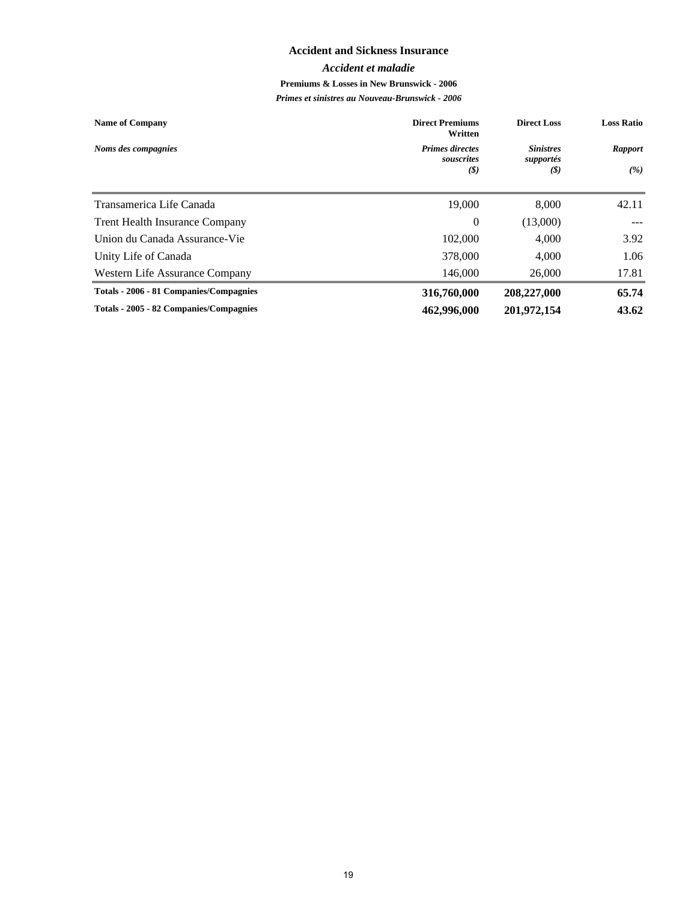#### **Accident and Sickness Insurance**

#### *Accident et maladie*

#### **Premiums & Losses in New Brunswick - 2006**

| <b>Name of Company</b>                  | <b>Direct Premiums</b><br>Written    | <b>Direct Loss</b>            | <b>Loss Ratio</b> |
|-----------------------------------------|--------------------------------------|-------------------------------|-------------------|
| Noms des compagnies                     | <b>Primes directes</b><br>souscrites | <b>Sinistres</b><br>supportés | <b>Rapport</b>    |
|                                         | (S)                                  | (S)                           | (%)               |
| Transamerica Life Canada                | 19,000                               | 8,000                         | 42.11             |
| <b>Trent Health Insurance Company</b>   | $\theta$                             | (13,000)                      |                   |
| Union du Canada Assurance-Vie           | 102,000                              | 4,000                         | 3.92              |
| Unity Life of Canada                    | 378,000                              | 4.000                         | 1.06              |
| Western Life Assurance Company          | 146,000                              | 26,000                        | 17.81             |
| Totals - 2006 - 81 Companies/Compagnies | 316,760,000                          | 208,227,000                   | 65.74             |
| Totals - 2005 - 82 Companies/Compagnies | 462,996,000                          | 201,972,154                   | 43.62             |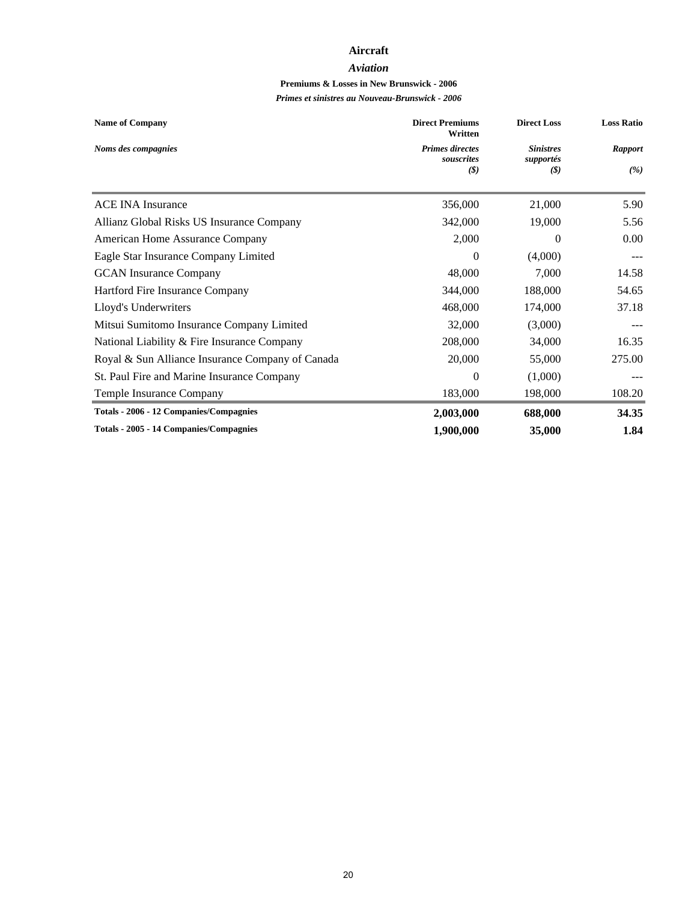#### **Aircraft**

#### *Aviation*

## **Premiums & Losses in New Brunswick - 2006**

| <b>Name of Company</b>                           | <b>Direct Premiums</b><br>Written | <b>Direct Loss</b> | <b>Loss Ratio</b> |
|--------------------------------------------------|-----------------------------------|--------------------|-------------------|
| Noms des compagnies                              | <b>Primes directes</b>            | <b>Sinistres</b>   | <b>Rapport</b>    |
|                                                  | souscrites<br>(S)                 | supportés<br>(S)   | (%)               |
| <b>ACE INA Insurance</b>                         | 356,000                           | 21,000             | 5.90              |
| Allianz Global Risks US Insurance Company        | 342,000                           | 19,000             | 5.56              |
| American Home Assurance Company                  | 2,000                             | $\Omega$           | 0.00              |
| Eagle Star Insurance Company Limited             | $\theta$                          | (4,000)            |                   |
| <b>GCAN</b> Insurance Company                    | 48,000                            | 7,000              | 14.58             |
| Hartford Fire Insurance Company                  | 344,000                           | 188,000            | 54.65             |
| Lloyd's Underwriters                             | 468,000                           | 174,000            | 37.18             |
| Mitsui Sumitomo Insurance Company Limited        | 32,000                            | (3,000)            |                   |
| National Liability & Fire Insurance Company      | 208,000                           | 34,000             | 16.35             |
| Royal & Sun Alliance Insurance Company of Canada | 20,000                            | 55,000             | 275.00            |
| St. Paul Fire and Marine Insurance Company       | $\Omega$                          | (1,000)            |                   |
| Temple Insurance Company                         | 183,000                           | 198,000            | 108.20            |
| Totals - 2006 - 12 Companies/Compagnies          | 2,003,000                         | 688,000            | 34.35             |
| <b>Totals - 2005 - 14 Companies/Compagnies</b>   | 1,900,000                         | 35,000             | 1.84              |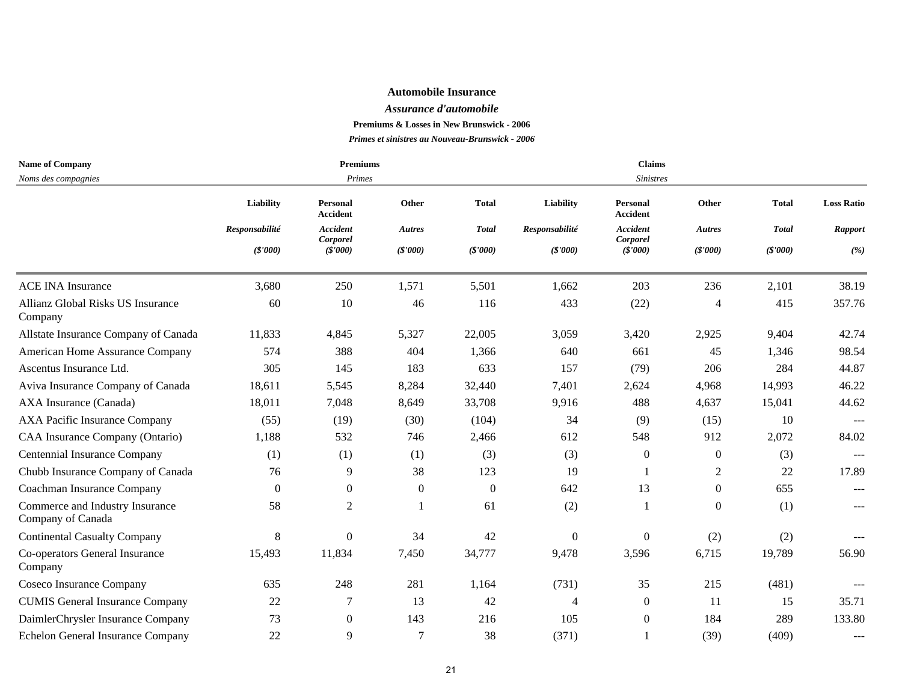#### *Assurance d'automobile*

**Premiums & Losses in New Brunswick - 2006**

| <b>Name of Company</b>                               |                | <b>Premiums</b>             |                  |              |                | <b>Claims</b>                      |                |              |                     |  |  |
|------------------------------------------------------|----------------|-----------------------------|------------------|--------------|----------------|------------------------------------|----------------|--------------|---------------------|--|--|
| Noms des compagnies                                  |                | Primes                      |                  |              |                | <b>Sinistres</b>                   |                |              |                     |  |  |
|                                                      | Liability      | Personal<br><b>Accident</b> | Other            | <b>Total</b> | Liability      | <b>Personal</b><br><b>Accident</b> | Other          | <b>Total</b> | <b>Loss Ratio</b>   |  |  |
|                                                      | Responsabilité | <b>Accident</b>             | Autres           | <b>Total</b> | Responsabilité | <b>Accident</b>                    | Autres         | <b>Total</b> | <b>Rapport</b>      |  |  |
|                                                      | (\$'000)       | Corporel<br>(\$'000)        | (S'000)          | (S'000)      | (\$'000)       | Corporel<br>(\$'000)               | (S'000)        | (\$'000)     | (%)                 |  |  |
| <b>ACE INA Insurance</b>                             | 3,680          | 250                         | 1,571            | 5,501        | 1,662          | 203                                | 236            | 2,101        | 38.19               |  |  |
| Allianz Global Risks US Insurance<br>Company         | 60             | 10                          | 46               | 116          | 433            | (22)                               | 4              | 415          | 357.76              |  |  |
| Allstate Insurance Company of Canada                 | 11,833         | 4,845                       | 5,327            | 22,005       | 3,059          | 3,420                              | 2,925          | 9,404        | 42.74               |  |  |
| American Home Assurance Company                      | 574            | 388                         | 404              | 1,366        | 640            | 661                                | 45             | 1,346        | 98.54               |  |  |
| Ascentus Insurance Ltd.                              | 305            | 145                         | 183              | 633          | 157            | (79)                               | 206            | 284          | 44.87               |  |  |
| Aviva Insurance Company of Canada                    | 18,611         | 5,545                       | 8,284            | 32,440       | 7,401          | 2,624                              | 4,968          | 14,993       | 46.22               |  |  |
| AXA Insurance (Canada)                               | 18,011         | 7,048                       | 8,649            | 33,708       | 9,916          | 488                                | 4,637          | 15,041       | 44.62               |  |  |
| AXA Pacific Insurance Company                        | (55)           | (19)                        | (30)             | (104)        | 34             | (9)                                | (15)           | 10           | $\qquad \qquad - -$ |  |  |
| CAA Insurance Company (Ontario)                      | 1,188          | 532                         | 746              | 2,466        | 612            | 548                                | 912            | 2,072        | 84.02               |  |  |
| Centennial Insurance Company                         | (1)            | (1)                         | (1)              | (3)          | (3)            | $\mathbf{0}$                       | $\theta$       | (3)          |                     |  |  |
| Chubb Insurance Company of Canada                    | 76             | 9                           | 38               | 123          | 19             | -1                                 | 2              | 22           | 17.89               |  |  |
| Coachman Insurance Company                           | $\Omega$       | $\boldsymbol{0}$            | $\boldsymbol{0}$ | $\Omega$     | 642            | 13                                 | $\overline{0}$ | 655          | $---$               |  |  |
| Commerce and Industry Insurance<br>Company of Canada | 58             | $\mathfrak{2}$              |                  | 61           | (2)            |                                    | $\overline{0}$ | (1)          | $---$               |  |  |
| <b>Continental Casualty Company</b>                  | 8              | $\mathbf{0}$                | 34               | 42           | $\theta$       | $\boldsymbol{0}$                   | (2)            | (2)          |                     |  |  |
| Co-operators General Insurance<br>Company            | 15,493         | 11,834                      | 7,450            | 34,777       | 9,478          | 3,596                              | 6,715          | 19,789       | 56.90               |  |  |
| Coseco Insurance Company                             | 635            | 248                         | 281              | 1,164        | (731)          | 35                                 | 215            | (481)        | $---$               |  |  |
| <b>CUMIS General Insurance Company</b>               | 22             | 7                           | 13               | 42           | $\overline{4}$ | $\boldsymbol{0}$                   | -11            | 15           | 35.71               |  |  |
| DaimlerChrysler Insurance Company                    | 73             | $\boldsymbol{0}$            | 143              | 216          | 105            | $\overline{0}$                     | 184            | 289          | 133.80              |  |  |
| Echelon General Insurance Company                    | 22             | 9                           | $\overline{7}$   | 38           | (371)          |                                    | (39)           | (409)        |                     |  |  |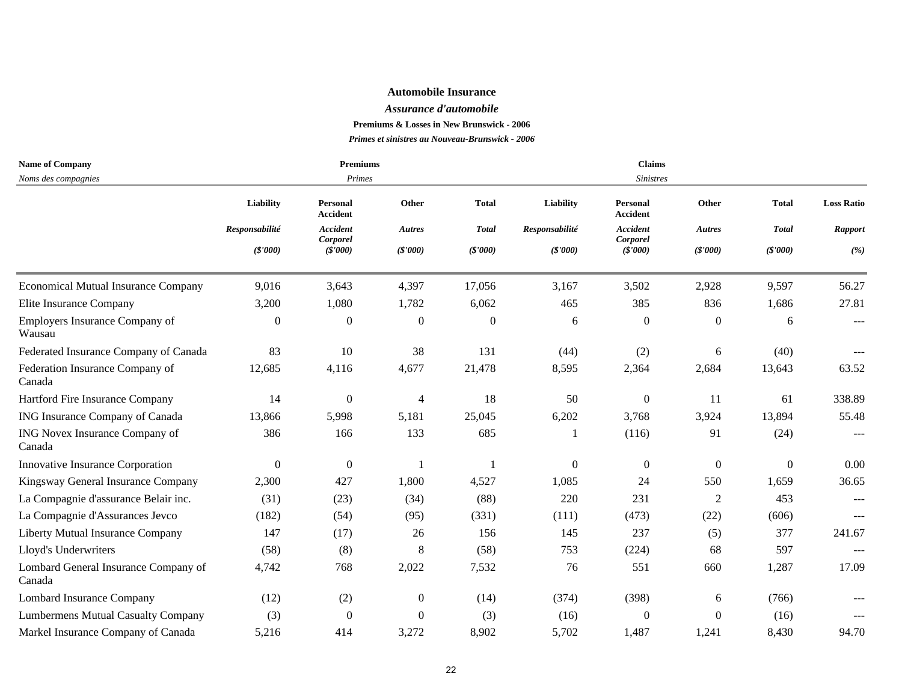#### *Assurance d'automobile*

**Premiums & Losses in New Brunswick - 2006**

| <b>Name of Company</b>                         |                  | <b>Premiums</b>             |                          |                |                | Claims                      |                  |                |                     |
|------------------------------------------------|------------------|-----------------------------|--------------------------|----------------|----------------|-----------------------------|------------------|----------------|---------------------|
| Noms des compagnies                            |                  | Primes                      |                          |                |                | <b>Sinistres</b>            |                  |                |                     |
|                                                | Liability        | Personal<br><b>Accident</b> | Other                    | <b>Total</b>   | Liability      | Personal<br><b>Accident</b> | Other            | <b>Total</b>   | <b>Loss Ratio</b>   |
|                                                | Responsabilité   | <b>Accident</b><br>Corporel | <b>Autres</b>            | <b>Total</b>   | Responsabilité | <b>Accident</b><br>Corporel | Autres           | <b>Total</b>   | <b>Rapport</b>      |
|                                                | (\$'000)         | (S'000)                     | (\$'000)                 | (S'000)        | (\$'000)       | (S'000)                     | (S'000)          | (\$'000)       | (%)                 |
| <b>Economical Mutual Insurance Company</b>     | 9,016            | 3,643                       | 4,397                    | 17,056         | 3,167          | 3,502                       | 2,928            | 9,597          | 56.27               |
| Elite Insurance Company                        | 3,200            | 1,080                       | 1,782                    | 6,062          | 465            | 385                         | 836              | 1,686          | 27.81               |
| Employers Insurance Company of<br>Wausau       | $\overline{0}$   | $\boldsymbol{0}$            | $\boldsymbol{0}$         | $\overline{0}$ | 6              | $\boldsymbol{0}$            | $\overline{0}$   | 6              | $  -$               |
| Federated Insurance Company of Canada          | 83               | 10                          | 38                       | 131            | (44)           | (2)                         | 6                | (40)           |                     |
| Federation Insurance Company of<br>Canada      | 12,685           | 4,116                       | 4,677                    | 21,478         | 8,595          | 2,364                       | 2,684            | 13,643         | 63.52               |
| Hartford Fire Insurance Company                | 14               | $\boldsymbol{0}$            | $\overline{\mathcal{A}}$ | 18             | 50             | $\boldsymbol{0}$            | 11               | 61             | 338.89              |
| ING Insurance Company of Canada                | 13,866           | 5,998                       | 5,181                    | 25,045         | 6,202          | 3,768                       | 3,924            | 13,894         | 55.48               |
| ING Novex Insurance Company of<br>Canada       | 386              | 166                         | 133                      | 685            |                | (116)                       | 91               | (24)           | $\qquad \qquad - -$ |
| Innovative Insurance Corporation               | $\boldsymbol{0}$ | $\boldsymbol{0}$            |                          |                | $\overline{0}$ | $\boldsymbol{0}$            | $\boldsymbol{0}$ | $\overline{0}$ | 0.00                |
| Kingsway General Insurance Company             | 2,300            | 427                         | 1,800                    | 4,527          | 1,085          | 24                          | 550              | 1,659          | 36.65               |
| La Compagnie d'assurance Belair inc.           | (31)             | (23)                        | (34)                     | (88)           | 220            | 231                         | 2                | 453            | $---$               |
| La Compagnie d'Assurances Jevco                | (182)            | (54)                        | (95)                     | (331)          | (111)          | (473)                       | (22)             | (606)          | $\qquad \qquad - -$ |
| Liberty Mutual Insurance Company               | 147              | (17)                        | 26                       | 156            | 145            | 237                         | (5)              | 377            | 241.67              |
| Lloyd's Underwriters                           | (58)             | (8)                         | $\,8\,$                  | (58)           | 753            | (224)                       | 68               | 597            | $---$               |
| Lombard General Insurance Company of<br>Canada | 4,742            | 768                         | 2,022                    | 7,532          | 76             | 551                         | 660              | 1,287          | 17.09               |
| <b>Lombard Insurance Company</b>               | (12)             | (2)                         | $\boldsymbol{0}$         | (14)           | (374)          | (398)                       | 6                | (766)          |                     |
| <b>Lumbermens Mutual Casualty Company</b>      | (3)              | $\Omega$                    | $\boldsymbol{0}$         | (3)            | (16)           | $\mathbf{0}$                | $\Omega$         | (16)           |                     |
| Markel Insurance Company of Canada             | 5,216            | 414                         | 3,272                    | 8,902          | 5,702          | 1,487                       | 1,241            | 8,430          | 94.70               |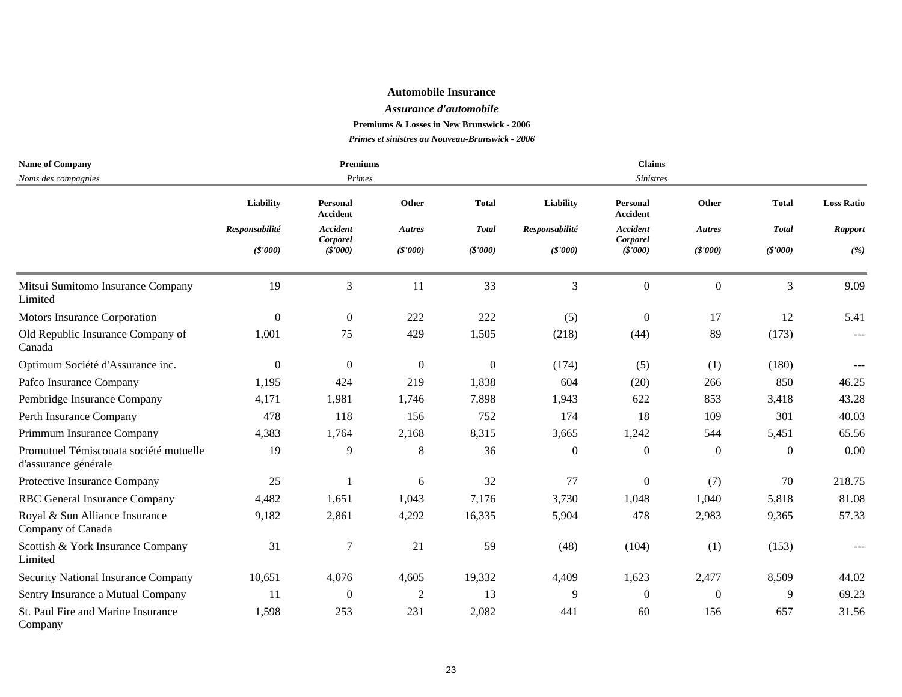#### *Assurance d'automobile*

**Premiums & Losses in New Brunswick - 2006**

| <b>Name of Company</b>                                         |                  | <b>Premiums</b>             |                |              |                | <b>Claims</b>               |                  |              |                   |
|----------------------------------------------------------------|------------------|-----------------------------|----------------|--------------|----------------|-----------------------------|------------------|--------------|-------------------|
| Noms des compagnies                                            |                  | Primes                      |                |              |                | <b>Sinistres</b>            |                  |              |                   |
|                                                                | <b>Liability</b> | Personal<br>Accident        | Other          | <b>Total</b> | Liability      | Personal<br><b>Accident</b> | Other            | <b>Total</b> | <b>Loss Ratio</b> |
|                                                                | Responsabilité   | <b>Accident</b><br>Corporel | <b>Autres</b>  | <b>Total</b> | Responsabilité | <b>Accident</b><br>Corporel | <b>Autres</b>    | <b>Total</b> | <b>Rapport</b>    |
|                                                                | (S'000)          | (S'000)                     | (S'000)        | (\$'000)     | (\$'000)       | (S'000)                     | (\$'000)         | (\$'000)     | (%)               |
| Mitsui Sumitomo Insurance Company<br>Limited                   | 19               | $\mathfrak{Z}$              | 11             | 33           | 3              | $\boldsymbol{0}$            | $\boldsymbol{0}$ | 3            | 9.09              |
| Motors Insurance Corporation                                   | $\theta$         | $\overline{0}$              | 222            | 222          | (5)            | $\theta$                    | 17               | 12           | 5.41              |
| Old Republic Insurance Company of<br>Canada                    | 1,001            | 75                          | 429            | 1,505        | (218)          | (44)                        | 89               | (173)        | $\qquad \qquad -$ |
| Optimum Société d'Assurance inc.                               | $\overline{0}$   | $\overline{0}$              | $\theta$       | $\theta$     | (174)          | (5)                         | (1)              | (180)        | $\qquad \qquad -$ |
| Pafco Insurance Company                                        | 1,195            | 424                         | 219            | 1,838        | 604            | (20)                        | 266              | 850          | 46.25             |
| Pembridge Insurance Company                                    | 4,171            | 1,981                       | 1,746          | 7,898        | 1,943          | 622                         | 853              | 3,418        | 43.28             |
| Perth Insurance Company                                        | 478              | 118                         | 156            | 752          | 174            | 18                          | 109              | 301          | 40.03             |
| Primmum Insurance Company                                      | 4,383            | 1,764                       | 2,168          | 8,315        | 3,665          | 1,242                       | 544              | 5,451        | 65.56             |
| Promutuel Témiscouata société mutuelle<br>d'assurance générale | 19               | 9                           | 8              | 36           | $\overline{0}$ | $\boldsymbol{0}$            | $\boldsymbol{0}$ | $\Omega$     | 0.00              |
| Protective Insurance Company                                   | 25               |                             | 6              | 32           | 77             | $\boldsymbol{0}$            | (7)              | 70           | 218.75            |
| RBC General Insurance Company                                  | 4,482            | 1,651                       | 1,043          | 7,176        | 3,730          | 1,048                       | 1,040            | 5,818        | 81.08             |
| Royal & Sun Alliance Insurance<br>Company of Canada            | 9,182            | 2,861                       | 4,292          | 16,335       | 5,904          | 478                         | 2,983            | 9,365        | 57.33             |
| Scottish & York Insurance Company<br>Limited                   | 31               | 7                           | 21             | 59           | (48)           | (104)                       | (1)              | (153)        | $\frac{1}{2}$     |
| Security National Insurance Company                            | 10,651           | 4,076                       | 4,605          | 19,332       | 4,409          | 1,623                       | 2,477            | 8,509        | 44.02             |
| Sentry Insurance a Mutual Company                              | 11               | $\boldsymbol{0}$            | $\overline{2}$ | 13           | 9              | $\theta$                    | $\overline{0}$   | 9            | 69.23             |
| St. Paul Fire and Marine Insurance<br>Company                  | 1,598            | 253                         | 231            | 2,082        | 441            | 60                          | 156              | 657          | 31.56             |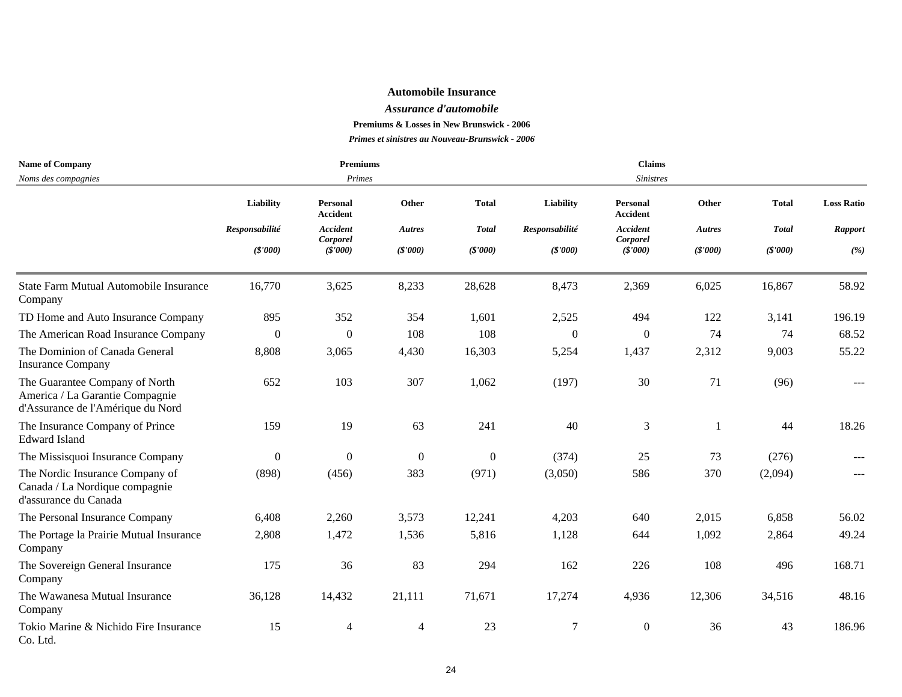#### *Assurance d'automobile*

**Premiums & Losses in New Brunswick - 2006**

| <b>Name of Company</b>                                                                                 |                  | <b>Premiums</b>      |                  |                  |                | <b>Claims</b>               |               |              |                   |
|--------------------------------------------------------------------------------------------------------|------------------|----------------------|------------------|------------------|----------------|-----------------------------|---------------|--------------|-------------------|
| Noms des compagnies                                                                                    |                  | Primes               |                  |                  |                | <b>Sinistres</b>            |               |              |                   |
|                                                                                                        | Liability        | Personal<br>Accident | Other            | <b>Total</b>     | Liability      | Personal<br>Accident        | Other         | <b>Total</b> | <b>Loss Ratio</b> |
|                                                                                                        | Responsabilité   | Accident<br>Corporel | <b>Autres</b>    | <b>Total</b>     | Responsabilité | <b>Accident</b><br>Corporel | <b>Autres</b> | <b>Total</b> | <b>Rapport</b>    |
|                                                                                                        | (S'000)          | (S'000)              | (S'000)          | (S'000)          | (S'000)        | (\$'000)                    | (S'000)       | (S'000)      | (%)               |
| State Farm Mutual Automobile Insurance<br>Company                                                      | 16,770           | 3,625                | 8,233            | 28,628           | 8,473          | 2,369                       | 6,025         | 16,867       | 58.92             |
| TD Home and Auto Insurance Company                                                                     | 895              | 352                  | 354              | 1,601            | 2,525          | 494                         | 122           | 3,141        | 196.19            |
| The American Road Insurance Company                                                                    | $\theta$         | $\boldsymbol{0}$     | 108              | 108              | $\Omega$       | $\mathbf{0}$                | 74            | 74           | 68.52             |
| The Dominion of Canada General<br><b>Insurance Company</b>                                             | 8,808            | 3,065                | 4,430            | 16,303           | 5,254          | 1,437                       | 2,312         | 9,003        | 55.22             |
| The Guarantee Company of North<br>America / La Garantie Compagnie<br>d'Assurance de l'Amérique du Nord | 652              | 103                  | 307              | 1,062            | (197)          | 30                          | 71            | (96)         |                   |
| The Insurance Company of Prince<br><b>Edward Island</b>                                                | 159              | 19                   | 63               | 241              | 40             | 3                           |               | 44           | 18.26             |
| The Missisquoi Insurance Company                                                                       | $\boldsymbol{0}$ | $\boldsymbol{0}$     | $\boldsymbol{0}$ | $\boldsymbol{0}$ | (374)          | 25                          | 73            | (276)        |                   |
| The Nordic Insurance Company of<br>Canada / La Nordique compagnie<br>d'assurance du Canada             | (898)            | (456)                | 383              | (971)            | (3,050)        | 586                         | 370           | (2,094)      |                   |
| The Personal Insurance Company                                                                         | 6,408            | 2,260                | 3,573            | 12,241           | 4,203          | 640                         | 2,015         | 6,858        | 56.02             |
| The Portage la Prairie Mutual Insurance<br>Company                                                     | 2,808            | 1,472                | 1,536            | 5,816            | 1,128          | 644                         | 1,092         | 2,864        | 49.24             |
| The Sovereign General Insurance<br>Company                                                             | 175              | 36                   | 83               | 294              | 162            | 226                         | 108           | 496          | 168.71            |
| The Wawanesa Mutual Insurance<br>Company                                                               | 36,128           | 14,432               | 21,111           | 71,671           | 17,274         | 4,936                       | 12,306        | 34,516       | 48.16             |
| Tokio Marine & Nichido Fire Insurance<br>Co. Ltd.                                                      | 15               | $\overline{4}$       | $\overline{4}$   | 23               | $\tau$         | $\boldsymbol{0}$            | 36            | 43           | 186.96            |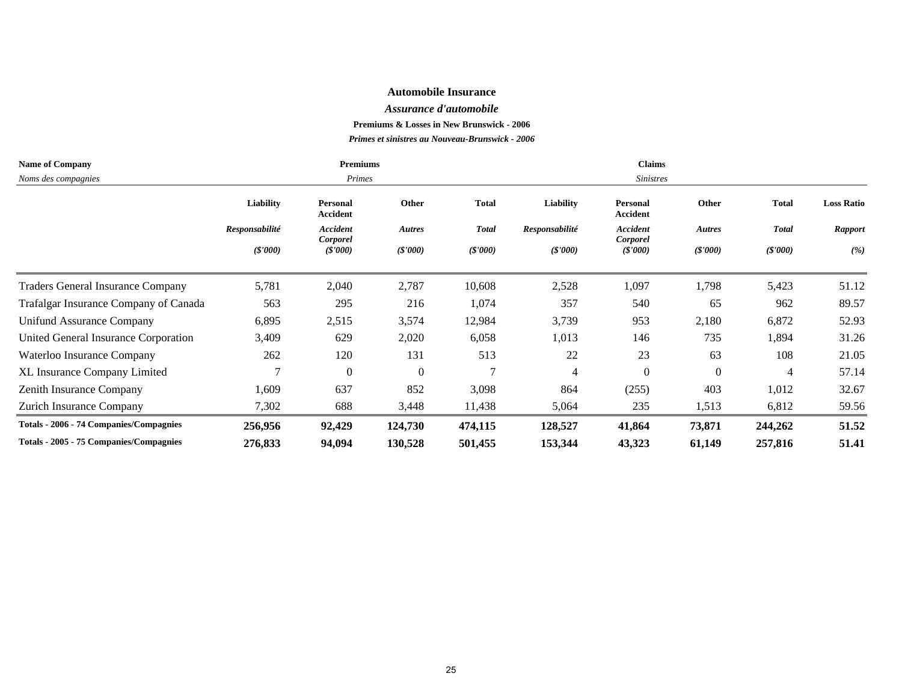#### *Assurance d'automobile*

**Premiums & Losses in New Brunswick - 2006**

| <b>Name of Company</b>                   |                  | <b>Premiums</b>             |               |               |                  | <b>Claims</b>                      |                |              |                   |  |  |
|------------------------------------------|------------------|-----------------------------|---------------|---------------|------------------|------------------------------------|----------------|--------------|-------------------|--|--|
| Noms des compagnies                      |                  | Primes                      |               |               |                  | <b>Sinistres</b>                   |                |              |                   |  |  |
|                                          | <b>Liability</b> | Personal<br><b>Accident</b> | Other         | <b>Total</b>  | <b>Liability</b> | <b>Personal</b><br><b>Accident</b> | Other          | <b>Total</b> | <b>Loss Ratio</b> |  |  |
|                                          | Responsabilité   | <b>Accident</b>             | <b>Autres</b> | <b>Total</b>  | Responsabilité   | <b>Accident</b>                    | <b>Autres</b>  | <b>Total</b> | Rapport           |  |  |
|                                          | (S'000)          | Corporel<br>(S'000)         | (S'000)       | (S'000)       | (S'000)          | Corporel<br>(S'000)                | (S'000)        | (S'000)      | (%)               |  |  |
| <b>Traders General Insurance Company</b> | 5,781            | 2,040                       | 2,787         | 10,608        | 2,528            | 1,097                              | 1,798          | 5,423        | 51.12             |  |  |
| Trafalgar Insurance Company of Canada    | 563              | 295                         | 216           | 1,074         | 357              | 540                                | 65             | 962          | 89.57             |  |  |
| Unifund Assurance Company                | 6,895            | 2,515                       | 3,574         | 12,984        | 3,739            | 953                                | 2,180          | 6,872        | 52.93             |  |  |
| United General Insurance Corporation     | 3,409            | 629                         | 2,020         | 6,058         | 1,013            | 146                                | 735            | 1,894        | 31.26             |  |  |
| Waterloo Insurance Company               | 262              | 120                         | 131           | 513           | 22               | 23                                 | 63             | 108          | 21.05             |  |  |
| XL Insurance Company Limited             | ⇁                | $\overline{0}$              | $\theta$      | $\mathcal{L}$ | 4                | $\Omega$                           | $\overline{0}$ | 4            | 57.14             |  |  |
| Zenith Insurance Company                 | 1,609            | 637                         | 852           | 3,098         | 864              | (255)                              | 403            | 1,012        | 32.67             |  |  |
| Zurich Insurance Company                 | 7,302            | 688                         | 3,448         | 11,438        | 5,064            | 235                                | 1,513          | 6,812        | 59.56             |  |  |
| Totals - 2006 - 74 Companies/Compagnies  | 256,956          | 92,429                      | 124,730       | 474,115       | 128,527          | 41,864                             | 73,871         | 244,262      | 51.52             |  |  |
| Totals - 2005 - 75 Companies/Compagnies  | 276,833          | 94,094                      | 130,528       | 501,455       | 153,344          | 43,323                             | 61,149         | 257,816      | 51.41             |  |  |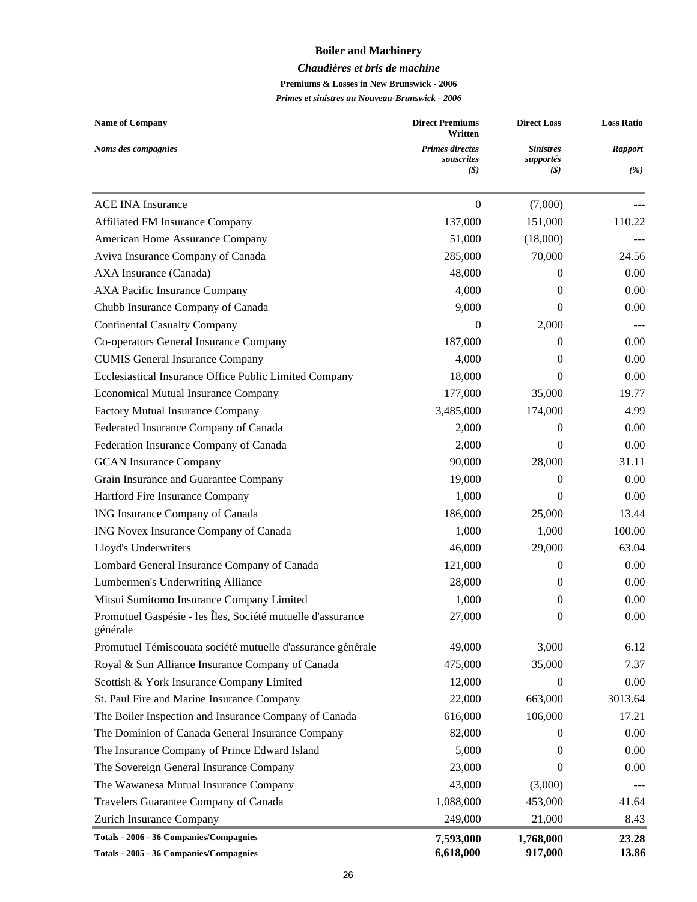## **Boiler and Machinery**

#### *Chaudières et bris de machine*

**Premiums & Losses in New Brunswick - 2006**

| <b>Name of Company</b>                                                  | <b>Direct Premiums</b><br>Written                                   | <b>Direct Loss</b>                   | <b>Loss Ratio</b>     |
|-------------------------------------------------------------------------|---------------------------------------------------------------------|--------------------------------------|-----------------------|
| Noms des compagnies                                                     | <b>Primes directes</b><br>souscrites<br>$\left( \mathcal{S}\right)$ | <b>Sinistres</b><br>supportés<br>(S) | <b>Rapport</b><br>(%) |
|                                                                         |                                                                     |                                      |                       |
| <b>ACE INA Insurance</b>                                                | $\theta$                                                            | (7,000)                              |                       |
| Affiliated FM Insurance Company                                         | 137,000                                                             | 151,000                              | 110.22                |
| American Home Assurance Company                                         | 51,000                                                              | (18,000)                             |                       |
| Aviva Insurance Company of Canada                                       | 285,000                                                             | 70,000                               | 24.56                 |
| AXA Insurance (Canada)                                                  | 48,000                                                              | $\Omega$                             | 0.00                  |
| <b>AXA Pacific Insurance Company</b>                                    | 4,000                                                               | $\theta$                             | 0.00                  |
| Chubb Insurance Company of Canada                                       | 9,000                                                               | $\Omega$                             | 0.00                  |
| <b>Continental Casualty Company</b>                                     | $\theta$                                                            | 2,000                                | $\qquad \qquad - -$   |
| Co-operators General Insurance Company                                  | 187,000                                                             | $\Omega$                             | 0.00                  |
| <b>CUMIS General Insurance Company</b>                                  | 4,000                                                               | 0                                    | 0.00                  |
| Ecclesiastical Insurance Office Public Limited Company                  | 18,000                                                              | $\Omega$                             | 0.00                  |
| <b>Economical Mutual Insurance Company</b>                              | 177,000                                                             | 35,000                               | 19.77                 |
| Factory Mutual Insurance Company                                        | 3,485,000                                                           | 174,000                              | 4.99                  |
| Federated Insurance Company of Canada                                   | 2,000                                                               | $\Omega$                             | 0.00                  |
| Federation Insurance Company of Canada                                  | 2,000                                                               | $\Omega$                             | 0.00                  |
| <b>GCAN</b> Insurance Company                                           | 90,000                                                              | 28,000                               | 31.11                 |
| Grain Insurance and Guarantee Company                                   | 19,000                                                              | $\Omega$                             | 0.00                  |
| Hartford Fire Insurance Company                                         | 1,000                                                               | $\Omega$                             | 0.00                  |
| ING Insurance Company of Canada                                         | 186,000                                                             | 25,000                               | 13.44                 |
| ING Novex Insurance Company of Canada                                   | 1,000                                                               | 1,000                                | 100.00                |
| Lloyd's Underwriters                                                    | 46,000                                                              | 29,000                               | 63.04                 |
| Lombard General Insurance Company of Canada                             | 121,000                                                             | $\Omega$                             | 0.00                  |
| Lumbermen's Underwriting Alliance                                       | 28,000                                                              | $\theta$                             | 0.00                  |
| Mitsui Sumitomo Insurance Company Limited                               | 1,000                                                               | $\theta$                             | 0.00                  |
| Promutuel Gaspésie - les Îles, Société mutuelle d'assurance<br>générale | 27,000                                                              | $\theta$                             | 0.00                  |
| Promutuel Témiscouata société mutuelle d'assurance générale             | 49,000                                                              | 3,000                                | 6.12                  |
| Royal & Sun Alliance Insurance Company of Canada                        | 475,000                                                             | 35,000                               | 7.37                  |
| Scottish & York Insurance Company Limited                               | 12,000                                                              | $\Omega$                             | 0.00                  |
| St. Paul Fire and Marine Insurance Company                              | 22,000                                                              | 663,000                              | 3013.64               |
| The Boiler Inspection and Insurance Company of Canada                   | 616,000                                                             | 106,000                              | 17.21                 |
| The Dominion of Canada General Insurance Company                        | 82,000                                                              | $\Omega$                             | 0.00                  |
| The Insurance Company of Prince Edward Island                           | 5,000                                                               | $\theta$                             | 0.00                  |
| The Sovereign General Insurance Company                                 | 23,000                                                              | $\theta$                             | 0.00                  |
| The Wawanesa Mutual Insurance Company                                   | 43,000                                                              | (3,000)                              |                       |
| Travelers Guarantee Company of Canada                                   | 1,088,000                                                           | 453,000                              | 41.64                 |
| Zurich Insurance Company                                                | 249,000                                                             | 21,000                               | 8.43                  |
| Totals - 2006 - 36 Companies/Compagnies                                 | 7,593,000                                                           | 1,768,000                            | 23.28                 |
| Totals - 2005 - 36 Companies/Compagnies                                 | 6,618,000                                                           | 917,000                              | 13.86                 |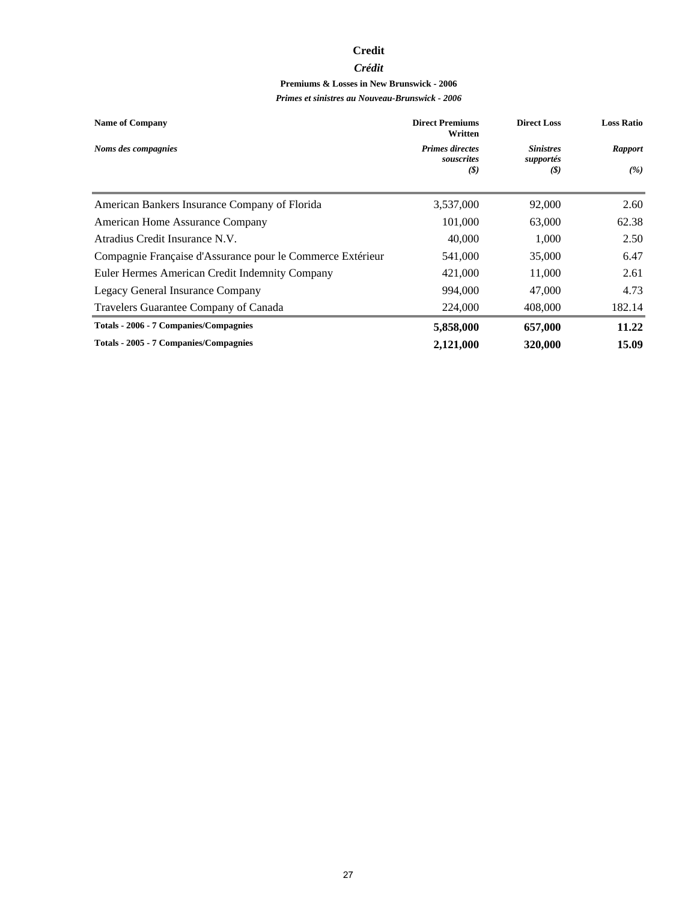#### **Credit**

#### *Crédit*

## **Premiums & Losses in New Brunswick - 2006**

| <b>Name of Company</b>                                     | <b>Direct Premiums</b><br>Written           | <b>Direct Loss</b>                   | <b>Loss Ratio</b>     |
|------------------------------------------------------------|---------------------------------------------|--------------------------------------|-----------------------|
| Noms des compagnies                                        | <b>Primes directes</b><br>souscrites<br>(S) | <b>Sinistres</b><br>supportés<br>(S) | <b>Rapport</b><br>(%) |
| American Bankers Insurance Company of Florida              | 3,537,000                                   | 92,000                               | 2.60                  |
| American Home Assurance Company                            | 101,000                                     | 63,000                               | 62.38                 |
| Atradius Credit Insurance N.V.                             | 40,000                                      | 1,000                                | 2.50                  |
| Compagnie Française d'Assurance pour le Commerce Extérieur | 541,000                                     | 35,000                               | 6.47                  |
| Euler Hermes American Credit Indemnity Company             | 421,000                                     | 11,000                               | 2.61                  |
| Legacy General Insurance Company                           | 994,000                                     | 47,000                               | 4.73                  |
| Travelers Guarantee Company of Canada                      | 224,000                                     | 408,000                              | 182.14                |
| Totals - 2006 - 7 Companies/Compagnies                     | 5,858,000                                   | 657,000                              | 11.22                 |
| Totals - 2005 - 7 Companies/Compagnies                     | 2,121,000                                   | 320,000                              | 15.09                 |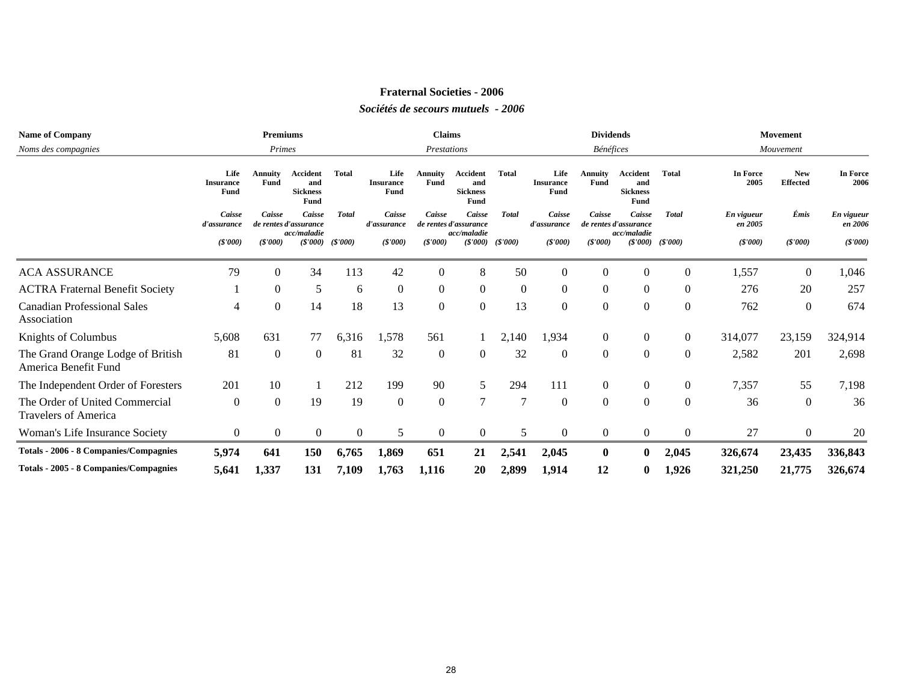#### **Fraternal Societies - 2006**

#### *Sociétés de secours mutuels - 2006*

| <b>Name of Company</b>                                        |                                  | <b>Premiums</b>                                                          |                                            |          |                                  | <b>Claims</b>          |                                                |                |                                                                                                   | <b>Dividends</b>       |                                            |                       |                  | Movement                      |                  |
|---------------------------------------------------------------|----------------------------------|--------------------------------------------------------------------------|--------------------------------------------|----------|----------------------------------|------------------------|------------------------------------------------|----------------|---------------------------------------------------------------------------------------------------|------------------------|--------------------------------------------|-----------------------|------------------|-------------------------------|------------------|
| Noms des compagnies                                           |                                  | Primes                                                                   |                                            |          |                                  | Prestations            |                                                |                |                                                                                                   | Bénéfices              |                                            |                       |                  | Mouvement                     |                  |
|                                                               | Life<br><b>Insurance</b><br>Fund | <b>Annuity</b><br><b>Fund</b>                                            | Accident<br>and<br><b>Sickness</b><br>Fund | Total    | Life<br><b>Insurance</b><br>Fund | <b>Annuity</b><br>Fund | Accident<br>and<br><b>Sickness</b><br>Fund     | Total          | Life<br><b>Insurance</b><br>Fund                                                                  | <b>Annuity</b><br>Fund | Accident<br>and<br><b>Sickness</b><br>Fund | <b>Total</b>          | In Force<br>2005 | <b>New</b><br><b>Effected</b> | In Force<br>2006 |
|                                                               | Caisse<br>d'assurance            | Caisse<br>Caisse<br><b>Total</b><br>de rentes d'assurance<br>acc/maladie |                                            |          | Caisse<br>d'assurance            | Caisse                 | Caisse<br>de rentes d'assurance<br>acc/maladie | <b>Total</b>   | Caisse<br>Caisse<br><b>Total</b><br>Caisse<br>de rentes d'assurance<br>d'assurance<br>acc/maladie |                        |                                            | En vigueur<br>en 2005 | Émis             | En vigueur<br>en 2006         |                  |
|                                                               | (S'000)                          | (S'000)                                                                  | (S'000)                                    | (S'000)  | (S'000)                          | (S'000)                | (S'000)                                        | (S'000)        | (S'000)                                                                                           | (S'000)                | (S'000)                                    | (S'000)               | $(\$'000)$       | (S'000)                       | (S'000)          |
| <b>ACA ASSURANCE</b>                                          | 79                               | $\theta$                                                                 | 34                                         | 113      | 42                               | 0                      | 8                                              | 50             | $\Omega$                                                                                          | $\Omega$               | $\Omega$                                   | $\Omega$              | 1,557            | $\Omega$                      | 1,046            |
| <b>ACTRA Fraternal Benefit Society</b>                        |                                  | $\theta$                                                                 | 5                                          | 6        | $\overline{0}$                   | $\mathbf{0}$           | $\boldsymbol{0}$                               | $\overline{0}$ | $\overline{0}$                                                                                    | $\theta$               | $\mathbf{0}$                               | $\overline{0}$        | 276              | 20                            | 257              |
| <b>Canadian Professional Sales</b><br>Association             | 4                                | $\boldsymbol{0}$                                                         | 14                                         | 18       | 13                               | $\overline{0}$         | $\boldsymbol{0}$                               | 13             | $\Omega$                                                                                          | $\Omega$               | $\Omega$                                   | $\theta$              | 762              | $\mathbf{0}$                  | 674              |
| Knights of Columbus                                           | 5,608                            | 631                                                                      | 77                                         | 6,316    | 1,578                            | 561                    |                                                | 2,140          | 1,934                                                                                             | $\boldsymbol{0}$       | $\bf{0}$                                   | $\boldsymbol{0}$      | 314,077          | 23,159                        | 324,914          |
| The Grand Orange Lodge of British<br>America Benefit Fund     | 81                               | $\theta$                                                                 | $\overline{0}$                             | 81       | 32                               | $\mathbf{0}$           | $\boldsymbol{0}$                               | 32             | $\overline{0}$                                                                                    | $\boldsymbol{0}$       | $\Omega$                                   | $\boldsymbol{0}$      | 2,582            | 201                           | 2,698            |
| The Independent Order of Foresters                            | 201                              | 10                                                                       |                                            | 212      | 199                              | 90                     | 5                                              | 294            | 111                                                                                               | $\overline{0}$         | $\mathbf{0}$                               | $\overline{0}$        | 7,357            | 55                            | 7,198            |
| The Order of United Commercial<br><b>Travelers of America</b> | $\overline{0}$                   | $\theta$                                                                 | 19                                         | 19       | $\overline{0}$                   | $\Omega$               | $\overline{7}$                                 | $\overline{7}$ | $\Omega$                                                                                          | $\Omega$               | $\theta$                                   | $\theta$              | 36               | $\Omega$                      | 36               |
| Woman's Life Insurance Society                                | $\overline{0}$                   | $\overline{0}$                                                           | $\overline{0}$                             | $\Omega$ | 5                                | $\Omega$               | $\theta$                                       | 5              | $\Omega$                                                                                          | $\overline{0}$         | $\Omega$                                   | $\Omega$              | 27               | $\Omega$                      | 20               |
| <b>Totals - 2006 - 8 Companies/Compagnies</b>                 | 5,974                            | 641                                                                      | <b>150</b>                                 | 6,765    | 1,869                            | 651                    | 21                                             | 2,541          | 2,045                                                                                             | $\bf{0}$               | $\bf{0}$                                   | 2,045                 | 326,674          | 23,435                        | 336,843          |
| Totals - 2005 - 8 Companies/Compagnies                        | 5,641                            | 1,337                                                                    | 131                                        | 7,109    | 1,763                            | 1,116                  | 20                                             | 2,899          | 1,914                                                                                             | 12                     | $\bf{0}$                                   | 1,926                 | 321,250          | 21,775                        | 326,674          |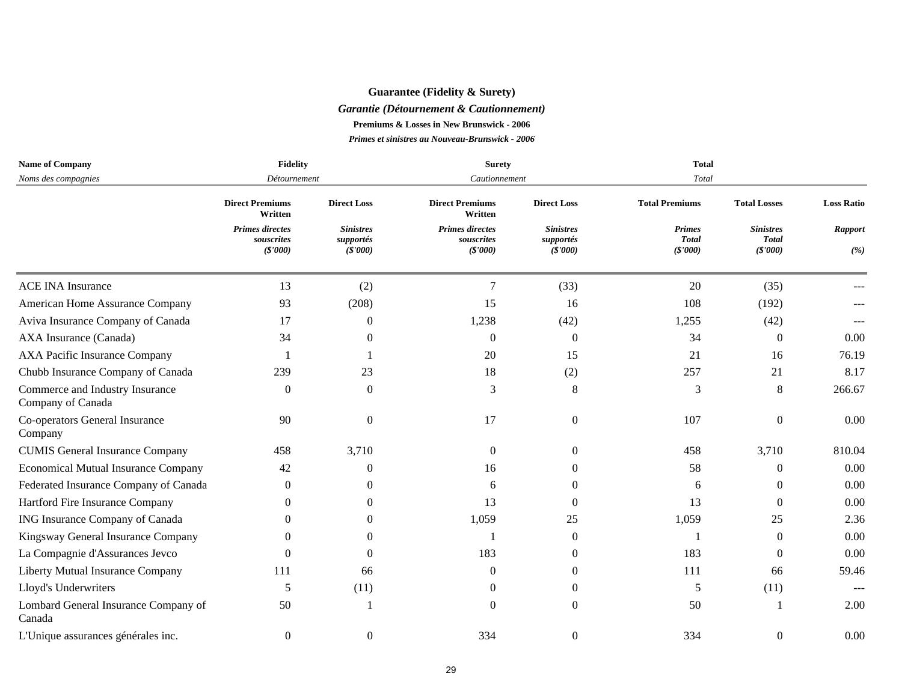## **Guarantee (Fidelity & Surety)**

#### *Garantie (Détournement & Cautionnement)*

**Premiums & Losses in New Brunswick - 2006**

| <b>Name of Company</b>                               | <b>Fidelity</b>                                 |                                          | <b>Surety</b>                                    |                                          | <b>Total</b>                              |                                              |                       |
|------------------------------------------------------|-------------------------------------------------|------------------------------------------|--------------------------------------------------|------------------------------------------|-------------------------------------------|----------------------------------------------|-----------------------|
| Noms des compagnies                                  | Détournement                                    |                                          | Cautionnement                                    |                                          | Total                                     |                                              |                       |
|                                                      | <b>Direct Premiums</b><br>Written               | <b>Direct Loss</b>                       | <b>Direct Premiums</b><br>Written                | <b>Direct Loss</b>                       | <b>Total Premiums</b>                     | <b>Total Losses</b>                          | <b>Loss Ratio</b>     |
|                                                      | <b>Primes directes</b><br>souscrites<br>(S'000) | <b>Sinistres</b><br>supportés<br>(S'000) | <b>Primes directes</b><br>souscrites<br>(\$'000) | <b>Sinistres</b><br>supportés<br>(S'000) | <b>Primes</b><br><b>Total</b><br>(\$'000) | <b>Sinistres</b><br><b>Total</b><br>(\$'000) | <b>Rapport</b><br>(%) |
| <b>ACE INA Insurance</b>                             | 13                                              | (2)                                      | 7                                                | (33)                                     | 20                                        | (35)                                         |                       |
| American Home Assurance Company                      | 93                                              | (208)                                    | 15                                               | 16                                       | 108                                       | (192)                                        |                       |
| Aviva Insurance Company of Canada                    | 17                                              | $\mathbf{0}$                             | 1,238                                            | (42)                                     | 1,255                                     | (42)                                         |                       |
| AXA Insurance (Canada)                               | 34                                              | 0                                        | $\theta$                                         | $\boldsymbol{0}$                         | 34                                        | $\overline{0}$                               | 0.00                  |
| AXA Pacific Insurance Company                        |                                                 |                                          | 20                                               | 15                                       | 21                                        | 16                                           | 76.19                 |
| Chubb Insurance Company of Canada                    | 239                                             | 23                                       | 18                                               | (2)                                      | 257                                       | 21                                           | 8.17                  |
| Commerce and Industry Insurance<br>Company of Canada | $\Omega$                                        | $\mathbf{0}$                             | 3                                                | 8                                        | 3                                         | 8                                            | 266.67                |
| Co-operators General Insurance<br>Company            | 90                                              | $\Omega$                                 | 17                                               | $\theta$                                 | 107                                       | $\Omega$                                     | 0.00                  |
| <b>CUMIS General Insurance Company</b>               | 458                                             | 3,710                                    | $\theta$                                         | $\Omega$                                 | 458                                       | 3,710                                        | 810.04                |
| <b>Economical Mutual Insurance Company</b>           | 42                                              | 0                                        | 16                                               | $\Omega$                                 | 58                                        | $\Omega$                                     | 0.00                  |
| Federated Insurance Company of Canada                | $\Omega$                                        | 0                                        | 6                                                | $\theta$                                 | 6                                         | $\Omega$                                     | 0.00                  |
| Hartford Fire Insurance Company                      | $\Omega$                                        | 0                                        | 13                                               | $\Omega$                                 | 13                                        | $\Omega$                                     | 0.00                  |
| ING Insurance Company of Canada                      | 0                                               | 0                                        | 1,059                                            | 25                                       | 1,059                                     | 25                                           | 2.36                  |
| Kingsway General Insurance Company                   | $\Omega$                                        | 0                                        |                                                  | $\Omega$                                 |                                           | $\Omega$                                     | 0.00                  |
| La Compagnie d'Assurances Jevco                      | 0                                               | 0                                        | 183                                              | 0                                        | 183                                       | $\Omega$                                     | 0.00                  |
| Liberty Mutual Insurance Company                     | 111                                             | 66                                       | $\Omega$                                         | $\Omega$                                 | 111                                       | 66                                           | 59.46                 |
| Lloyd's Underwriters                                 | 5                                               | (11)                                     | $\Omega$                                         | $\Omega$                                 | 5                                         | (11)                                         | $-$                   |
| Lombard General Insurance Company of<br>Canada       | 50                                              |                                          | $\Omega$                                         | $\Omega$                                 | 50                                        |                                              | 2.00                  |
| L'Unique assurances générales inc.                   | $\Omega$                                        | 0                                        | 334                                              | $\mathbf{0}$                             | 334                                       | $\Omega$                                     | 0.00                  |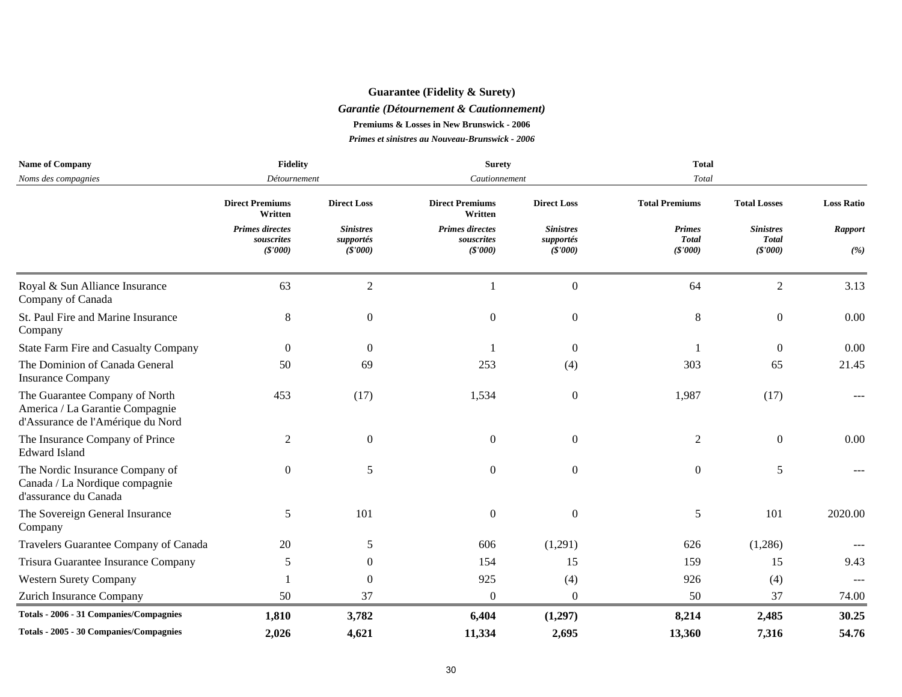## **Guarantee (Fidelity & Surety)**

#### *Garantie (Détournement & Cautionnement)*

**Premiums & Losses in New Brunswick - 2006**

| <b>Name of Company</b>                                                                                 | <b>Fidelity</b>                                 |                                           |                                                  |                                          | <b>Total</b>                             |                                             |                       |
|--------------------------------------------------------------------------------------------------------|-------------------------------------------------|-------------------------------------------|--------------------------------------------------|------------------------------------------|------------------------------------------|---------------------------------------------|-----------------------|
| Noms des compagnies                                                                                    | Détournement                                    |                                           | Cautionnement                                    |                                          | Total                                    |                                             |                       |
|                                                                                                        | <b>Direct Premiums</b><br>Written               | <b>Direct Loss</b>                        | <b>Direct Premiums</b><br>Written                | <b>Direct Loss</b>                       | <b>Total Premiums</b>                    | <b>Total Losses</b>                         | <b>Loss Ratio</b>     |
|                                                                                                        | <b>Primes directes</b><br>souscrites<br>(S'000) | <b>Sinistres</b><br>supportés<br>(\$'000) | <b>Primes directes</b><br>souscrites<br>(\$'000) | <b>Sinistres</b><br>supportés<br>(S'000) | <b>Primes</b><br><b>Total</b><br>(S'000) | <b>Sinistres</b><br><b>Total</b><br>(S'000) | <b>Rapport</b><br>(%) |
| Royal & Sun Alliance Insurance<br>Company of Canada                                                    | 63                                              | $\sqrt{2}$                                | $\blacksquare$                                   | $\boldsymbol{0}$                         | 64                                       | $\overline{2}$                              | 3.13                  |
| St. Paul Fire and Marine Insurance<br>Company                                                          | $\,8\,$                                         | $\overline{0}$                            | $\boldsymbol{0}$                                 | $\boldsymbol{0}$                         | 8                                        | $\overline{0}$                              | 0.00                  |
| State Farm Fire and Casualty Company                                                                   | $\theta$                                        | $\overline{0}$                            |                                                  | $\overline{0}$                           |                                          | $\overline{0}$                              | 0.00                  |
| The Dominion of Canada General<br><b>Insurance Company</b>                                             | 50                                              | 69                                        | 253                                              | (4)                                      | 303                                      | 65                                          | 21.45                 |
| The Guarantee Company of North<br>America / La Garantie Compagnie<br>d'Assurance de l'Amérique du Nord | 453                                             | (17)                                      | 1,534                                            | $\boldsymbol{0}$                         | 1,987                                    | (17)                                        |                       |
| The Insurance Company of Prince<br><b>Edward Island</b>                                                | $\overline{2}$                                  | $\overline{0}$                            | $\boldsymbol{0}$                                 | $\boldsymbol{0}$                         | 2                                        | $\overline{0}$                              | 0.00                  |
| The Nordic Insurance Company of<br>Canada / La Nordique compagnie<br>d'assurance du Canada             | $\overline{0}$                                  | 5                                         | $\overline{0}$                                   | $\overline{0}$                           | $\overline{0}$                           | 5                                           |                       |
| The Sovereign General Insurance<br>Company                                                             | 5                                               | 101                                       | $\Omega$                                         | $\boldsymbol{0}$                         | 5                                        | 101                                         | 2020.00               |
| Travelers Guarantee Company of Canada                                                                  | 20                                              | 5                                         | 606                                              | (1,291)                                  | 626                                      | (1,286)                                     |                       |
| Trisura Guarantee Insurance Company                                                                    | 5                                               | 0                                         | 154                                              | 15                                       | 159                                      | 15                                          | 9.43                  |
| <b>Western Surety Company</b>                                                                          |                                                 | $\mathbf{0}$                              | 925                                              | (4)                                      | 926                                      | (4)                                         |                       |
| Zurich Insurance Company                                                                               | 50                                              | 37                                        | $\overline{0}$                                   | $\overline{0}$                           | 50                                       | 37                                          | 74.00                 |
| Totals - 2006 - 31 Companies/Compagnies                                                                | 1,810                                           | 3,782                                     | 6,404                                            | (1,297)                                  | 8,214                                    | 2,485                                       | 30.25                 |
| Totals - 2005 - 30 Companies/Compagnies                                                                | 2,026                                           | 4,621                                     | 11,334                                           | 2,695                                    | 13,360                                   | 7,316                                       | 54.76                 |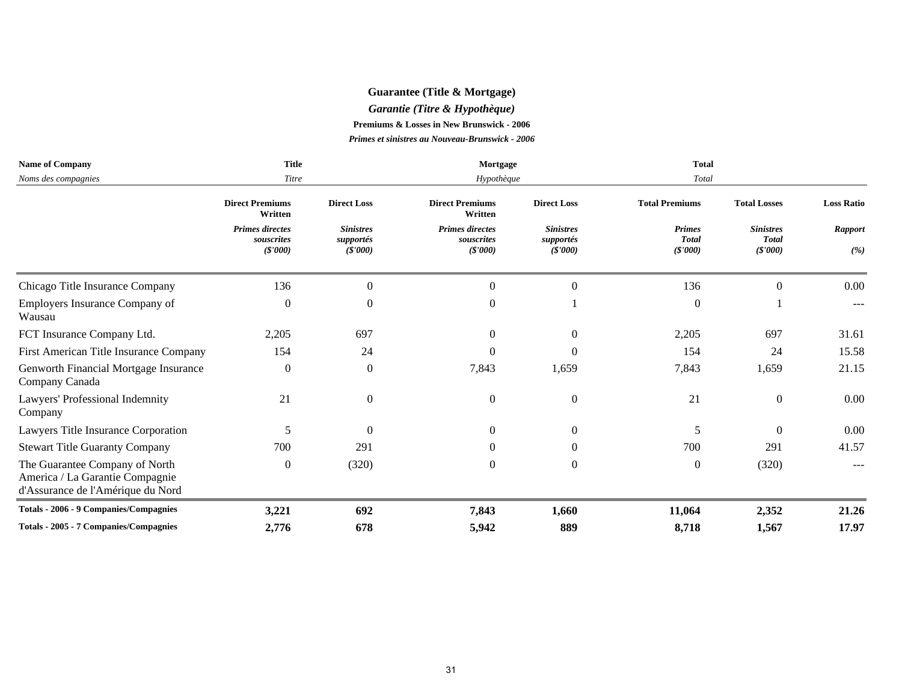## **Guarantee (Title & Mortgage)**

*Garantie (Titre & Hypothèque)*

**Premiums & Losses in New Brunswick - 2006**

| <b>Name of Company</b>                                                                                 | <b>Title</b>                                    |                                           | Mortgage                                        |                                           | <b>Total</b>                             |                                             |                       |
|--------------------------------------------------------------------------------------------------------|-------------------------------------------------|-------------------------------------------|-------------------------------------------------|-------------------------------------------|------------------------------------------|---------------------------------------------|-----------------------|
| Noms des compagnies                                                                                    | Titre                                           |                                           | Hypothèque                                      |                                           | Total                                    |                                             |                       |
|                                                                                                        | <b>Direct Premiums</b><br>Written               | <b>Direct Loss</b>                        | <b>Direct Premiums</b><br>Written               | <b>Direct Loss</b>                        | <b>Total Premiums</b>                    | <b>Total Losses</b>                         | <b>Loss Ratio</b>     |
|                                                                                                        | <b>Primes directes</b><br>souscrites<br>(S'000) | <b>Sinistres</b><br>supportés<br>(\$'000) | <b>Primes directes</b><br>souscrites<br>(S'000) | <b>Sinistres</b><br>supportés<br>(\$'000) | <b>Primes</b><br><b>Total</b><br>(S'000) | <b>Sinistres</b><br><b>Total</b><br>(S'000) | <b>Rapport</b><br>(%) |
| Chicago Title Insurance Company                                                                        | 136                                             | $\overline{0}$                            | $\mathbf{0}$                                    | 0                                         | 136                                      | $\mathbf{0}$                                | 0.00                  |
| Employers Insurance Company of<br>Wausau                                                               | $\overline{0}$                                  | 0                                         | $\Omega$                                        |                                           | $\Omega$                                 |                                             |                       |
| FCT Insurance Company Ltd.                                                                             | 2,205                                           | 697                                       | $\Omega$                                        | $\Omega$                                  | 2,205                                    | 697                                         | 31.61                 |
| First American Title Insurance Company                                                                 | 154                                             | 24                                        | $\Omega$                                        | 0                                         | 154                                      | 24                                          | 15.58                 |
| Genworth Financial Mortgage Insurance<br>Company Canada                                                | $\Omega$                                        | $\boldsymbol{0}$                          | 7,843                                           | 1,659                                     | 7,843                                    | 1,659                                       | 21.15                 |
| Lawyers' Professional Indemnity<br>Company                                                             | 21                                              | $\overline{0}$                            | $\theta$                                        | $\mathbf{0}$                              | 21                                       | $\overline{0}$                              | 0.00                  |
| Lawyers Title Insurance Corporation                                                                    | 5                                               | $\Omega$                                  | $\Omega$                                        | $\Omega$                                  | 5                                        | $\Omega$                                    | 0.00                  |
| <b>Stewart Title Guaranty Company</b>                                                                  | 700                                             | 291                                       | $\Omega$                                        | 0                                         | 700                                      | 291                                         | 41.57                 |
| The Guarantee Company of North<br>America / La Garantie Compagnie<br>d'Assurance de l'Amérique du Nord | $\overline{0}$                                  | (320)                                     | $\Omega$                                        | $\Omega$                                  | $\overline{0}$                           | (320)                                       |                       |
| Totals - 2006 - 9 Companies/Compagnies                                                                 | 3,221                                           | 692                                       | 7,843                                           | 1,660                                     | 11,064                                   | 2,352                                       | 21.26                 |
| Totals - 2005 - 7 Companies/Compagnies                                                                 | 2,776                                           | 678                                       | 5,942                                           | 889                                       | 8,718                                    | 1,567                                       | 17.97                 |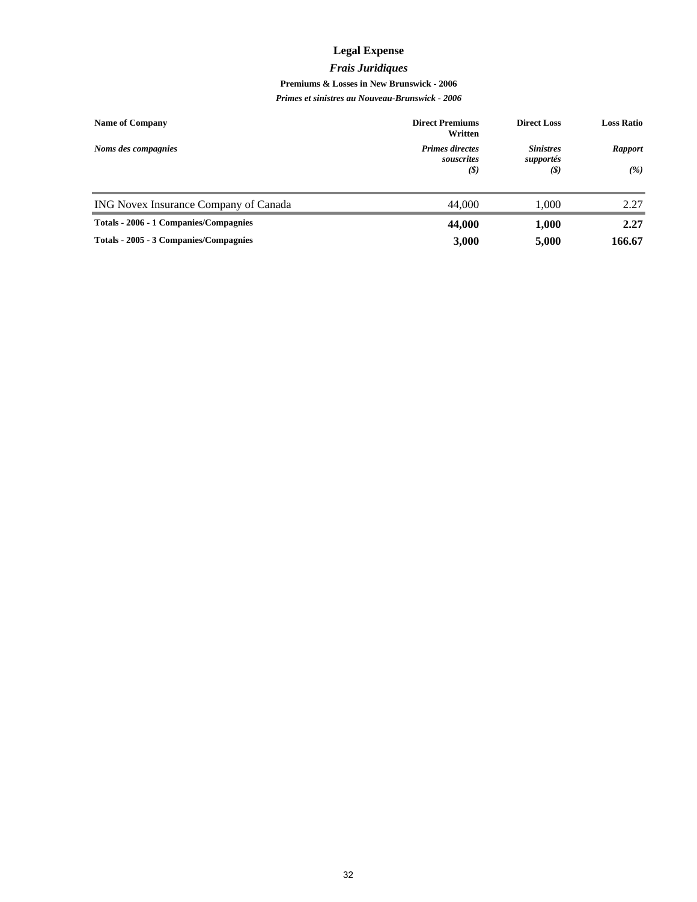## **Legal Expense**

#### *Frais Juridiques*

#### **Premiums & Losses in New Brunswick - 2006**

| <b>Name of Company</b>                 | <b>Direct Premiums</b><br>Written           | <b>Direct Loss</b>                   | <b>Loss Ratio</b>     |
|----------------------------------------|---------------------------------------------|--------------------------------------|-----------------------|
| Noms des compagnies                    | <b>Primes directes</b><br>souscrites<br>(S) | <b>Sinistres</b><br>supportés<br>(S) | <b>Rapport</b><br>(%) |
|                                        |                                             |                                      |                       |
| ING Novex Insurance Company of Canada  | 44,000                                      | 1.000                                | 2.27                  |
| Totals - 2006 - 1 Companies/Compagnies | 44,000                                      | 1,000                                | 2.27                  |
| Totals - 2005 - 3 Companies/Compagnies | 3,000                                       | 5,000                                | 166.67                |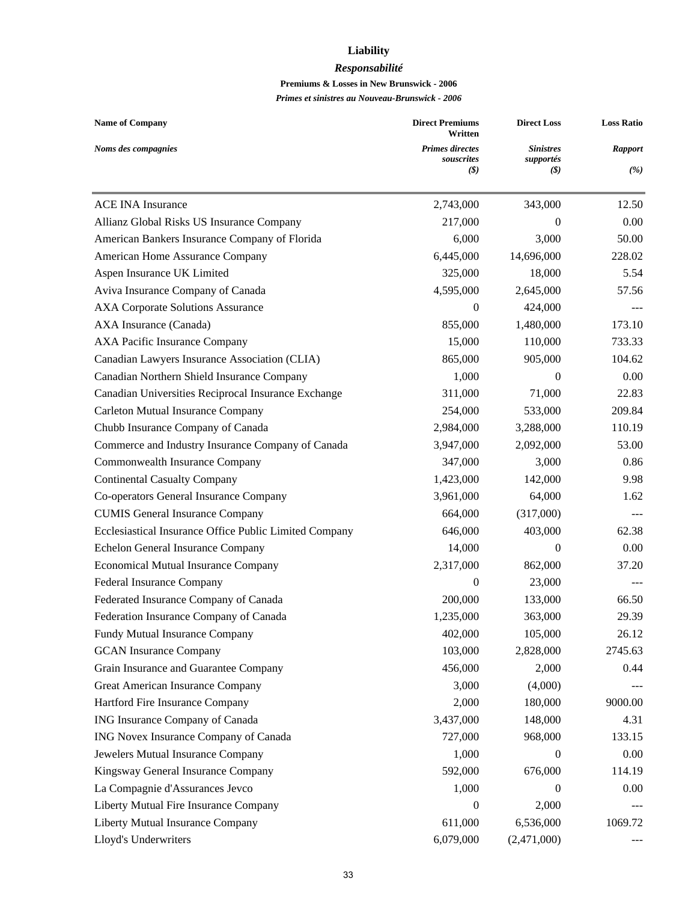## **Liability**

#### *Responsabilité*

#### **Premiums & Losses in New Brunswick - 2006**

| <b>Name of Company</b>                                 | <b>Direct Premiums</b><br>Written           | <b>Direct Loss</b>                   | <b>Loss Ratio</b>     |  |
|--------------------------------------------------------|---------------------------------------------|--------------------------------------|-----------------------|--|
| Noms des compagnies                                    | <b>Primes directes</b><br>souscrites<br>(S) | <b>Sinistres</b><br>supportés<br>(S) | <b>Rapport</b><br>(%) |  |
| <b>ACE INA Insurance</b>                               | 2,743,000                                   | 343,000                              | 12.50                 |  |
| Allianz Global Risks US Insurance Company              | 217,000                                     | $\theta$                             | 0.00                  |  |
| American Bankers Insurance Company of Florida          | 6,000                                       | 3,000                                | 50.00                 |  |
| American Home Assurance Company                        | 6,445,000                                   | 14,696,000                           | 228.02                |  |
| Aspen Insurance UK Limited                             | 325,000                                     | 18,000                               | 5.54                  |  |
| Aviva Insurance Company of Canada                      | 4,595,000                                   | 2,645,000                            | 57.56                 |  |
| <b>AXA Corporate Solutions Assurance</b>               | $\theta$                                    | 424,000                              |                       |  |
| AXA Insurance (Canada)                                 | 855,000                                     | 1,480,000                            | 173.10                |  |
| <b>AXA Pacific Insurance Company</b>                   | 15,000                                      | 110,000                              | 733.33                |  |
| Canadian Lawyers Insurance Association (CLIA)          | 865,000                                     | 905,000                              | 104.62                |  |
| Canadian Northern Shield Insurance Company             | 1,000                                       | $\mathbf{0}$                         | 0.00                  |  |
| Canadian Universities Reciprocal Insurance Exchange    | 311,000                                     | 71,000                               | 22.83                 |  |
| Carleton Mutual Insurance Company                      | 254,000                                     | 533,000                              | 209.84                |  |
| Chubb Insurance Company of Canada                      | 2,984,000                                   | 3,288,000                            | 110.19                |  |
| Commerce and Industry Insurance Company of Canada      | 3,947,000                                   | 2,092,000                            | 53.00                 |  |
| Commonwealth Insurance Company                         | 347,000                                     | 3,000                                | 0.86                  |  |
| <b>Continental Casualty Company</b>                    | 1,423,000                                   | 142,000                              | 9.98                  |  |
| Co-operators General Insurance Company                 | 3,961,000                                   | 64,000                               | 1.62                  |  |
| <b>CUMIS General Insurance Company</b>                 | 664,000                                     | (317,000)                            |                       |  |
| Ecclesiastical Insurance Office Public Limited Company | 646,000                                     | 403,000                              | 62.38                 |  |
| Echelon General Insurance Company                      | 14,000                                      | $\mathbf{0}$                         | 0.00                  |  |
| <b>Economical Mutual Insurance Company</b>             | 2,317,000                                   | 862,000                              | 37.20                 |  |
| Federal Insurance Company                              | $\boldsymbol{0}$                            | 23,000                               |                       |  |
| Federated Insurance Company of Canada                  | 200,000                                     | 133,000                              | 66.50                 |  |
| Federation Insurance Company of Canada                 | 1,235,000                                   | 363,000                              | 29.39                 |  |
| Fundy Mutual Insurance Company                         | 402,000                                     | 105,000                              | 26.12                 |  |
| <b>GCAN</b> Insurance Company                          | 103,000                                     | 2,828,000                            | 2745.63               |  |
| Grain Insurance and Guarantee Company                  | 456,000                                     | 2,000                                | 0.44                  |  |
| Great American Insurance Company                       | 3,000                                       | (4,000)                              |                       |  |
| Hartford Fire Insurance Company                        | 2,000                                       | 180,000                              | 9000.00               |  |
| ING Insurance Company of Canada                        | 3,437,000                                   | 148,000                              | 4.31                  |  |
| ING Novex Insurance Company of Canada                  | 727,000                                     | 968,000                              | 133.15                |  |
| Jewelers Mutual Insurance Company                      | 1,000                                       | $\mathbf{0}$                         | 0.00                  |  |
| Kingsway General Insurance Company                     | 592,000                                     | 676,000                              | 114.19                |  |
| La Compagnie d'Assurances Jevco                        | 1,000                                       | 0                                    | 0.00                  |  |
| Liberty Mutual Fire Insurance Company                  | $\boldsymbol{0}$                            | 2,000                                |                       |  |
| Liberty Mutual Insurance Company                       | 611,000                                     | 6,536,000                            | 1069.72               |  |
| Lloyd's Underwriters                                   | 6,079,000                                   | (2,471,000)                          |                       |  |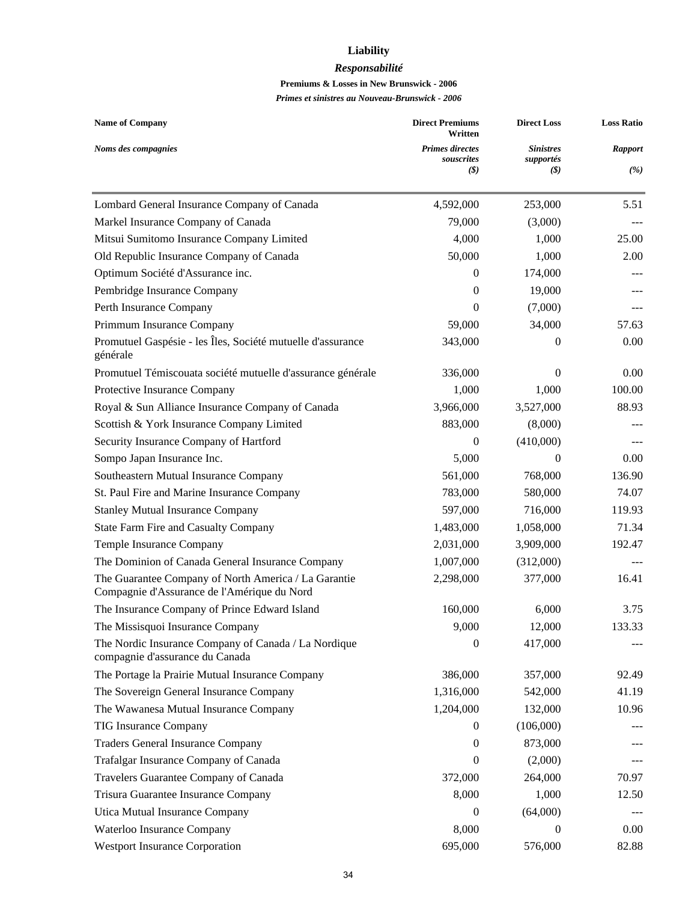## **Liability**

#### *Responsabilité*

#### **Premiums & Losses in New Brunswick - 2006**

| <b>Name of Company</b>                                                                              | <b>Direct Premiums</b><br>Written           | <b>Direct Loss</b>                                           | <b>Loss Ratio</b> |  |
|-----------------------------------------------------------------------------------------------------|---------------------------------------------|--------------------------------------------------------------|-------------------|--|
| Noms des compagnies                                                                                 | <b>Primes directes</b><br>souscrites<br>(S) | <b>Sinistres</b><br>supportés<br>$\left( \mathcal{S}\right)$ | Rapport<br>(%)    |  |
| Lombard General Insurance Company of Canada                                                         | 4,592,000                                   | 253,000                                                      | 5.51              |  |
| Markel Insurance Company of Canada                                                                  | 79,000                                      | (3,000)                                                      |                   |  |
| Mitsui Sumitomo Insurance Company Limited                                                           | 4,000                                       | 1,000                                                        | 25.00             |  |
| Old Republic Insurance Company of Canada                                                            | 50,000                                      | 1,000                                                        | 2.00              |  |
| Optimum Société d'Assurance inc.                                                                    | $\Omega$                                    | 174,000                                                      |                   |  |
| Pembridge Insurance Company                                                                         | $\Omega$                                    | 19,000                                                       |                   |  |
| Perth Insurance Company                                                                             | $\theta$                                    | (7,000)                                                      |                   |  |
| Primmum Insurance Company                                                                           | 59,000                                      | 34,000                                                       | 57.63             |  |
| Promutuel Gaspésie - les Îles, Société mutuelle d'assurance<br>générale                             | 343,000                                     | $\Omega$                                                     | 0.00              |  |
| Promutuel Témiscouata société mutuelle d'assurance générale                                         | 336,000                                     | $\Omega$                                                     | 0.00              |  |
| Protective Insurance Company                                                                        | 1,000                                       | 1,000                                                        | 100.00            |  |
| Royal & Sun Alliance Insurance Company of Canada                                                    | 3,966,000                                   | 3,527,000                                                    | 88.93             |  |
| Scottish & York Insurance Company Limited                                                           | 883,000                                     | (8,000)                                                      |                   |  |
| Security Insurance Company of Hartford                                                              | 0                                           | (410,000)                                                    |                   |  |
| Sompo Japan Insurance Inc.                                                                          | 5,000                                       | $\theta$                                                     | 0.00              |  |
| Southeastern Mutual Insurance Company                                                               | 561,000                                     | 768,000                                                      | 136.90            |  |
| St. Paul Fire and Marine Insurance Company                                                          | 783,000                                     | 580,000                                                      | 74.07             |  |
| <b>Stanley Mutual Insurance Company</b>                                                             | 597,000                                     | 716,000                                                      | 119.93            |  |
| <b>State Farm Fire and Casualty Company</b>                                                         | 1,483,000                                   | 1,058,000                                                    | 71.34             |  |
| Temple Insurance Company                                                                            | 2,031,000                                   | 3,909,000                                                    | 192.47            |  |
| The Dominion of Canada General Insurance Company                                                    | 1,007,000                                   | (312,000)                                                    |                   |  |
| The Guarantee Company of North America / La Garantie<br>Compagnie d'Assurance de l'Amérique du Nord | 2,298,000                                   | 377,000                                                      | 16.41             |  |
| The Insurance Company of Prince Edward Island                                                       | 160,000                                     | 6,000                                                        | 3.75              |  |
| The Missisquoi Insurance Company                                                                    | 9,000                                       | 12,000                                                       | 133.33            |  |
| The Nordic Insurance Company of Canada / La Nordique<br>compagnie d'assurance du Canada             | $\boldsymbol{0}$                            | 417,000                                                      |                   |  |
| The Portage la Prairie Mutual Insurance Company                                                     | 386,000                                     | 357,000                                                      | 92.49             |  |
| The Sovereign General Insurance Company                                                             | 1,316,000                                   | 542,000                                                      | 41.19             |  |
| The Wawanesa Mutual Insurance Company                                                               | 1,204,000                                   | 132,000                                                      | 10.96             |  |
| <b>TIG Insurance Company</b>                                                                        | $\overline{0}$                              | (106,000)                                                    |                   |  |
| <b>Traders General Insurance Company</b>                                                            | $\mathbf{0}$                                | 873,000                                                      |                   |  |
| Trafalgar Insurance Company of Canada                                                               | $\mathbf{0}$                                | (2,000)                                                      |                   |  |
| Travelers Guarantee Company of Canada                                                               | 372,000                                     | 264,000                                                      | 70.97             |  |
| Trisura Guarantee Insurance Company                                                                 | 8,000                                       | 1,000                                                        | 12.50             |  |
| Utica Mutual Insurance Company                                                                      | $\mathbf{0}$                                | (64,000)                                                     |                   |  |
| Waterloo Insurance Company                                                                          | 8,000                                       | 0                                                            | 0.00              |  |
| <b>Westport Insurance Corporation</b>                                                               | 695,000                                     | 576,000                                                      | 82.88             |  |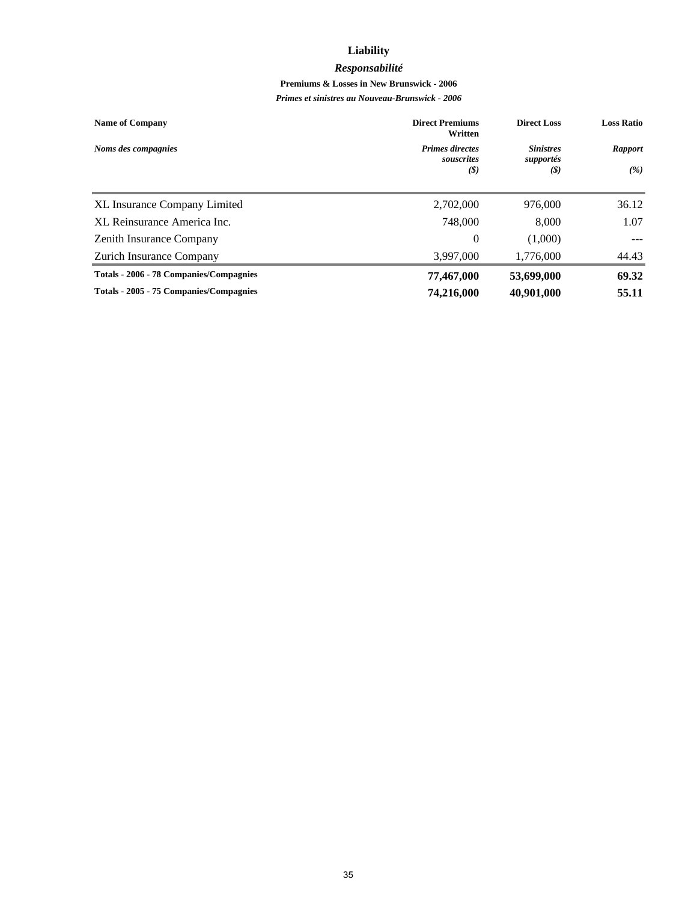## **Liability**

#### *Responsabilité*

#### **Premiums & Losses in New Brunswick - 2006**

| <b>Name of Company</b>                  | <b>Direct Premiums</b><br>Written    | <b>Direct Loss</b>            | <b>Loss Ratio</b> |
|-----------------------------------------|--------------------------------------|-------------------------------|-------------------|
| Noms des compagnies                     | <b>Primes directes</b><br>souscrites | <b>Sinistres</b><br>supportés | <b>Rapport</b>    |
|                                         | (3)                                  | (3)                           | (%)               |
| <b>XL Insurance Company Limited</b>     | 2,702,000                            | 976,000                       | 36.12             |
| XL Reinsurance America Inc.             | 748,000                              | 8,000                         | 1.07              |
| <b>Zenith Insurance Company</b>         | $\theta$                             | (1,000)                       |                   |
| Zurich Insurance Company                | 3,997,000                            | 1,776,000                     | 44.43             |
| Totals - 2006 - 78 Companies/Compagnies | 77,467,000                           | 53,699,000                    | 69.32             |
| Totals - 2005 - 75 Companies/Compagnies | 74,216,000                           | 40,901,000                    | 55.11             |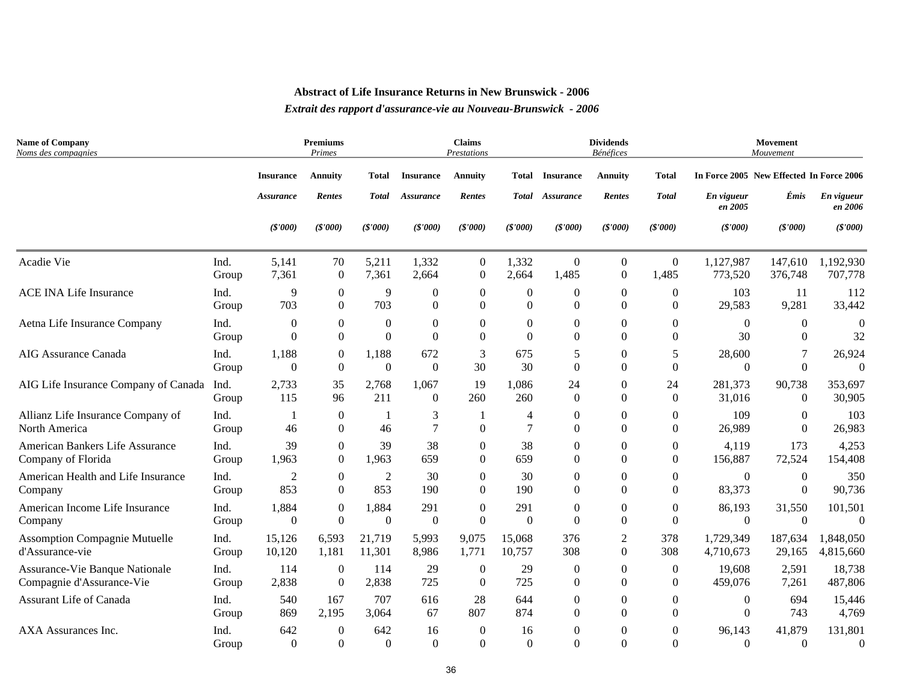| <b>Name of Company</b><br>Noms des compagnies |       |                  | <b>Premiums</b><br>Primes |                |                  | <b>Claims</b><br>Prestations |                  |                        | <b>Dividends</b><br>Bénéfices |                  |                                          | Movement<br>Mouvement |                       |
|-----------------------------------------------|-------|------------------|---------------------------|----------------|------------------|------------------------------|------------------|------------------------|-------------------------------|------------------|------------------------------------------|-----------------------|-----------------------|
|                                               |       | <b>Insurance</b> | <b>Annuity</b>            | <b>Total</b>   | <b>Insurance</b> | <b>Annuity</b>               |                  | <b>Total Insurance</b> | <b>Annuity</b>                | <b>Total</b>     | In Force 2005 New Effected In Force 2006 |                       |                       |
|                                               |       | <b>Assurance</b> | <b>Rentes</b>             | <b>Total</b>   | Assurance        | Rentes                       |                  | Total Assurance        | Rentes                        | <b>Total</b>     | En vigueur<br>en 2005                    | Émis                  | En vigueur<br>en 2006 |
|                                               |       | (S'000)          | (S'000)                   | (S'000)        | (S'000)          | (S'000)                      | (S'000)          | (S'000)                | (S'000)                       | (S'000)          | (S'000)                                  | (S'000)               | (\$'000)              |
| Acadie Vie                                    | Ind.  | 5,141            | 70                        | 5,211          | 1,332            | $\boldsymbol{0}$             | 1,332            | $\mathbf{0}$           | $\overline{0}$                | $\boldsymbol{0}$ | 1,127,987                                | 147,610               | 1,192,930             |
|                                               | Group | 7,361            | $\boldsymbol{0}$          | 7,361          | 2,664            | $\theta$                     | 2,664            | 1,485                  | $\Omega$                      | 1,485            | 773,520                                  | 376,748               | 707,778               |
| <b>ACE INA Life Insurance</b>                 | Ind.  | 9                | $\boldsymbol{0}$          | 9              | $\boldsymbol{0}$ | $\boldsymbol{0}$             | $\boldsymbol{0}$ | $\boldsymbol{0}$       | $\overline{0}$                | $\overline{0}$   | 103                                      | 11                    | 112                   |
|                                               | Group | 703              | $\boldsymbol{0}$          | 703            | $\boldsymbol{0}$ | $\Omega$                     | $\Omega$         | $\theta$               | $\Omega$                      | $\Omega$         | 29,583                                   | 9,281                 | 33,442                |
| Aetna Life Insurance Company                  | Ind.  | $\mathbf{0}$     | $\boldsymbol{0}$          | $\overline{0}$ | $\boldsymbol{0}$ | $\mathbf{0}$                 | $\mathbf{0}$     | $\theta$               | $\Omega$                      | $\Omega$         | $\theta$                                 | $\mathbf{0}$          | $\Omega$              |
|                                               | Group | $\Omega$         | $\Omega$                  | $\Omega$       | $\Omega$         | $\Omega$                     | $\Omega$         | $\Omega$               | $\Omega$                      | $\Omega$         | 30                                       | $\Omega$              | 32                    |
| AIG Assurance Canada                          | Ind.  | 1,188            | $\boldsymbol{0}$          | 1,188          | 672              | 3                            | 675              | 5                      | $\overline{0}$                | 5                | 28,600                                   | 7                     | 26,924                |
|                                               | Group | $\theta$         | $\boldsymbol{0}$          | $\mathbf{0}$   | $\boldsymbol{0}$ | 30                           | 30               | $\theta$               | $\Omega$                      | $\Omega$         | $\overline{0}$                           | $\Omega$              | $\Omega$              |
| AIG Life Insurance Company of Canada          | Ind.  | 2,733            | 35                        | 2,768          | 1,067            | 19                           | 1,086            | 24                     | $\Omega$                      | 24               | 281,373                                  | 90,738                | 353,697               |
|                                               | Group | 115              | 96                        | 211            | $\boldsymbol{0}$ | 260                          | 260              | $\Omega$               | $\Omega$                      | $\overline{0}$   | 31,016                                   | $\mathbf{0}$          | 30,905                |
| Allianz Life Insurance Company of             | Ind.  | $\overline{1}$   | $\boldsymbol{0}$          | $\overline{1}$ | 3                | -1                           | $\overline{4}$   | $\Omega$               | $\Omega$                      | $\overline{0}$   | 109                                      | $\mathbf{0}$          | 103                   |
| North America                                 | Group | 46               | $\boldsymbol{0}$          | 46             | $\overline{7}$   | $\mathbf{0}$                 | $\overline{7}$   | $\theta$               | $\Omega$                      | $\overline{0}$   | 26,989                                   | $\boldsymbol{0}$      | 26,983                |
| American Bankers Life Assurance               | Ind.  | 39               | $\mathbf{0}$              | 39             | 38               | $\theta$                     | 38               | 0                      | $\Omega$                      | $\overline{0}$   | 4,119                                    | 173                   | 4,253                 |
| Company of Florida                            | Group | 1,963            | $\boldsymbol{0}$          | 1,963          | 659              | $\Omega$                     | 659              | $\Omega$               | $\Omega$                      | $\theta$         | 156,887                                  | 72,524                | 154,408               |
| American Health and Life Insurance            | Ind.  | 2                | $\boldsymbol{0}$          | $\overline{2}$ | 30               | $\theta$                     | 30               | $\Omega$               | $\Omega$                      | $\theta$         | $\theta$                                 | $\mathbf{0}$          | 350                   |
| Company                                       | Group | 853              | $\overline{0}$            | 853            | 190              | $\Omega$                     | 190              | $\Omega$               | $\Omega$                      | $\theta$         | 83,373                                   | $\Omega$              | 90,736                |
| American Income Life Insurance                | Ind.  | 1,884            | $\boldsymbol{0}$          | 1,884          | 291              | $\boldsymbol{0}$             | 291              | $\boldsymbol{0}$       | $\overline{0}$                | $\boldsymbol{0}$ | 86,193                                   | 31,550                | 101,501               |
| Company                                       | Group | $\theta$         | $\boldsymbol{0}$          | $\mathbf{0}$   | $\boldsymbol{0}$ | $\mathbf{0}$                 | $\mathbf{0}$     | $\theta$               | $\Omega$                      | $\boldsymbol{0}$ | $\boldsymbol{0}$                         | $\mathbf{0}$          | $\Omega$              |
| <b>Assomption Compagnie Mutuelle</b>          | Ind.  | 15,126           | 6,593                     | 21,719         | 5,993            | 9,075                        | 15,068           | 376                    | $\overline{2}$                | 378              | 1,729,349                                | 187,634               | 1,848,050             |
| d'Assurance-vie                               | Group | 10,120           | 1,181                     | 11,301         | 8,986            | 1,771                        | 10,757           | 308                    | $\Omega$                      | 308              | 4,710,673                                | 29,165                | 4,815,660             |
| Assurance-Vie Banque Nationale                | Ind.  | 114              | $\overline{0}$            | 114            | 29               | $\overline{0}$               | 29               | $\mathbf{0}$           | $\theta$                      | $\boldsymbol{0}$ | 19,608                                   | 2,591                 | 18,738                |
| Compagnie d'Assurance-Vie                     | Group | 2,838            | $\boldsymbol{0}$          | 2,838          | 725              | $\theta$                     | 725              | $\mathbf{0}$           | $\Omega$                      | $\overline{0}$   | 459,076                                  | 7,261                 | 487,806               |
| <b>Assurant Life of Canada</b>                | Ind.  | 540              | 167                       | 707            | 616              | 28                           | 644              | $\Omega$               | $\Omega$                      | $\Omega$         | 0                                        | 694                   | 15,446                |
|                                               | Group | 869              | 2,195                     | 3,064          | 67               | 807                          | 874              | $\theta$               | $\Omega$                      | $\Omega$         | $\Omega$                                 | 743                   | 4,769                 |
| AXA Assurances Inc.                           | Ind.  | 642              | $\boldsymbol{0}$          | 642            | 16               | $\overline{0}$               | 16               | $\overline{0}$         | $\Omega$                      | $\overline{0}$   | 96,143                                   | 41,879                | 131,801               |
|                                               | Group | $\Omega$         | $\mathbf{0}$              | $\Omega$       | $\Omega$         | $\Omega$                     | $\Omega$         | $\Omega$               | $\Omega$                      | $\Omega$         | $\Omega$                                 | $\Omega$              | $\Omega$              |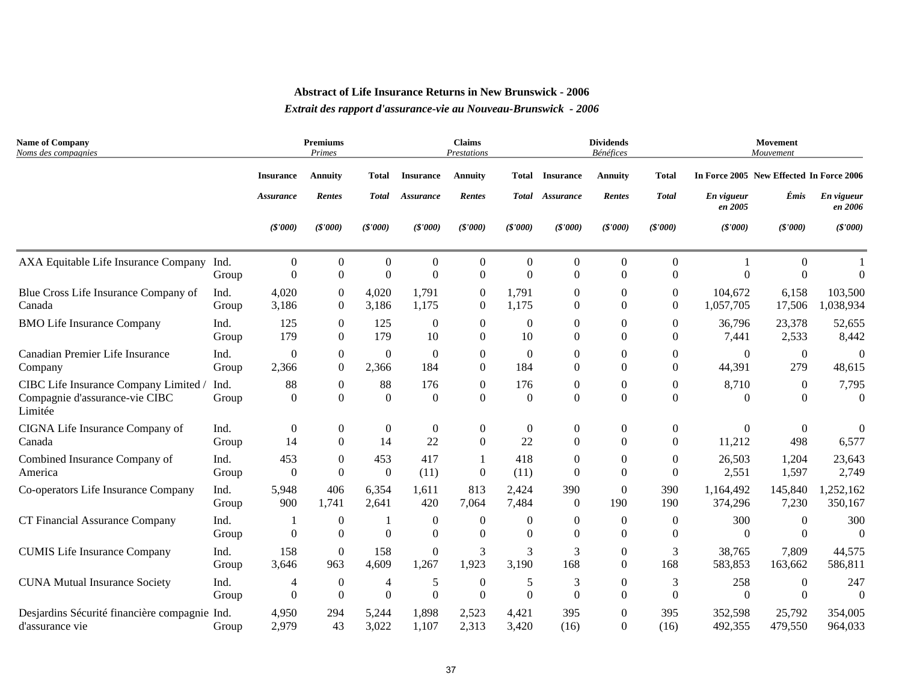| <b>Name of Company</b><br>Noms des compagnies                                      |               | <b>Premiums</b><br>Primes |                                    |                            | <b>Claims</b><br>Prestations       |                              |                          |                            | <b>Dividends</b><br><b>Bénéfices</b> |                              | <b>Movement</b><br>Mouvement             |                          |                       |  |
|------------------------------------------------------------------------------------|---------------|---------------------------|------------------------------------|----------------------------|------------------------------------|------------------------------|--------------------------|----------------------------|--------------------------------------|------------------------------|------------------------------------------|--------------------------|-----------------------|--|
|                                                                                    |               | <b>Insurance</b>          | <b>Annuity</b>                     | Total                      | <b>Insurance</b>                   | <b>Annuity</b>               |                          | Total Insurance            | <b>Annuity</b>                       | Total                        | In Force 2005 New Effected In Force 2006 |                          |                       |  |
|                                                                                    |               | <i><b>Assurance</b></i>   | Rentes                             | <b>Total</b>               | Assurance                          | Rentes                       |                          | Total Assurance            | Rentes                               | <b>Total</b>                 | En vigueur<br>en 2005                    | Émis                     | En vigueur<br>en 2006 |  |
|                                                                                    |               | (S'000)                   | (S'000)                            | (S'000)                    | (S'000)                            | (S'000)                      | (\$'000)                 | (S'000)                    | (S'000)                              | (S'000)                      | (S'000)                                  | (S'000)                  | (S'000)               |  |
| AXA Equitable Life Insurance Company Ind.                                          | Group         | $\Omega$<br>$\Omega$      | $\boldsymbol{0}$<br>$\overline{0}$ | $\overline{0}$<br>$\Omega$ | $\boldsymbol{0}$<br>$\Omega$       | $\boldsymbol{0}$<br>$\theta$ | $\mathbf{0}$<br>$\Omega$ | $\theta$<br>$\Omega$       | $\mathbf{0}$<br>$\Omega$             | $\boldsymbol{0}$<br>$\Omega$ | $\Omega$                                 | $\Omega$<br>$\Omega$     | $\Omega$              |  |
| Blue Cross Life Insurance Company of                                               | Ind.          | 4,020                     | $\boldsymbol{0}$                   | 4,020                      | 1,791                              | $\boldsymbol{0}$             | 1,791                    | $\Omega$                   | $\overline{0}$                       | $\boldsymbol{0}$             | 104,672                                  | 6,158                    | 103,500               |  |
| Canada                                                                             | Group         | 3,186                     | $\boldsymbol{0}$                   | 3,186                      | 1,175                              | $\boldsymbol{0}$             | 1,175                    | $\Omega$                   | $\Omega$                             | $\Omega$                     | 1,057,705                                | 17,506                   | 1,038,934             |  |
| <b>BMO Life Insurance Company</b>                                                  | Ind.          | 125                       | $\overline{0}$                     | 125                        | $\Omega$                           | $\Omega$                     | $\Omega$                 | 0                          | $\Omega$                             | $\Omega$                     | 36,796                                   | 23,378                   | 52,655                |  |
|                                                                                    | Group         | 179                       | $\boldsymbol{0}$                   | 179                        | 10                                 | $\Omega$                     | 10                       | $\Omega$                   | $\Omega$                             | $\Omega$                     | 7,441                                    | 2,533                    | 8,442                 |  |
| Canadian Premier Life Insurance                                                    | Ind.          | $\boldsymbol{0}$          | $\boldsymbol{0}$                   | $\overline{0}$             | $\boldsymbol{0}$                   | $\overline{0}$               | $\Omega$                 | $\overline{0}$             | $\boldsymbol{0}$                     | $\boldsymbol{0}$             | $\Omega$                                 | $\boldsymbol{0}$         | $\Omega$              |  |
| Company                                                                            | Group         | 2,366                     | $\boldsymbol{0}$                   | 2,366                      | 184                                | $\boldsymbol{0}$             | 184                      | $\Omega$                   | $\boldsymbol{0}$                     | $\boldsymbol{0}$             | 44,391                                   | 279                      | 48,615                |  |
| CIBC Life Insurance Company Limited /<br>Compagnie d'assurance-vie CIBC<br>Limitée | Ind.<br>Group | 88<br>$\Omega$            | $\boldsymbol{0}$<br>$\Omega$       | 88<br>$\Omega$             | 176<br>$\Omega$                    | $\overline{0}$<br>$\Omega$   | 176<br>$\Omega$          | $\overline{0}$<br>$\Omega$ | $\boldsymbol{0}$<br>$\Omega$         | $\mathbf{0}$<br>$\Omega$     | 8,710<br>$\Omega$                        | $\mathbf{0}$<br>$\Omega$ | 7,795<br>$\Omega$     |  |
| CIGNA Life Insurance Company of                                                    | Ind.          | $\boldsymbol{0}$          | $\boldsymbol{0}$                   | $\boldsymbol{0}$           | $\boldsymbol{0}$                   | $\boldsymbol{0}$             | $\overline{0}$           | $\boldsymbol{0}$           | $\boldsymbol{0}$                     | $\boldsymbol{0}$             | $\mathbf{0}$                             | $\mathbf{0}$             | $\Omega$              |  |
| Canada                                                                             | Group         | 14                        | $\overline{0}$                     | 14                         | 22                                 | $\Omega$                     | 22                       | $\Omega$                   | $\Omega$                             | $\Omega$                     | 11,212                                   | 498                      | 6,577                 |  |
| Combined Insurance Company of                                                      | Ind.          | 453                       | $\boldsymbol{0}$                   | 453                        | 417                                | 1                            | 418                      | $\Omega$                   | $\mathbf{0}$                         | $\overline{0}$               | 26,503                                   | 1,204                    | 23,643                |  |
| America                                                                            | Group         | $\Omega$                  | $\Omega$                           | $\overline{0}$             | (11)                               | $\theta$                     | (11)                     | $\Omega$                   | $\Omega$                             | $\boldsymbol{0}$             | 2,551                                    | 1,597                    | 2,749                 |  |
| Co-operators Life Insurance Company                                                | Ind.          | 5,948                     | 406                                | 6,354                      | 1,611                              | 813                          | 2,424                    | 390                        | $\Omega$                             | 390                          | 1,164,492                                | 145,840                  | 1,252,162             |  |
|                                                                                    | Group         | 900                       | 1,741                              | 2,641                      | 420                                | 7,064                        | 7,484                    | $\overline{0}$             | 190                                  | 190                          | 374,296                                  | 7,230                    | 350,167               |  |
| CT Financial Assurance Company                                                     | Ind.<br>Group | $\overline{0}$            | $\mathbf{0}$<br>$\boldsymbol{0}$   | -1<br>$\overline{0}$       | $\overline{0}$<br>$\boldsymbol{0}$ | $\overline{0}$<br>$\theta$   | $\Omega$<br>$\Omega$     | $\Omega$<br>$\Omega$       | $\Omega$<br>$\Omega$                 | $\overline{0}$<br>$\theta$   | 300<br>$\Omega$                          | $\Omega$<br>$\Omega$     | 300<br>$\theta$       |  |
| <b>CUMIS Life Insurance Company</b>                                                | Ind.          | 158                       | $\overline{0}$                     | 158                        | $\overline{0}$                     | 3                            | 3                        | 3                          | $\mathbf{0}$                         | 3                            | 38,765                                   | 7,809                    | 44,575                |  |
|                                                                                    | Group         | 3,646                     | 963                                | 4,609                      | 1,267                              | 1,923                        | 3,190                    | 168                        | $\Omega$                             | 168                          | 583,853                                  | 163,662                  | 586,811               |  |
| <b>CUNA Mutual Insurance Society</b>                                               | Ind.          | 4                         | $\boldsymbol{0}$                   | $\overline{4}$             | 5                                  | $\boldsymbol{0}$             | 5                        | 3                          | $\boldsymbol{0}$                     | 3                            | 258                                      | $\theta$                 | 247                   |  |
|                                                                                    | Group         | $\Omega$                  | $\boldsymbol{0}$                   | $\Omega$                   | $\overline{0}$                     | $\Omega$                     | $\Omega$                 | $\theta$                   | $\Omega$                             | $\boldsymbol{0}$             | $\theta$                                 | $\Omega$                 | $\Omega$              |  |
| Desjardins Sécurité financière compagnie Ind.                                      | Group         | 4,950                     | 294                                | 5,244                      | 1,898                              | 2,523                        | 4,421                    | 395                        | $\Omega$                             | 395                          | 352.598                                  | 25,792                   | 354,005               |  |
| d'assurance vie                                                                    |               | 2,979                     | 43                                 | 3,022                      | 1,107                              | 2,313                        | 3,420                    | (16)                       | $\theta$                             | (16)                         | 492,355                                  | 479,550                  | 964,033               |  |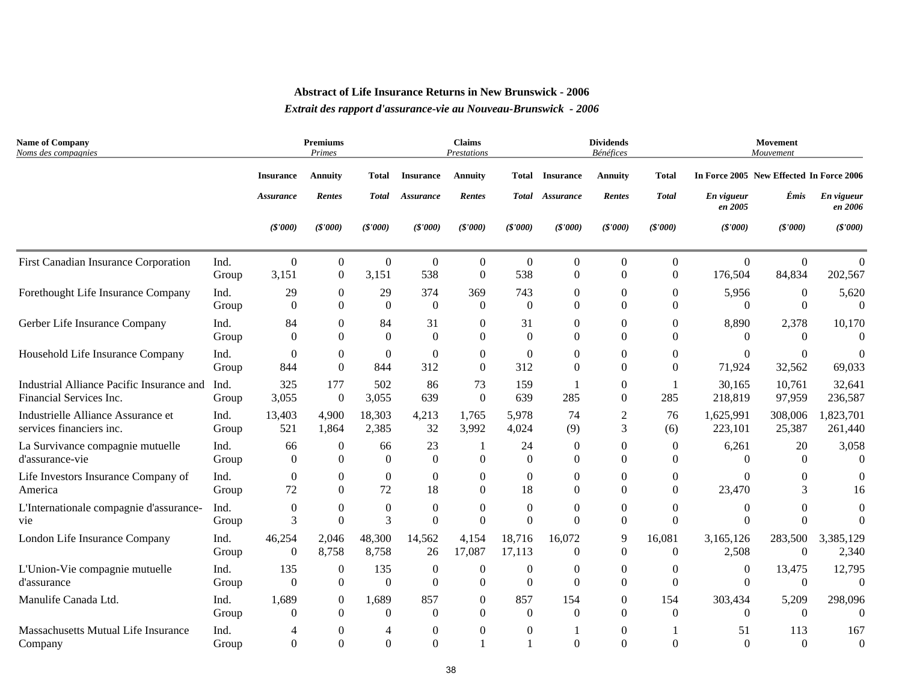| <b>Name of Company</b><br>Noms des compagnies                        |               |                  | <b>Premiums</b><br>Primes |                  |                      | <b>Claims</b><br>Prestations |                  |                        | <b>Dividends</b><br>Bénéfices |                  |                                          | Movement<br>Mouvement |                       |
|----------------------------------------------------------------------|---------------|------------------|---------------------------|------------------|----------------------|------------------------------|------------------|------------------------|-------------------------------|------------------|------------------------------------------|-----------------------|-----------------------|
|                                                                      |               | <b>Insurance</b> | <b>Annuity</b>            | <b>Total</b>     | <b>Insurance</b>     | <b>Annuity</b>               |                  | <b>Total Insurance</b> | <b>Annuity</b>                | <b>Total</b>     | In Force 2005 New Effected In Force 2006 |                       |                       |
|                                                                      |               | <b>Assurance</b> | Rentes                    | <b>Total</b>     | Assurance            | Rentes                       |                  | Total Assurance        | Rentes                        | <b>Total</b>     | En vigueur<br>en 2005                    | Émis                  | En vigueur<br>en 2006 |
|                                                                      |               | (\$'000)         | (S'000)                   | (\$'000)         | (\$'000)             | (S'000)                      | (S'000)          | (\$'000)               | (S'000)                       | (S'000)          | (\$'000)                                 | (S'000)               | (\$'000)              |
| First Canadian Insurance Corporation                                 | Ind.          | $\overline{0}$   | $\boldsymbol{0}$          | $\boldsymbol{0}$ | $\boldsymbol{0}$     | $\overline{0}$               | $\theta$         | $\theta$               | $\overline{0}$                | $\boldsymbol{0}$ | $\overline{0}$                           | $\boldsymbol{0}$      | $\theta$              |
|                                                                      | Group         | 3,151            | $\overline{0}$            | 3,151            | 538                  | $\Omega$                     | 538              | $\theta$               | $\Omega$                      | $\boldsymbol{0}$ | 176,504                                  | 84,834                | 202,567               |
| Forethought Life Insurance Company                                   | Ind.          | 29               | $\boldsymbol{0}$          | 29               | 374                  | 369                          | 743              | $\mathbf{0}$           | $\boldsymbol{0}$              | $\boldsymbol{0}$ | 5,956                                    | $\mathbf{0}$          | 5,620                 |
|                                                                      | Group         | $\Omega$         | $\Omega$                  | $\boldsymbol{0}$ | $\mathbf{0}$         | $\theta$                     | $\Omega$         | $\theta$               | $\Omega$                      | $\Omega$         | $\Omega$                                 | $\Omega$              | $\Omega$              |
| Gerber Life Insurance Company                                        | Ind.          | 84               | $\overline{0}$            | 84               | 31                   | $\mathbf{0}$                 | 31               | $\Omega$               | $\Omega$                      | $\Omega$         | 8,890                                    | 2,378                 | 10,170                |
|                                                                      | Group         | $\Omega$         | $\Omega$                  | $\theta$         | $\Omega$             | $\Omega$                     | $\Omega$         | $\Omega$               | $\Omega$                      | $\Omega$         | $\Omega$                                 | $\Omega$              | $\Omega$              |
| Household Life Insurance Company                                     | Ind.          | $\overline{0}$   | $\boldsymbol{0}$          | $\overline{0}$   | $\overline{0}$       | $\mathbf{0}$                 | $\theta$         | $\mathbf{0}$           | $\overline{0}$                | $\theta$         | 0                                        | $\overline{0}$        | $\Omega$              |
|                                                                      | Group         | 844              | $\Omega$                  | 844              | 312                  | $\Omega$                     | 312              | $\Omega$               | $\Omega$                      | $\Omega$         | 71,924                                   | 32,562                | 69,033                |
| Industrial Alliance Pacific Insurance and<br>Financial Services Inc. | Ind.<br>Group | 325<br>3,055     | 177<br>$\overline{0}$     | 502<br>3,055     | 86<br>639            | 73<br>$\Omega$               | 159<br>639       | 285                    | $\overline{0}$<br>$\Omega$    | 285              | 30,165<br>218,819                        | 10,761<br>97,959      | 32,641<br>236,587     |
| Industrielle Alliance Assurance et                                   | Ind.          | 13,403           | 4,900                     | 18,303           | 4,213                | 1,765                        | 5,978            | 74                     | $\sqrt{2}$                    | 76               | 1,625,991                                | 308,006               | 1,823,701             |
| services financiers inc.                                             | Group         | 521              | 1,864                     | 2,385            | 32                   | 3,992                        | 4,024            | (9)                    | 3                             | (6)              | 223,101                                  | 25,387                | 261,440               |
| La Survivance compagnie mutuelle                                     | Ind.          | 66               | $\mathbf{0}$              | 66               | 23                   | $\Omega$                     | 24               | $\theta$               | $\Omega$                      | $\overline{0}$   | 6,261                                    | 20                    | 3,058                 |
| d'assurance-vie                                                      | Group         | $\Omega$         | $\theta$                  | $\overline{0}$   | $\boldsymbol{0}$     |                              | $\Omega$         | $\Omega$               | $\Omega$                      | $\theta$         | $\Omega$                                 | $\theta$              | $\Omega$              |
| Life Investors Insurance Company of                                  | Ind.          | $\mathbf{0}$     | $\mathbf{0}$              | $\overline{0}$   | $\overline{0}$       | $\Omega$                     | $\mathbf{0}$     | $\Omega$               | $\Omega$                      | $\theta$         | 0                                        | $\mathbf{0}$          | 0                     |
| America                                                              | Group         | 72               | $\Omega$                  | 72               | 18                   | $\Omega$                     | 18               | $\theta$               | $\Omega$                      | $\Omega$         | 23,470                                   | 3                     | 16                    |
| L'Internationale compagnie d'assurance-                              | Ind.          | $\mathbf{0}$     | $\mathbf{0}$              | $\boldsymbol{0}$ | $\boldsymbol{0}$     | $\theta$                     | $\mathbf{0}$     | $\mathbf{0}$           | $\overline{0}$                | $\boldsymbol{0}$ | 0                                        | $\mathbf{0}$          | $\theta$              |
| vie                                                                  | Group         | 3                | $\overline{0}$            | 3                | $\overline{0}$       | $\theta$                     | $\Omega$         | $\Omega$               | $\Omega$                      | $\overline{0}$   | $\overline{0}$                           | $\Omega$              | $\Omega$              |
| London Life Insurance Company                                        | Ind.          | 46,254           | 2,046                     | 48,300           | 14,562               | 4,154                        | 18,716           | 16,072                 | 9                             | 16,081           | 3,165,126                                | 283,500               | 3,385,129             |
|                                                                      | Group         | $\Omega$         | 8,758                     | 8,758            | 26                   | 17,087                       | 17,113           | $\Omega$               | $\theta$                      | $\theta$         | 2,508                                    | $\Omega$              | 2,340                 |
| L'Union-Vie compagnie mutuelle                                       | Ind.          | 135              | $\boldsymbol{0}$          | 135              | $\boldsymbol{0}$     | $\boldsymbol{0}$             | $\boldsymbol{0}$ | $\boldsymbol{0}$       | $\boldsymbol{0}$              | $\boldsymbol{0}$ | $\overline{0}$                           | 13,475                | 12,795                |
| d'assurance                                                          | Group         | $\Omega$         | $\overline{0}$            | $\overline{0}$   | $\theta$             | $\Omega$                     | $\theta$         | $\theta$               | $\Omega$                      | $\Omega$         | $\Omega$                                 | $\mathbf{0}$          | $\Omega$              |
| Manulife Canada Ltd.                                                 | Ind.          | 1,689            | $\mathbf{0}$              | 1,689            | 857                  | $\mathbf{0}$                 | 857              | 154                    | $\Omega$                      | 154              | 303,434                                  | 5,209                 | 298,096               |
|                                                                      | Group         | $\theta$         | $\Omega$                  | $\Omega$         | $\Omega$             | $\Omega$                     | $\Omega$         | $\Omega$               | $\Omega$                      | $\Omega$         | $\Omega$                                 | $\Omega$              | $\Omega$              |
| Massachusetts Mutual Life Insurance<br>Company                       | Ind.<br>Group | 4<br>$\Omega$    | 0<br>$\Omega$             | 4<br>$\Omega$    | $\theta$<br>$\theta$ | $\Omega$                     | $\Omega$         | $\Omega$               | $\overline{0}$<br>$\Omega$    | $\Omega$         | 51<br>$\Omega$                           | 113<br>$\Omega$       | 167<br>$\mathbf{0}$   |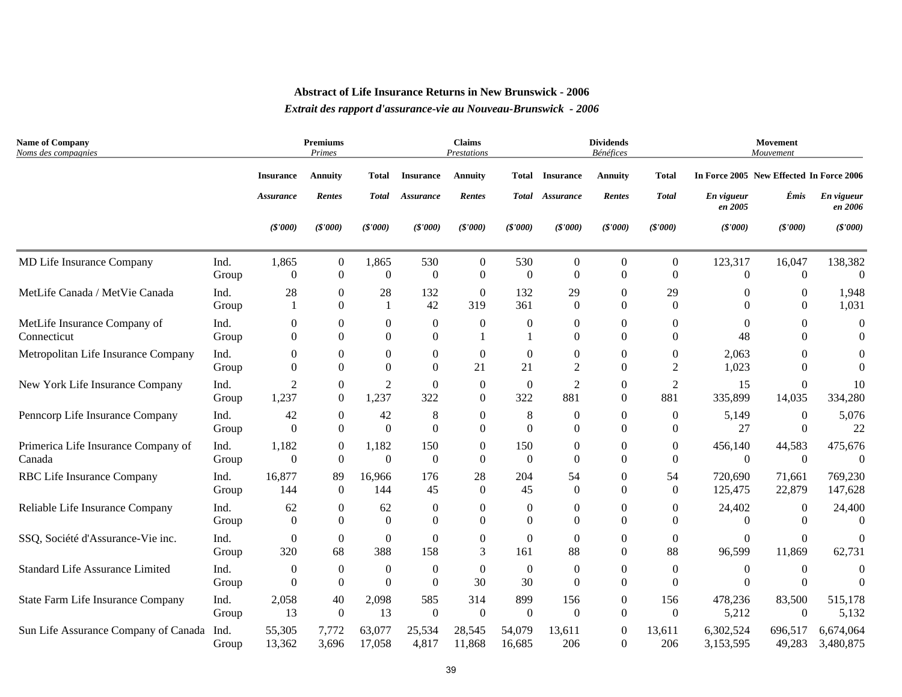| <b>Name of Company</b><br>Noms des compagnies |               |                      | Premiums<br>Primes           |                              |                              | <b>Claims</b><br>Prestations |                |                      | <b>Dividends</b><br><b>Bénéfices</b> |                      |                                          | Movement<br>Mouvement    |                       |
|-----------------------------------------------|---------------|----------------------|------------------------------|------------------------------|------------------------------|------------------------------|----------------|----------------------|--------------------------------------|----------------------|------------------------------------------|--------------------------|-----------------------|
|                                               |               | <b>Insurance</b>     | <b>Annuity</b>               | Total                        | <b>Insurance</b>             | <b>Annuity</b>               | Total          | <b>Insurance</b>     | <b>Annuity</b>                       | <b>Total</b>         | In Force 2005 New Effected In Force 2006 |                          |                       |
|                                               |               | <b>Assurance</b>     | Rentes                       | <b>Total</b>                 | Assurance                    | Rentes                       |                | Total Assurance      | Rentes                               | <b>Total</b>         | En vigueur<br>en 2005                    | Émis                     | En vigueur<br>en 2006 |
|                                               |               | (S'000)              | (\$'000)                     | (\$'000)                     | (S'000)                      | (S'000)                      | (S'000)        | (\$'000)             | (\$'000)                             | (S'000)              | (\$'000)                                 | (\$'000)                 | (\$'000)              |
| MD Life Insurance Company                     | Ind.          | 1,865                | $\boldsymbol{0}$             | 1,865                        | 530                          | $\overline{0}$               | 530            | $\mathbf{0}$         | $\overline{0}$                       | $\overline{0}$       | 123,317                                  | 16,047                   | 138,382               |
|                                               | Group         | $\Omega$             | $\overline{0}$               | $\boldsymbol{0}$             | $\Omega$                     | $\Omega$                     | $\Omega$       | $\theta$             | $\Omega$                             | $\Omega$             | $\theta$                                 | $\Omega$                 | $\Omega$              |
| MetLife Canada / MetVie Canada                | Ind.          | 28                   | $\boldsymbol{0}$             | 28                           | 132                          | $\boldsymbol{0}$             | 132            | 29                   | $\overline{0}$                       | 29                   | 0                                        | 0                        | 1,948                 |
|                                               | Group         | $\mathbf{1}$         | $\mathbf{0}$                 | $\mathbf{1}$                 | 42                           | 319                          | 361            | $\Omega$             | $\Omega$                             | $\Omega$             | $\theta$                                 | $\theta$                 | 1,031                 |
| MetLife Insurance Company of<br>Connecticut   | Ind.<br>Group | $\theta$<br>$\Omega$ | $\boldsymbol{0}$<br>$\Omega$ | $\boldsymbol{0}$<br>$\Omega$ | $\boldsymbol{0}$<br>$\Omega$ | $\theta$                     | $\theta$       | $\theta$<br>$\Omega$ | $\Omega$<br>$\Omega$                 | $\Omega$<br>$\Omega$ | $\Omega$<br>48                           | $\mathbf{0}$<br>$\Omega$ | $\theta$<br>$\Omega$  |
| Metropolitan Life Insurance Company           | Ind.          | 0                    | $\boldsymbol{0}$             | $\boldsymbol{0}$             | $\boldsymbol{0}$             | $\overline{0}$               | $\theta$       | $\theta$             | 0                                    | $\theta$             | 2,063                                    | 0                        | $\Omega$              |
|                                               | Group         | $\Omega$             | $\boldsymbol{0}$             | $\Omega$                     | $\Omega$                     | 21                           | 21             | $\overline{2}$       | $\Omega$                             | $\overline{2}$       | 1,023                                    | $\Omega$                 | $\Omega$              |
| New York Life Insurance Company               | Ind.          | $\overline{2}$       | $\boldsymbol{0}$             | $\overline{c}$               | $\overline{0}$               | $\overline{0}$               | $\overline{0}$ | $\overline{2}$       | $\Omega$                             | $\overline{2}$       | 15                                       | $\mathbf{0}$             | 10                    |
|                                               | Group         | 1,237                | $\boldsymbol{0}$             | 1,237                        | 322                          | $\theta$                     | 322            | 881                  | $\Omega$                             | 881                  | 335,899                                  | 14,035                   | 334,280               |
| Penncorp Life Insurance Company               | Ind.          | 42                   | $\mathbf{0}$                 | 42                           | 8                            | $\theta$                     | 8              | $\theta$             | $\Omega$                             | $\boldsymbol{0}$     | 5,149                                    | $\mathbf{0}$             | 5,076                 |
|                                               | Group         | $\theta$             | $\mathbf{0}$                 | $\Omega$                     | $\theta$                     | $\Omega$                     | $\Omega$       | $\theta$             | $\Omega$                             | $\Omega$             | 27                                       | $\Omega$                 | 22                    |
| Primerica Life Insurance Company of           | Ind.          | 1,182                | $\boldsymbol{0}$             | 1,182                        | 150                          | $\overline{0}$               | 150            | $\theta$             | $\overline{0}$                       | $\overline{0}$       | 456,140                                  | 44,583                   | 475,676               |
| Canada                                        | Group         | $\overline{0}$       | $\boldsymbol{0}$             | $\overline{0}$               | $\boldsymbol{0}$             | $\Omega$                     | $\Omega$       | $\theta$             | $\Omega$                             | $\Omega$             | $\Omega$                                 | $\Omega$                 | $\Omega$              |
| RBC Life Insurance Company                    | Ind.          | 16,877               | 89                           | 16,966                       | 176                          | 28                           | 204            | 54                   | $\Omega$                             | 54                   | 720,690                                  | 71,661                   | 769,230               |
|                                               | Group         | 144                  | $\boldsymbol{0}$             | 144                          | 45                           | $\Omega$                     | 45             | $\Omega$             | $\Omega$                             | $\theta$             | 125,475                                  | 22,879                   | 147,628               |
| Reliable Life Insurance Company               | Ind.          | 62                   | $\boldsymbol{0}$             | 62                           | $\boldsymbol{0}$             | $\theta$                     | $\theta$       | $\theta$             | $\overline{0}$                       | $\boldsymbol{0}$     | 24,402                                   | $\boldsymbol{0}$         | 24,400                |
|                                               | Group         | $\overline{0}$       | $\boldsymbol{0}$             | $\mathbf{0}$                 | $\Omega$                     | $\Omega$                     | $\Omega$       | $\theta$             | $\Omega$                             | $\Omega$             | $\theta$                                 | $\Omega$                 | $\Omega$              |
| SSQ, Société d'Assurance-Vie inc.             | Ind.          | $\boldsymbol{0}$     | $\boldsymbol{0}$             | $\overline{0}$               | $\overline{0}$               | $\theta$                     | $\Omega$       | $\theta$             | $\Omega$                             | $\overline{0}$       | $\mathbf{0}$                             | $\Omega$                 | $\theta$              |
|                                               | Group         | 320                  | 68                           | 388                          | 158                          | 3                            | 161            | 88                   | $\Omega$                             | 88                   | 96,599                                   | 11,869                   | 62,731                |
| <b>Standard Life Assurance Limited</b>        | Ind.          | $\boldsymbol{0}$     | $\boldsymbol{0}$             | $\boldsymbol{0}$             | $\boldsymbol{0}$             | $\theta$                     | $\overline{0}$ | $\theta$             | $\overline{0}$                       | $\boldsymbol{0}$     | $\boldsymbol{0}$                         | $\theta$                 | $\Omega$              |
|                                               | Group         | $\theta$             | $\boldsymbol{0}$             | $\theta$                     | $\Omega$                     | 30                           | 30             | $\Omega$             | $\Omega$                             | $\Omega$             | $\Omega$                                 | $\Omega$                 | $\Omega$              |
| State Farm Life Insurance Company             | Ind.          | 2,058                | 40                           | 2,098                        | 585                          | 314                          | 899            | 156                  | $\overline{0}$                       | 156                  | 478,236                                  | 83,500                   | 515,178               |
|                                               | Group         | 13                   | $\boldsymbol{0}$             | 13                           | $\theta$                     | $\theta$                     | $\Omega$       | $\Omega$             | $\Omega$                             | $\theta$             | 5,212                                    | $\theta$                 | 5,132                 |
| Sun Life Assurance Company of Canada          | Ind.          | 55,305               | 7,772                        | 63,077                       | 25,534                       | 28,545                       | 54,079         | 13,611               | $\overline{0}$                       | 13,611               | 6,302,524                                | 696,517                  | 6,674,064             |
|                                               | Group         | 13,362               | 3,696                        | 17,058                       | 4,817                        | 11,868                       | 16,685         | 206                  | $\Omega$                             | 206                  | 3,153,595                                | 49,283                   | 3,480,875             |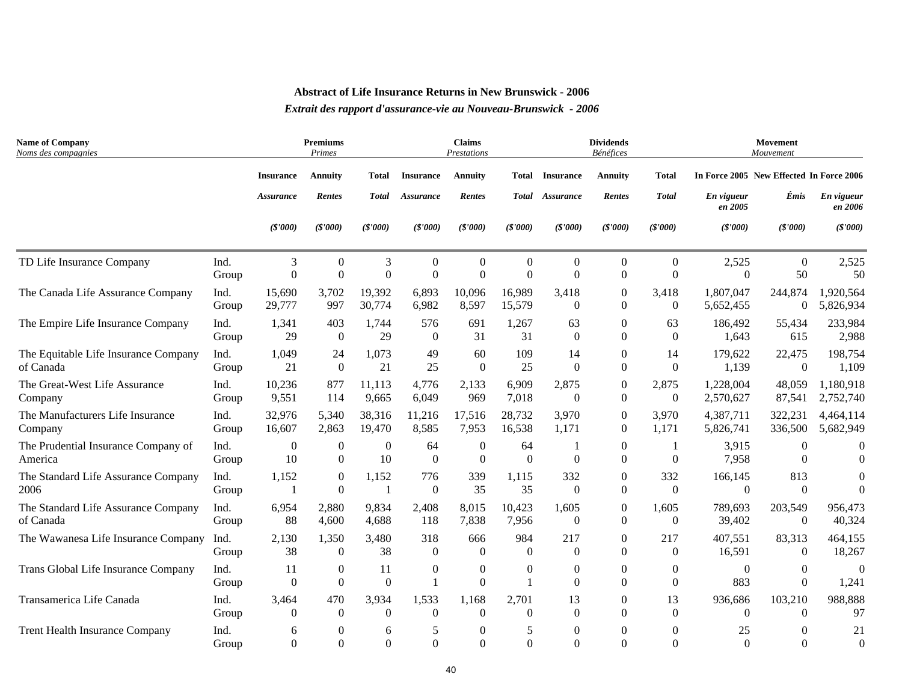| <b>Name of Company</b><br>Noms des compagnies  |               |                      | <b>Premiums</b><br>Primes            |                        |                                  | <b>Claims</b><br>Prestations |                |                              | <b>Dividends</b><br><b>Bénéfices</b> |                              |                                          | Movement<br>Mouvement    |                       |
|------------------------------------------------|---------------|----------------------|--------------------------------------|------------------------|----------------------------------|------------------------------|----------------|------------------------------|--------------------------------------|------------------------------|------------------------------------------|--------------------------|-----------------------|
|                                                |               | <b>Insurance</b>     | <b>Annuity</b>                       | Total                  | <b>Insurance</b>                 | <b>Annuity</b>               | Total          | <b>Insurance</b>             | <b>Annuity</b>                       | <b>Total</b>                 | In Force 2005 New Effected In Force 2006 |                          |                       |
|                                                |               | <b>Assurance</b>     | Rentes                               | <b>Total</b>           | Assurance                        | <b>Rentes</b>                |                | Total Assurance              | Rentes                               | <b>Total</b>                 | En vigueur<br>en 2005                    | Émis                     | En vigueur<br>en 2006 |
|                                                |               | (S'000)              | (S'000)                              | (S'000)                | (S'000)                          | (S'000)                      | (S'000)        | (S'000)                      | (\$'000)                             | (S'000)                      | (S'000)                                  | (S'000)                  | (S'000)               |
| TD Life Insurance Company                      | Ind.          | 3                    | $\boldsymbol{0}$                     | 3                      | $\theta$                         | $\theta$                     | $\Omega$       | $\Omega$                     | $\Omega$                             | $\overline{0}$               | 2,525                                    | $\mathbf{0}$             | 2,525                 |
|                                                | Group         | $\overline{0}$       | $\boldsymbol{0}$                     | $\overline{0}$         | $\overline{0}$                   | $\Omega$                     | $\Omega$       | $\Omega$                     | $\Omega$                             | $\theta$                     | $\Omega$                                 | 50                       | 50                    |
| The Canada Life Assurance Company              | Ind.          | 15,690               | 3,702                                | 19,392                 | 6,893                            | 10,096                       | 16,989         | 3,418                        | $\boldsymbol{0}$                     | 3,418                        | 1,807,047                                | 244,874                  | 1,920,564             |
|                                                | Group         | 29,777               | 997                                  | 30,774                 | 6,982                            | 8,597                        | 15,579         | $\theta$                     | $\Omega$                             | $\theta$                     | 5,652,455                                | $\mathbf{0}$             | 5,826,934             |
| The Empire Life Insurance Company              | Ind.          | 1,341                | 403                                  | 1,744                  | 576                              | 691                          | 1,267          | 63                           | $\Omega$                             | 63                           | 186,492                                  | 55,434                   | 233,984               |
|                                                | Group         | 29                   | $\mathbf{0}$                         | 29                     | $\theta$                         | 31                           | 31             | $\theta$                     | $\Omega$                             | $\theta$                     | 1,643                                    | 615                      | 2,988                 |
| The Equitable Life Insurance Company           | Ind.          | 1,049                | 24                                   | 1,073                  | 49                               | 60                           | 109            | 14                           | $\Omega$                             | 14                           | 179,622                                  | 22,475                   | 198,754               |
| of Canada                                      | Group         | 21                   | $\mathbf{0}$                         | 21                     | 25                               | $\Omega$                     | 25             | $\Omega$                     | $\Omega$                             | $\theta$                     | 1,139                                    | $\mathbf{0}$             | 1,109                 |
| The Great-West Life Assurance                  | Ind.          | 10,236               | 877                                  | 11,113                 | 4,776                            | 2,133                        | 6,909          | 2,875                        | $\overline{0}$                       | 2,875                        | 1,228,004                                | 48,059                   | 1,180,918             |
| Company                                        | Group         | 9,551                | 114                                  | 9,665                  | 6,049                            | 969                          | 7,018          | $\Omega$                     | $\Omega$                             | $\overline{0}$               | 2,570,627                                | 87,541                   | 2,752,740             |
| The Manufacturers Life Insurance               | Ind.          | 32,976               | 5,340                                | 38,316                 | 11,216                           | 17,516                       | 28,732         | 3,970                        | $\overline{0}$                       | 3,970                        | 4,387,711                                | 322,231                  | 4,464,114             |
| Company                                        | Group         | 16,607               | 2,863                                | 19,470                 | 8,585                            | 7,953                        | 16,538         | 1,171                        | $\Omega$                             | 1,171                        | 5,826,741                                | 336,500                  | 5,682,949             |
| The Prudential Insurance Company of<br>America | Ind.<br>Group | $\overline{0}$<br>10 | $\mathbf{0}$<br>$\boldsymbol{0}$     | $\overline{0}$<br>10   | 64<br>$\boldsymbol{0}$           | $\Omega$<br>$\Omega$         | 64<br>$\Omega$ | $\Omega$                     | $\Omega$<br>$\Omega$                 | $\overline{0}$               | 3,915<br>7,958                           | $\theta$<br>$\Omega$     | $\Omega$<br>$\Omega$  |
| The Standard Life Assurance Company            | Ind.          | 1,152                | $\boldsymbol{0}$                     | 1,152                  | 776                              | 339                          | 1,115          | 332                          | $\Omega$                             | 332                          | 166,145                                  | 813                      | $\Omega$              |
| 2006                                           | Group         | 1                    | $\boldsymbol{0}$                     | $\mathbf{1}$           | $\mathbf{0}$                     | 35                           | 35             | $\theta$                     | $\Omega$                             | $\overline{0}$               | $\boldsymbol{0}$                         | $\boldsymbol{0}$         | $\theta$              |
| The Standard Life Assurance Company            | Ind.          | 6,954                | 2,880                                | 9,834                  | 2,408                            | 8,015                        | 10,423         | 1,605                        | $\boldsymbol{0}$                     | 1,605                        | 789,693                                  | 203,549                  | 956,473               |
| of Canada                                      | Group         | 88                   | 4,600                                | 4,688                  | 118                              | 7,838                        | 7,956          | $\mathbf{0}$                 | $\Omega$                             | $\overline{0}$               | 39,402                                   | $\boldsymbol{0}$         | 40,324                |
| The Wawanesa Life Insurance Company            | Ind.          | 2,130                | 1,350                                | 3,480                  | 318                              | 666                          | 984            | 217                          | $\Omega$                             | 217                          | 407,551                                  | 83,313                   | 464,155               |
|                                                | Group         | 38                   | $\boldsymbol{0}$                     | 38                     | $\overline{0}$                   | $\Omega$                     | $\Omega$       | $\theta$                     | 0                                    | $\theta$                     | 16,591                                   | $\Omega$                 | 18,267                |
| Trans Global Life Insurance Company            | Ind.<br>Group | 11<br>$\overline{0}$ | $\boldsymbol{0}$<br>$\boldsymbol{0}$ | 11<br>$\boldsymbol{0}$ | $\boldsymbol{0}$<br>$\mathbf{1}$ | $\boldsymbol{0}$<br>$\Omega$ | $\theta$       | $\boldsymbol{0}$<br>$\Omega$ | $\boldsymbol{0}$<br>$\Omega$         | $\boldsymbol{0}$<br>$\Omega$ | $\boldsymbol{0}$<br>883                  | $\mathbf{0}$<br>$\Omega$ | $\Omega$<br>1,241     |
| Transamerica Life Canada                       | Ind.          | 3,464                | 470                                  | 3,934                  | 1,533                            | 1,168                        | 2,701          | 13                           | $\Omega$                             | 13                           | 936,686                                  | 103,210                  | 988,888               |
|                                                | Group         | $\overline{0}$       | $\boldsymbol{0}$                     | $\theta$               | $\theta$                         | $\Omega$                     | $\Omega$       | $\Omega$                     | $\Omega$                             | $\theta$                     | $\theta$                                 | $\Omega$                 | 97                    |
| Trent Health Insurance Company                 | Ind.          | 6                    | $\boldsymbol{0}$                     | 6                      | 5                                | $\theta$                     | 5              | $\theta$                     | $\theta$                             | $\theta$                     | 25                                       | 0                        | 21                    |
|                                                | Group         | $\Omega$             | $\Omega$                             | $\Omega$               | $\overline{0}$                   | $\Omega$                     | $\Omega$       | $\Omega$                     | $\Omega$                             | $\Omega$                     | $\Omega$                                 | $\Omega$                 | $\theta$              |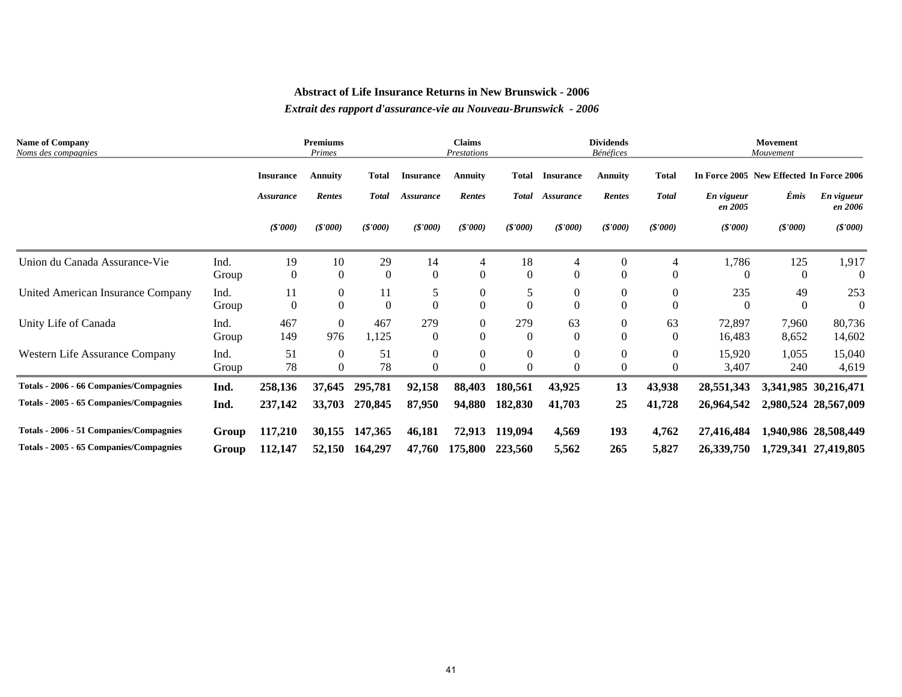| <b>Name of Company</b><br>Noms des compagnies |       | <b>Premiums</b><br>Primes |                  |                  | <b>Claims</b><br>Prestations |                |              | <b>Dividends</b><br>Bénéfices |                |                | Movement<br>Mouvement                    |          |                       |  |
|-----------------------------------------------|-------|---------------------------|------------------|------------------|------------------------------|----------------|--------------|-------------------------------|----------------|----------------|------------------------------------------|----------|-----------------------|--|
|                                               |       | <b>Insurance</b>          | Annuity          | <b>Total</b>     | <b>Insurance</b>             | <b>Annuity</b> | <b>Total</b> | <b>Insurance</b>              | <b>Annuity</b> | <b>Total</b>   | In Force 2005 New Effected In Force 2006 |          |                       |  |
|                                               |       | Assurance                 | <b>Rentes</b>    | <b>Total</b>     | <b>Assurance</b>             | Rentes         | <b>Total</b> | Assurance                     | Rentes         | <b>Total</b>   | En vigueur<br>en 2005                    | Émis     | En vigueur<br>en 2006 |  |
|                                               |       | (S'000)                   | (S'000)          | (S'000)          | (S'000)                      | (S'000)        | (S'000)      | (S'000)                       | (S'000)        | (S'000)        | (S'000)                                  | (S'000)  | (S'000)               |  |
| Union du Canada Assurance-Vie                 | Ind.  | 19                        | 10               | 29               | 14                           | 4              | 18           | 4                             | $\mathbf{0}$   | $\overline{4}$ | 1,786                                    | 125      | 1,917                 |  |
|                                               | Group | $\overline{0}$            | $\mathbf{0}$     | $\overline{0}$   | $\mathbf{0}$                 | $\Omega$       | $\theta$     | $\theta$                      | $\Omega$       | $\Omega$       | $\Omega$                                 | $\Omega$ | $\Omega$              |  |
| United American Insurance Company             | Ind.  | 11                        | $\boldsymbol{0}$ | 11               | 5                            | $\overline{0}$ | 5            | $\theta$                      | $\mathbf{0}$   | $\Omega$       | 235                                      | 49       | 253                   |  |
|                                               | Group | $\boldsymbol{0}$          | $\boldsymbol{0}$ | $\boldsymbol{0}$ | $\theta$                     | $\Omega$       |              | 0                             | $\Omega$       | $\Omega$       | $\Omega$                                 | $\Omega$ | $\Omega$              |  |
| Unity Life of Canada                          | Ind.  | 467                       | $\boldsymbol{0}$ | 467              | 279                          | $\overline{0}$ | 279          | 63                            | $\theta$       | 63             | 72,897                                   | 7,960    | 80,736                |  |
|                                               | Group | 149                       | 976              | 1,125            | $\mathbf{0}$                 | $\Omega$       | $\Omega$     | $\Omega$                      | $\theta$       | $\Omega$       | 16,483                                   | 8,652    | 14,602                |  |
| Western Life Assurance Company                | Ind.  | 51                        | $\mathbf{0}$     | 51               | $\theta$                     | $\overline{0}$ | $\Omega$     | 0                             | $\theta$       | $\theta$       | 15,920                                   | 1,055    | 15,040                |  |
|                                               | Group | 78                        | $\boldsymbol{0}$ | 78               | $\Omega$                     | $\Omega$       |              | 0                             | $\Omega$       | $\Omega$       | 3,407                                    | 240      | 4,619                 |  |
| Totals - 2006 - 66 Companies/Compagnies       | Ind.  | 258,136                   | 37,645           | 295,781          | 92,158                       | 88,403         | 180,561      | 43,925                        | 13             | 43,938         | 28,551,343                               |          | 3,341,985 30,216,471  |  |
| Totals - 2005 - 65 Companies/Compagnies       | Ind.  | 237,142                   | 33,703           | 270,845          | 87,950                       | 94,880         | 182,830      | 41,703                        | 25             | 41,728         | 26,964,542                               |          | 2,980,524 28,567,009  |  |
| Totals - 2006 - 51 Companies/Compagnies       | Group | 117,210                   | 30,155           | 147,365          | 46,181                       | 72,913         | 119,094      | 4,569                         | 193            | 4,762          | 27,416,484                               |          | 1,940,986 28,508,449  |  |
| Totals - 2005 - 65 Companies/Compagnies       | Group | 112,147                   | 52,150           | 164,297          | 47,760                       | 175,800        | 223,560      | 5,562                         | 265            | 5,827          | 26,339,750                               |          | 1,729,341 27,419,805  |  |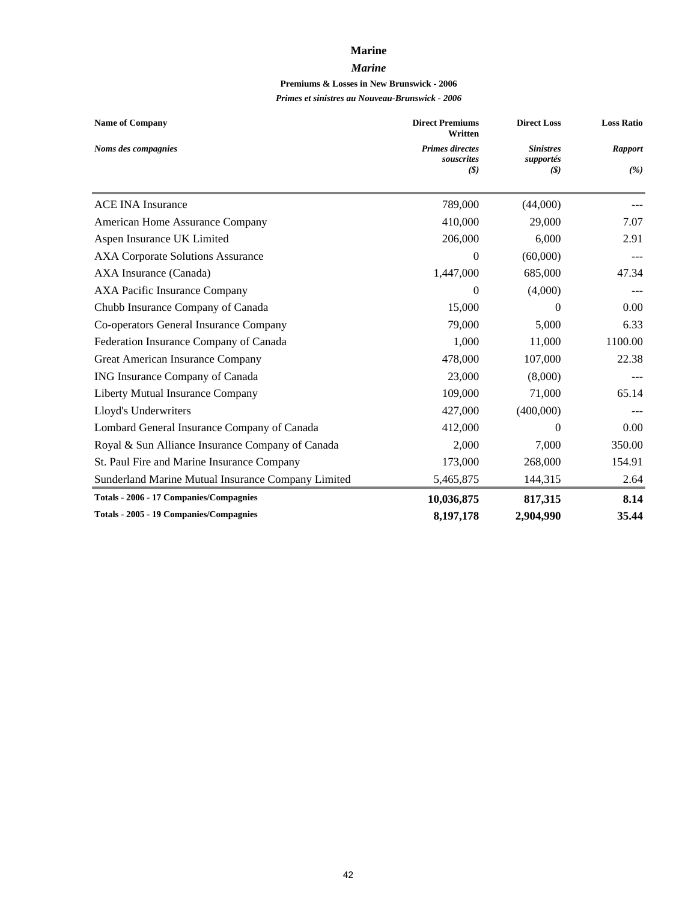#### **Marine**

#### *Marine*

## **Premiums & Losses in New Brunswick - 2006**

| <b>Name of Company</b>                             | <b>Direct Premiums</b><br>Written    | <b>Direct Loss</b>            | <b>Loss Ratio</b> |
|----------------------------------------------------|--------------------------------------|-------------------------------|-------------------|
| Noms des compagnies                                | <b>Primes directes</b><br>souscrites | <b>Sinistres</b><br>supportés | <b>Rapport</b>    |
|                                                    | (3)                                  | (3)                           | (%)               |
| <b>ACE INA Insurance</b>                           | 789,000                              | (44,000)                      |                   |
| American Home Assurance Company                    | 410,000                              | 29,000                        | 7.07              |
| Aspen Insurance UK Limited                         | 206,000                              | 6,000                         | 2.91              |
| <b>AXA Corporate Solutions Assurance</b>           | 0                                    | (60,000)                      |                   |
| AXA Insurance (Canada)                             | 1,447,000                            | 685,000                       | 47.34             |
| <b>AXA Pacific Insurance Company</b>               | $\mathbf{0}$                         | (4,000)                       |                   |
| Chubb Insurance Company of Canada                  | 15,000                               | $\Omega$                      | 0.00              |
| Co-operators General Insurance Company             | 79,000                               | 5,000                         | 6.33              |
| Federation Insurance Company of Canada             | 1,000                                | 11,000                        | 1100.00           |
| Great American Insurance Company                   | 478,000                              | 107,000                       | 22.38             |
| ING Insurance Company of Canada                    | 23,000                               | (8,000)                       |                   |
| Liberty Mutual Insurance Company                   | 109,000                              | 71,000                        | 65.14             |
| Lloyd's Underwriters                               | 427,000                              | (400,000)                     |                   |
| Lombard General Insurance Company of Canada        | 412,000                              | $\Omega$                      | 0.00              |
| Royal & Sun Alliance Insurance Company of Canada   | 2,000                                | 7,000                         | 350.00            |
| St. Paul Fire and Marine Insurance Company         | 173,000                              | 268,000                       | 154.91            |
| Sunderland Marine Mutual Insurance Company Limited | 5,465,875                            | 144,315                       | 2.64              |
| Totals - 2006 - 17 Companies/Compagnies            | 10,036,875                           | 817,315                       | 8.14              |
| <b>Totals - 2005 - 19 Companies/Compagnies</b>     | 8,197,178                            | 2,904,990                     | 35.44             |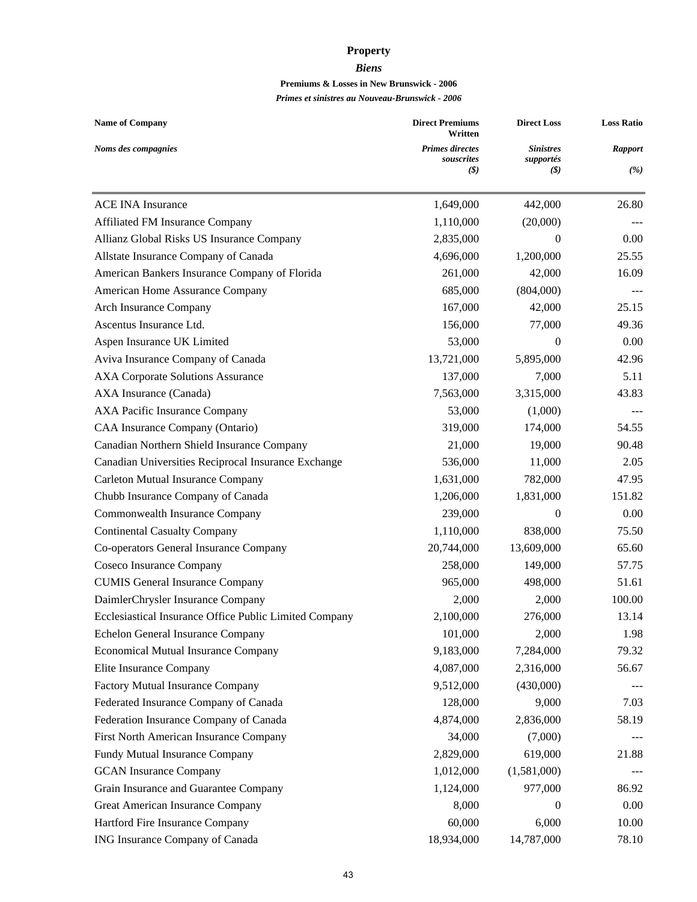## **Property**

#### *Biens*

## **Premiums & Losses in New Brunswick - 2006**

| <b>Name of Company</b>                                 | <b>Direct Premiums</b><br>Written                                    | <b>Direct Loss</b>                                           | <b>Loss Ratio</b>     |  |
|--------------------------------------------------------|----------------------------------------------------------------------|--------------------------------------------------------------|-----------------------|--|
| Noms des compagnies                                    | <b>Primes directes</b><br>souscrites<br>$(\boldsymbol{\mathcal{S}})$ | <b>Sinistres</b><br>supportés<br>$\left( \mathcal{S}\right)$ | <b>Rapport</b><br>(%) |  |
|                                                        |                                                                      |                                                              |                       |  |
| <b>ACE INA Insurance</b>                               | 1,649,000                                                            | 442,000                                                      | 26.80                 |  |
| Affiliated FM Insurance Company                        | 1,110,000                                                            | (20,000)                                                     |                       |  |
| Allianz Global Risks US Insurance Company              | 2,835,000                                                            | 0                                                            | 0.00                  |  |
| Allstate Insurance Company of Canada                   | 4,696,000                                                            | 1,200,000                                                    | 25.55                 |  |
| American Bankers Insurance Company of Florida          | 261,000                                                              | 42,000                                                       | 16.09                 |  |
| American Home Assurance Company                        | 685,000                                                              | (804,000)                                                    |                       |  |
| Arch Insurance Company                                 | 167,000                                                              | 42,000                                                       | 25.15                 |  |
| Ascentus Insurance Ltd.                                | 156,000                                                              | 77,000                                                       | 49.36                 |  |
| Aspen Insurance UK Limited                             | 53,000                                                               | $\theta$                                                     | 0.00                  |  |
| Aviva Insurance Company of Canada                      | 13,721,000                                                           | 5,895,000                                                    | 42.96                 |  |
| <b>AXA Corporate Solutions Assurance</b>               | 137,000                                                              | 7,000                                                        | 5.11                  |  |
| AXA Insurance (Canada)                                 | 7,563,000                                                            | 3,315,000                                                    | 43.83                 |  |
| AXA Pacific Insurance Company                          | 53,000                                                               | (1,000)                                                      |                       |  |
| CAA Insurance Company (Ontario)                        | 319,000                                                              | 174,000                                                      | 54.55                 |  |
| Canadian Northern Shield Insurance Company             | 21,000                                                               | 19,000                                                       | 90.48                 |  |
| Canadian Universities Reciprocal Insurance Exchange    | 536,000                                                              | 11,000                                                       | 2.05                  |  |
| Carleton Mutual Insurance Company                      | 1,631,000                                                            | 782,000                                                      | 47.95                 |  |
| Chubb Insurance Company of Canada                      | 1,206,000                                                            | 1,831,000                                                    | 151.82                |  |
| Commonwealth Insurance Company                         | 239,000                                                              | 0                                                            | 0.00                  |  |
| <b>Continental Casualty Company</b>                    | 1,110,000                                                            | 838,000                                                      | 75.50                 |  |
| Co-operators General Insurance Company                 | 20,744,000                                                           | 13,609,000                                                   | 65.60                 |  |
| Coseco Insurance Company                               | 258,000                                                              | 149,000                                                      | 57.75                 |  |
| <b>CUMIS General Insurance Company</b>                 | 965,000                                                              | 498,000                                                      | 51.61                 |  |
| DaimlerChrysler Insurance Company                      | 2,000                                                                | 2,000                                                        | 100.00                |  |
| Ecclesiastical Insurance Office Public Limited Company | 2,100,000                                                            | 276,000                                                      | 13.14                 |  |
| Echelon General Insurance Company                      | 101,000                                                              | 2,000                                                        | 1.98                  |  |
| <b>Economical Mutual Insurance Company</b>             | 9,183,000                                                            | 7,284,000                                                    | 79.32                 |  |
| Elite Insurance Company                                | 4,087,000                                                            | 2,316,000                                                    | 56.67                 |  |
| Factory Mutual Insurance Company                       | 9,512,000                                                            | (430,000)                                                    |                       |  |
| Federated Insurance Company of Canada                  | 128,000                                                              | 9,000                                                        | 7.03                  |  |
| Federation Insurance Company of Canada                 | 4,874,000                                                            | 2,836,000                                                    | 58.19                 |  |
| First North American Insurance Company                 | 34,000                                                               | (7,000)                                                      |                       |  |
| Fundy Mutual Insurance Company                         | 2,829,000                                                            | 619,000                                                      | 21.88                 |  |
| <b>GCAN</b> Insurance Company                          | 1,012,000                                                            | (1,581,000)                                                  |                       |  |
| Grain Insurance and Guarantee Company                  | 1,124,000                                                            | 977,000                                                      | 86.92                 |  |
| Great American Insurance Company                       | 8,000                                                                | 0                                                            | 0.00                  |  |
| Hartford Fire Insurance Company                        | 60,000                                                               | 6,000                                                        | 10.00                 |  |
| ING Insurance Company of Canada                        | 18,934,000                                                           | 14,787,000                                                   | 78.10                 |  |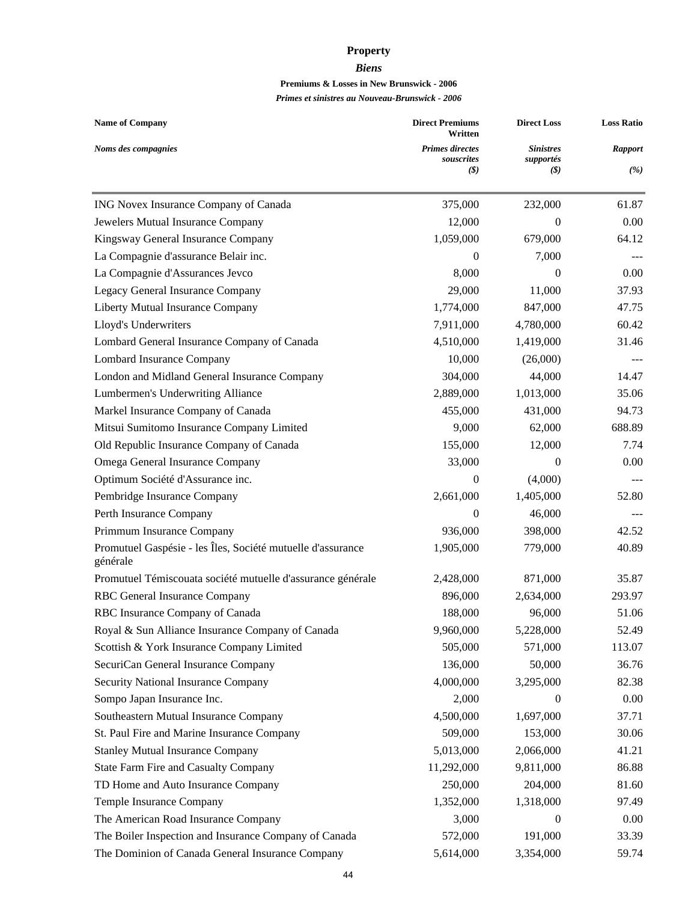## **Property**

#### *Biens*

## **Premiums & Losses in New Brunswick - 2006**

| <b>Name of Company</b>                                                  | <b>Direct Premiums</b><br>Written<br><b>Primes directes</b><br>souscrites | <b>Direct Loss</b>            | <b>Loss Ratio</b><br><b>Rapport</b><br>(%) |
|-------------------------------------------------------------------------|---------------------------------------------------------------------------|-------------------------------|--------------------------------------------|
| Noms des compagnies                                                     |                                                                           | <b>Sinistres</b><br>supportés |                                            |
|                                                                         | (S)                                                                       | (S)                           |                                            |
| ING Novex Insurance Company of Canada                                   | 375,000                                                                   | 232,000                       | 61.87                                      |
| Jewelers Mutual Insurance Company                                       | 12,000                                                                    | 0                             | 0.00                                       |
| Kingsway General Insurance Company                                      | 1,059,000                                                                 | 679,000                       | 64.12                                      |
| La Compagnie d'assurance Belair inc.                                    | $\Omega$                                                                  | 7,000                         |                                            |
| La Compagnie d'Assurances Jevco                                         | 8,000                                                                     | $\theta$                      | 0.00                                       |
| Legacy General Insurance Company                                        | 29,000                                                                    | 11,000                        | 37.93                                      |
| Liberty Mutual Insurance Company                                        | 1,774,000                                                                 | 847,000                       | 47.75                                      |
| Lloyd's Underwriters                                                    | 7,911,000                                                                 | 4,780,000                     | 60.42                                      |
| Lombard General Insurance Company of Canada                             | 4,510,000                                                                 | 1,419,000                     | 31.46                                      |
| Lombard Insurance Company                                               | 10,000                                                                    | (26,000)                      |                                            |
| London and Midland General Insurance Company                            | 304,000                                                                   | 44,000                        | 14.47                                      |
| Lumbermen's Underwriting Alliance                                       | 2,889,000                                                                 | 1,013,000                     | 35.06                                      |
| Markel Insurance Company of Canada                                      | 455,000                                                                   | 431,000                       | 94.73                                      |
| Mitsui Sumitomo Insurance Company Limited                               | 9,000                                                                     | 62,000                        | 688.89                                     |
| Old Republic Insurance Company of Canada                                | 155,000                                                                   | 12,000                        | 7.74                                       |
| Omega General Insurance Company                                         | 33,000                                                                    | $\theta$                      | 0.00                                       |
| Optimum Société d'Assurance inc.                                        | $\mathbf{0}$                                                              | (4,000)                       |                                            |
| Pembridge Insurance Company                                             | 2,661,000                                                                 | 1,405,000                     | 52.80                                      |
| Perth Insurance Company                                                 | $\boldsymbol{0}$                                                          | 46,000                        |                                            |
| Primmum Insurance Company                                               | 936,000                                                                   | 398,000                       | 42.52                                      |
| Promutuel Gaspésie - les Îles, Société mutuelle d'assurance<br>générale | 1,905,000                                                                 | 779,000                       | 40.89                                      |
| Promutuel Témiscouata société mutuelle d'assurance générale             | 2,428,000                                                                 | 871,000                       | 35.87                                      |
| RBC General Insurance Company                                           | 896,000                                                                   | 2,634,000                     | 293.97                                     |
| RBC Insurance Company of Canada                                         | 188,000                                                                   | 96,000                        | 51.06                                      |
| Royal & Sun Alliance Insurance Company of Canada                        | 9,960,000                                                                 | 5,228,000                     | 52.49                                      |
| Scottish & York Insurance Company Limited                               | 505,000                                                                   | 571,000                       | 113.07                                     |
| SecuriCan General Insurance Company                                     | 136,000                                                                   | 50,000                        | 36.76                                      |
| Security National Insurance Company                                     | 4,000,000                                                                 | 3,295,000                     | 82.38                                      |
| Sompo Japan Insurance Inc.                                              | 2,000                                                                     | $\mathbf{0}$                  | 0.00                                       |
| Southeastern Mutual Insurance Company                                   | 4,500,000                                                                 | 1,697,000                     | 37.71                                      |
| St. Paul Fire and Marine Insurance Company                              | 509,000                                                                   | 153,000                       | 30.06                                      |
| <b>Stanley Mutual Insurance Company</b>                                 | 5,013,000                                                                 | 2,066,000                     | 41.21                                      |
| <b>State Farm Fire and Casualty Company</b>                             | 11,292,000                                                                | 9,811,000                     | 86.88                                      |
| TD Home and Auto Insurance Company                                      | 250,000                                                                   | 204,000                       | 81.60                                      |
| Temple Insurance Company                                                | 1,352,000                                                                 | 1,318,000                     | 97.49                                      |
| The American Road Insurance Company                                     | 3,000                                                                     | $\mathbf{0}$                  | 0.00                                       |
| The Boiler Inspection and Insurance Company of Canada                   | 572,000                                                                   | 191,000                       | 33.39                                      |
| The Dominion of Canada General Insurance Company                        | 5,614,000                                                                 | 3,354,000                     | 59.74                                      |